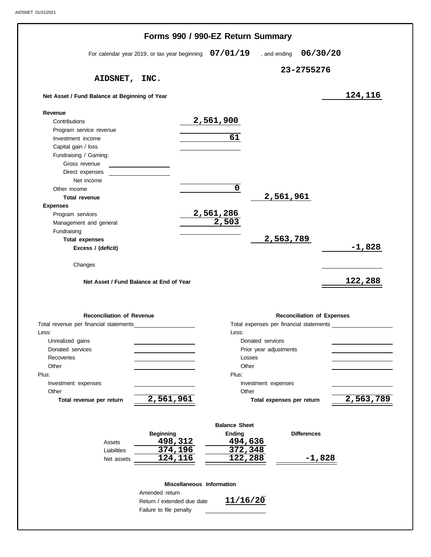|                                                 |                                                       | Forms 990 / 990-EZ Return Summary |                                         |           |
|-------------------------------------------------|-------------------------------------------------------|-----------------------------------|-----------------------------------------|-----------|
|                                                 | For calendar year 2019, or tax year beginning         | 07/01/19                          | 06/30/20<br>, and ending                |           |
|                                                 |                                                       |                                   | 23-2755276                              |           |
| AIDSNET, INC.                                   |                                                       |                                   |                                         |           |
| Net Asset / Fund Balance at Beginning of Year   |                                                       |                                   |                                         | 124,116   |
| Revenue                                         |                                                       |                                   |                                         |           |
| Contributions                                   |                                                       | 2,561,900                         |                                         |           |
| Program service revenue                         |                                                       |                                   |                                         |           |
| Investment income                               |                                                       | 61                                |                                         |           |
| Capital gain / loss                             |                                                       |                                   |                                         |           |
| Fundraising / Gaming:                           |                                                       |                                   |                                         |           |
| Gross revenue                                   |                                                       |                                   |                                         |           |
| Direct expenses<br>Net income                   |                                                       |                                   |                                         |           |
| Other income                                    |                                                       | $\mathbf 0$                       |                                         |           |
| Total revenue                                   |                                                       |                                   | 2,561,961                               |           |
| <b>Expenses</b>                                 |                                                       |                                   |                                         |           |
| Program services                                |                                                       |                                   |                                         |           |
| Management and general                          |                                                       | 2,561,286<br>2,503                |                                         |           |
| Fundraising                                     |                                                       |                                   |                                         |           |
| <b>Total expenses</b>                           |                                                       |                                   | 2,563,789                               |           |
| Excess / (deficit)                              |                                                       |                                   |                                         | $-1,828$  |
| Changes                                         | Net Asset / Fund Balance at End of Year               |                                   |                                         | 122,288   |
|                                                 |                                                       |                                   |                                         |           |
| <b>Reconciliation of Revenue</b>                |                                                       |                                   | <b>Reconciliation of Expenses</b>       |           |
| Total revenue per financial statements<br>Less: |                                                       | Less: <b>Example</b>              | Total expenses per financial statements |           |
| Unrealized gains                                |                                                       | Donated services                  |                                         |           |
| Donated services                                |                                                       | Prior year adjustments            |                                         |           |
| Recoveries                                      |                                                       | Losses                            |                                         |           |
| Other                                           |                                                       | Other                             |                                         |           |
|                                                 |                                                       | Plus:                             |                                         |           |
| Investment expenses                             |                                                       | Investment expenses               |                                         |           |
| Other<br>Total revenue per return               | 2,561,961                                             | Other                             | Total expenses per return               |           |
|                                                 |                                                       |                                   |                                         |           |
|                                                 |                                                       | <b>Balance Sheet</b>              |                                         |           |
|                                                 | <b>Beginning</b>                                      | Ending                            | <b>Differences</b>                      |           |
| Assets                                          | 498,312                                               | 494,636                           |                                         |           |
| Liabilities                                     | 374, 196                                              | 372,348                           |                                         |           |
| Net assets                                      | 124,116                                               | 122,288                           | $-1,828$                                |           |
|                                                 | Miscellaneous Information                             |                                   |                                         |           |
| Plus:                                           | Amended return                                        |                                   |                                         |           |
|                                                 | Return / extended due date<br>Failure to file penalty | 11/16/20                          |                                         | 2,563,789 |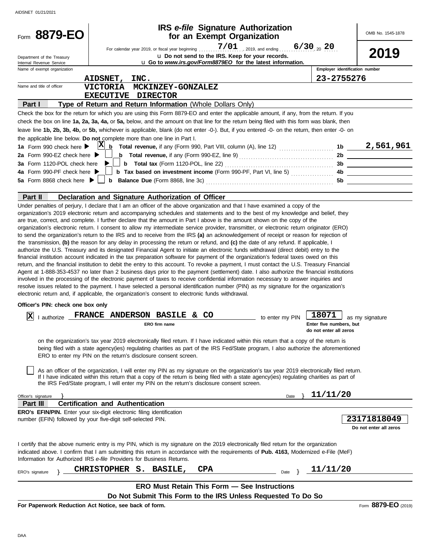| Form 8879-EO                                           | <b>IRS</b> e-file Signature Authorization<br>for an Exempt Organization                                                                                                                                                                                                                                                                                                                                                                                                                                                                                                                                                                                                                                                                                                                                                                                                                                                                                    |                 |                                                   | OMB No. 1545-1878                                                                                                    |
|--------------------------------------------------------|------------------------------------------------------------------------------------------------------------------------------------------------------------------------------------------------------------------------------------------------------------------------------------------------------------------------------------------------------------------------------------------------------------------------------------------------------------------------------------------------------------------------------------------------------------------------------------------------------------------------------------------------------------------------------------------------------------------------------------------------------------------------------------------------------------------------------------------------------------------------------------------------------------------------------------------------------------|-----------------|---------------------------------------------------|----------------------------------------------------------------------------------------------------------------------|
| Department of the Treasury<br>Internal Revenue Service | 2019                                                                                                                                                                                                                                                                                                                                                                                                                                                                                                                                                                                                                                                                                                                                                                                                                                                                                                                                                       |                 |                                                   |                                                                                                                      |
| Name of exempt organization                            | u Go to www.irs.gov/Form8879EO for the latest information.                                                                                                                                                                                                                                                                                                                                                                                                                                                                                                                                                                                                                                                                                                                                                                                                                                                                                                 |                 | Employer identification number                    |                                                                                                                      |
|                                                        | <b>AIDSNET,</b><br>INC.                                                                                                                                                                                                                                                                                                                                                                                                                                                                                                                                                                                                                                                                                                                                                                                                                                                                                                                                    |                 | 23-2755276                                        |                                                                                                                      |
| Name and title of officer                              | MCKINZEY-GONZALEZ<br><b>VICTORIA</b>                                                                                                                                                                                                                                                                                                                                                                                                                                                                                                                                                                                                                                                                                                                                                                                                                                                                                                                       |                 |                                                   |                                                                                                                      |
|                                                        | EXECUTIVE DIRECTOR                                                                                                                                                                                                                                                                                                                                                                                                                                                                                                                                                                                                                                                                                                                                                                                                                                                                                                                                         |                 |                                                   |                                                                                                                      |
| Part I                                                 | Type of Return and Return Information (Whole Dollars Only)                                                                                                                                                                                                                                                                                                                                                                                                                                                                                                                                                                                                                                                                                                                                                                                                                                                                                                 |                 |                                                   |                                                                                                                      |
|                                                        | Check the box for the return for which you are using this Form 8879-EO and enter the applicable amount, if any, from the return. If you                                                                                                                                                                                                                                                                                                                                                                                                                                                                                                                                                                                                                                                                                                                                                                                                                    |                 |                                                   |                                                                                                                      |
|                                                        | check the box on line 1a, 2a, 3a, 4a, or 5a, below, and the amount on that line for the return being filed with this form was blank, then                                                                                                                                                                                                                                                                                                                                                                                                                                                                                                                                                                                                                                                                                                                                                                                                                  |                 |                                                   |                                                                                                                      |
|                                                        | leave line 1b, 2b, 3b, 4b, or 5b, whichever is applicable, blank (do not enter -0-). But, if you entered -0- on the return, then enter -0- on<br>the applicable line below. Do not complete more than one line in Part I.                                                                                                                                                                                                                                                                                                                                                                                                                                                                                                                                                                                                                                                                                                                                  |                 |                                                   |                                                                                                                      |
| 1a Form 990 check here ▶                               |                                                                                                                                                                                                                                                                                                                                                                                                                                                                                                                                                                                                                                                                                                                                                                                                                                                                                                                                                            |                 |                                                   |                                                                                                                      |
| 2a Form 990-EZ check here $\blacktriangleright$        | <b>b</b> Total revenue, if any (Form 990-EZ, line 9) $\ldots$ $\ldots$ $\ldots$ $\ldots$ $\ldots$ $\ldots$                                                                                                                                                                                                                                                                                                                                                                                                                                                                                                                                                                                                                                                                                                                                                                                                                                                 |                 |                                                   |                                                                                                                      |
| 3a Form 1120-POL check here $\blacktriangleright$      | <b>b</b> Total tax (Form 1120-POL, line 22) $\ldots$ $\ldots$ $\ldots$ $\ldots$ $\ldots$ $\ldots$                                                                                                                                                                                                                                                                                                                                                                                                                                                                                                                                                                                                                                                                                                                                                                                                                                                          |                 |                                                   | 3b                                                                                                                   |
| 4a Form 990-PF check here $\blacktriangleright$        | <b>b</b> Tax based on investment income (Form 990-PF, Part VI, line 5) $\ldots$                                                                                                                                                                                                                                                                                                                                                                                                                                                                                                                                                                                                                                                                                                                                                                                                                                                                            |                 |                                                   |                                                                                                                      |
|                                                        |                                                                                                                                                                                                                                                                                                                                                                                                                                                                                                                                                                                                                                                                                                                                                                                                                                                                                                                                                            |                 | 5b                                                | <u> 1989 - Jan Stein Stein Stein Stein Stein Stein Stein Stein Stein Stein Stein Stein Stein Stein Stein Stein S</u> |
|                                                        |                                                                                                                                                                                                                                                                                                                                                                                                                                                                                                                                                                                                                                                                                                                                                                                                                                                                                                                                                            |                 |                                                   |                                                                                                                      |
| Part II                                                | Declaration and Signature Authorization of Officer<br>Under penalties of perjury, I declare that I am an officer of the above organization and that I have examined a copy of the                                                                                                                                                                                                                                                                                                                                                                                                                                                                                                                                                                                                                                                                                                                                                                          |                 |                                                   |                                                                                                                      |
|                                                        | authorize the U.S. Treasury and its designated Financial Agent to initiate an electronic funds withdrawal (direct debit) entry to the<br>financial institution account indicated in the tax preparation software for payment of the organization's federal taxes owed on this<br>return, and the financial institution to debit the entry to this account. To revoke a payment, I must contact the U.S. Treasury Financial<br>Agent at 1-888-353-4537 no later than 2 business days prior to the payment (settlement) date. I also authorize the financial institutions<br>involved in the processing of the electronic payment of taxes to receive confidential information necessary to answer inquiries and<br>resolve issues related to the payment. I have selected a personal identification number (PIN) as my signature for the organization's<br>electronic return and, if applicable, the organization's consent to electronic funds withdrawal. |                 |                                                   |                                                                                                                      |
| Officer's PIN: check one box only                      |                                                                                                                                                                                                                                                                                                                                                                                                                                                                                                                                                                                                                                                                                                                                                                                                                                                                                                                                                            |                 |                                                   |                                                                                                                      |
| x                                                      | I authorize FRANCE ANDERSON BASILE & CO                                                                                                                                                                                                                                                                                                                                                                                                                                                                                                                                                                                                                                                                                                                                                                                                                                                                                                                    |                 | 18071                                             |                                                                                                                      |
|                                                        | ERO firm name                                                                                                                                                                                                                                                                                                                                                                                                                                                                                                                                                                                                                                                                                                                                                                                                                                                                                                                                              | to enter my PIN | Enter five numbers, but<br>do not enter all zeros | as my signature                                                                                                      |
|                                                        | on the organization's tax year 2019 electronically filed return. If I have indicated within this return that a copy of the return is<br>being filed with a state agency(ies) regulating charities as part of the IRS Fed/State program, I also authorize the aforementioned<br>ERO to enter my PIN on the return's disclosure consent screen.<br>As an officer of the organization, I will enter my PIN as my signature on the organization's tax year 2019 electronically filed return.<br>If I have indicated within this return that a copy of the return is being filed with a state agency(ies) regulating charities as part of                                                                                                                                                                                                                                                                                                                       |                 |                                                   |                                                                                                                      |
| Officer's signature                                    | the IRS Fed/State program, I will enter my PIN on the return's disclosure consent screen.                                                                                                                                                                                                                                                                                                                                                                                                                                                                                                                                                                                                                                                                                                                                                                                                                                                                  | Date            | 11/11/20                                          |                                                                                                                      |
| Part III                                               | <b>Certification and Authentication</b>                                                                                                                                                                                                                                                                                                                                                                                                                                                                                                                                                                                                                                                                                                                                                                                                                                                                                                                    |                 |                                                   |                                                                                                                      |
|                                                        | <b>ERO's EFIN/PIN.</b> Enter your six-digit electronic filing identification                                                                                                                                                                                                                                                                                                                                                                                                                                                                                                                                                                                                                                                                                                                                                                                                                                                                               |                 |                                                   |                                                                                                                      |
|                                                        | number (EFIN) followed by your five-digit self-selected PIN.                                                                                                                                                                                                                                                                                                                                                                                                                                                                                                                                                                                                                                                                                                                                                                                                                                                                                               |                 |                                                   | 23171818049                                                                                                          |
|                                                        |                                                                                                                                                                                                                                                                                                                                                                                                                                                                                                                                                                                                                                                                                                                                                                                                                                                                                                                                                            |                 |                                                   | Do not enter all zeros                                                                                               |
|                                                        | I certify that the above numeric entry is my PIN, which is my signature on the 2019 electronically filed return for the organization<br>indicated above. I confirm that I am submitting this return in accordance with the requirements of Pub. 4163, Modernized e-File (MeF)<br>Information for Authorized IRS e-file Providers for Business Returns.                                                                                                                                                                                                                                                                                                                                                                                                                                                                                                                                                                                                     |                 |                                                   |                                                                                                                      |
| ERO's signature                                        | CHRISTOPHER S. BASILE,<br><b>CPA</b>                                                                                                                                                                                                                                                                                                                                                                                                                                                                                                                                                                                                                                                                                                                                                                                                                                                                                                                       | Date            | 11/11/20                                          |                                                                                                                      |
|                                                        | <b>ERO Must Retain This Form - See Instructions</b>                                                                                                                                                                                                                                                                                                                                                                                                                                                                                                                                                                                                                                                                                                                                                                                                                                                                                                        |                 |                                                   |                                                                                                                      |
|                                                        | Do Not Submit This Form to the IRS Unless Requested To Do So                                                                                                                                                                                                                                                                                                                                                                                                                                                                                                                                                                                                                                                                                                                                                                                                                                                                                               |                 |                                                   |                                                                                                                      |
|                                                        | For Paperwork Reduction Act Notice, see back of form.                                                                                                                                                                                                                                                                                                                                                                                                                                                                                                                                                                                                                                                                                                                                                                                                                                                                                                      |                 |                                                   | Form 8879-EO (2019)                                                                                                  |

DAA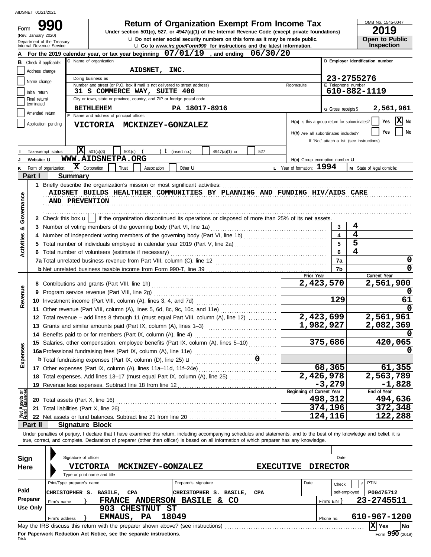(Rev. January 2020)

Form

# **990 2019 2019 2019 2019 2019 2019 2019 2019 2019 2019 2019 2019 2019 2019 2019 2019 2019 2019 2019 2019 2019 2019 2019 2019 2019 2019 2019 2019 2019 2019 2019**

**u** Do not enter social security numbers on this form as it may be made public. **Under section 501(c), 527, or 4947(a)(1) of the Internal Revenue Code (except private foundations)** OMB No. 1545-0047

| ---               |
|-------------------|
| Open to Public    |
|                   |
| <b>Inspection</b> |

| U Do not enter social security numbers on this form as it may be made public.<br>Department of the Treasury<br>Internal Revenue Service<br><b>u</b> Go to www.irs.gov/Form990 for instructions and the latest information. |                               |                        |                              |                                                                                                                                                                            |                          |                      |                           | Open to Public<br><b>Inspection</b>           |                                            |
|----------------------------------------------------------------------------------------------------------------------------------------------------------------------------------------------------------------------------|-------------------------------|------------------------|------------------------------|----------------------------------------------------------------------------------------------------------------------------------------------------------------------------|--------------------------|----------------------|---------------------------|-----------------------------------------------|--------------------------------------------|
|                                                                                                                                                                                                                            |                               |                        |                              | For the 2019 calendar year, or tax year beginning $07/01/19$ , and ending                                                                                                  |                          | 06/30/20             |                           |                                               |                                            |
|                                                                                                                                                                                                                            | <b>B</b> Check if applicable: | C Name of organization |                              | D Employer identification number                                                                                                                                           |                          |                      |                           |                                               |                                            |
|                                                                                                                                                                                                                            | Address change                |                        |                              | <b>AIDSNET,</b>                                                                                                                                                            | INC.                     |                      |                           |                                               |                                            |
|                                                                                                                                                                                                                            | Name change                   |                        | Doing business as            |                                                                                                                                                                            |                          |                      |                           |                                               | 23-2755276                                 |
|                                                                                                                                                                                                                            | Initial return                |                        |                              | Number and street (or P.O. box if mail is not delivered to street address)<br>31 S COMMERCE WAY, SUITE 400                                                                 |                          |                      | Room/suite                | E Telephone number                            | 610-882-1119                               |
|                                                                                                                                                                                                                            | Final return/                 |                        |                              | City or town, state or province, country, and ZIP or foreign postal code                                                                                                   |                          |                      |                           |                                               |                                            |
|                                                                                                                                                                                                                            | terminated                    |                        |                              | <b>BETHLEHEM</b>                                                                                                                                                           | PA 18017-8916            |                      |                           | G Gross receipts \$                           | 2,561,961                                  |
|                                                                                                                                                                                                                            | Amended return                |                        |                              | F Name and address of principal officer:                                                                                                                                   |                          |                      |                           |                                               |                                            |
|                                                                                                                                                                                                                            | Application pending           |                        |                              | VICTORIA MCKINZEY-GONZALEZ                                                                                                                                                 |                          |                      |                           | H(a) Is this a group return for subordinates? | X<br>Yes<br>No                             |
|                                                                                                                                                                                                                            |                               |                        |                              |                                                                                                                                                                            |                          |                      |                           | H(b) Are all subordinates included?           | No<br>Yes                                  |
|                                                                                                                                                                                                                            |                               |                        |                              |                                                                                                                                                                            |                          |                      |                           |                                               | If "No," attach a list. (see instructions) |
|                                                                                                                                                                                                                            | Tax-exempt status:            |                        | $ \mathbf{X} $ 501(c)(3)     | 501(c)                                                                                                                                                                     | $t$ (insert no.)         | 4947(a)(1) or<br>527 |                           |                                               |                                            |
|                                                                                                                                                                                                                            | Website: U                    |                        |                              | WWW.AIDSNETPA.ORG                                                                                                                                                          |                          |                      |                           | H(c) Group exemption number LI                |                                            |
|                                                                                                                                                                                                                            |                               | Form of organization:  | $ \mathbf{X} $ Corporation   | Trust<br>Association                                                                                                                                                       | Other <b>u</b>           |                      | L Year of formation: 1994 |                                               | M State of legal domicile:                 |
|                                                                                                                                                                                                                            | Part I                        |                        | <b>Summary</b>               |                                                                                                                                                                            |                          |                      |                           |                                               |                                            |
|                                                                                                                                                                                                                            |                               |                        |                              | 1 Briefly describe the organization's mission or most significant activities:                                                                                              |                          |                      |                           |                                               |                                            |
|                                                                                                                                                                                                                            |                               |                        |                              | AIDSNET BUILDS HEALTHIER COMMUNITIES BY PLANNING AND FUNDING HIV/AIDS CARE                                                                                                 |                          |                      |                           |                                               |                                            |
|                                                                                                                                                                                                                            |                               |                        | AND PREVENTION               |                                                                                                                                                                            |                          |                      |                           |                                               |                                            |
| Governance                                                                                                                                                                                                                 |                               |                        |                              |                                                                                                                                                                            |                          |                      |                           |                                               |                                            |
|                                                                                                                                                                                                                            |                               |                        |                              | 2 Check this box $\mathbf{u}$   if the organization discontinued its operations or disposed of more than 25% of its net assets.                                            |                          |                      |                           |                                               |                                            |
| ಯ                                                                                                                                                                                                                          |                               |                        |                              | 3 Number of voting members of the governing body (Part VI, line 1a)                                                                                                        |                          |                      |                           | 3                                             | 4                                          |
|                                                                                                                                                                                                                            |                               |                        |                              |                                                                                                                                                                            |                          |                      |                           |                                               | 4<br>5                                     |
| <b>Activities</b>                                                                                                                                                                                                          |                               |                        |                              |                                                                                                                                                                            |                          |                      |                           | 5<br>6                                        | 4                                          |
|                                                                                                                                                                                                                            |                               |                        |                              | 6 Total number of volunteers (estimate if necessary)                                                                                                                       |                          | 7a                   | 0                         |                                               |                                            |
|                                                                                                                                                                                                                            |                               |                        |                              |                                                                                                                                                                            |                          |                      |                           | 7b                                            | 0                                          |
|                                                                                                                                                                                                                            |                               |                        |                              |                                                                                                                                                                            |                          |                      | Prior Year                |                                               | Current Year                               |
|                                                                                                                                                                                                                            |                               |                        |                              |                                                                                                                                                                            |                          |                      |                           | 2,423,570                                     | 2,561,900                                  |
| Revenue                                                                                                                                                                                                                    |                               |                        |                              | 9 Program service revenue (Part VIII, line 2g)                                                                                                                             |                          |                      |                           |                                               | 0                                          |
|                                                                                                                                                                                                                            |                               |                        |                              |                                                                                                                                                                            |                          | 129                  | 61                        |                                               |                                            |
|                                                                                                                                                                                                                            |                               |                        |                              | 11 Other revenue (Part VIII, column (A), lines 5, 6d, 8c, 9c, 10c, and 11e)                                                                                                |                          |                      |                           |                                               |                                            |
|                                                                                                                                                                                                                            | 12                            |                        |                              | Total revenue – add lines 8 through 11 (must equal Part VIII, column (A), line 12)                                                                                         |                          |                      |                           | 2,423,699                                     | 2,561,961                                  |
|                                                                                                                                                                                                                            |                               |                        |                              | 13 Grants and similar amounts paid (Part IX, column (A), lines 1-3)                                                                                                        |                          |                      |                           | 1,982,927                                     | 2,082,369                                  |
|                                                                                                                                                                                                                            |                               |                        |                              | 14 Benefits paid to or for members (Part IX, column (A), line 4)                                                                                                           |                          |                      |                           |                                               |                                            |
|                                                                                                                                                                                                                            |                               |                        |                              | 15 Salaries, other compensation, employee benefits (Part IX, column (A), lines 5-10)                                                                                       |                          |                      |                           | 375,686                                       | 420,065                                    |
| nses                                                                                                                                                                                                                       |                               |                        |                              | 16a Professional fundraising fees (Part IX, column (A), line 11e)                                                                                                          |                          |                      | 0                         |                                               |                                            |
| Exper                                                                                                                                                                                                                      |                               |                        |                              | <b>b</b> Total fundraising expenses (Part IX, column (D), line 25) $\mathbf{u}$                                                                                            |                          | <u>0</u>             |                           |                                               |                                            |
|                                                                                                                                                                                                                            |                               |                        |                              | 17 Other expenses (Part IX, column (A), lines 11a-11d, 11f-24e)                                                                                                            |                          |                      |                           | 68,365                                        | 61,355                                     |
|                                                                                                                                                                                                                            |                               |                        |                              | 18 Total expenses. Add lines 13-17 (must equal Part IX, column (A), line 25) [                                                                                             |                          |                      |                           | 2,426,978<br>$-3,279$                         | 2,563,789<br>$-1,828$                      |
|                                                                                                                                                                                                                            | 19                            |                        |                              |                                                                                                                                                                            |                          |                      | Beginning of Current Year |                                               | End of Year                                |
| Net Assets or<br>Fund Balances                                                                                                                                                                                             |                               |                        |                              |                                                                                                                                                                            |                          |                      |                           | 498,312                                       | 494,636                                    |
|                                                                                                                                                                                                                            | 21                            |                        |                              | Total liabilities (Part X, line 26)                                                                                                                                        |                          |                      |                           | 374,196                                       | 372,348                                    |
|                                                                                                                                                                                                                            |                               |                        |                              |                                                                                                                                                                            |                          |                      |                           | 124,116                                       | 122,288                                    |
|                                                                                                                                                                                                                            | Part II                       |                        | <b>Signature Block</b>       |                                                                                                                                                                            |                          |                      |                           |                                               |                                            |
|                                                                                                                                                                                                                            |                               |                        |                              | Under penalties of perjury, I declare that I have examined this return, including accompanying schedules and statements, and to the best of my knowledge and belief, it is |                          |                      |                           |                                               |                                            |
|                                                                                                                                                                                                                            |                               |                        |                              | true, correct, and complete. Declaration of preparer (other than officer) is based on all information of which preparer has any knowledge.                                 |                          |                      |                           |                                               |                                            |
|                                                                                                                                                                                                                            |                               |                        |                              |                                                                                                                                                                            |                          |                      |                           |                                               |                                            |
| Sign                                                                                                                                                                                                                       |                               |                        | Signature of officer         |                                                                                                                                                                            |                          |                      |                           | Date                                          |                                            |
| Here                                                                                                                                                                                                                       |                               |                        | <b>VICTORIA</b>              |                                                                                                                                                                            | <b>MCKINZEY-GONZALEZ</b> |                      | <b>EXECUTIVE</b>          | <b>DIRECTOR</b>                               |                                            |
|                                                                                                                                                                                                                            |                               |                        | Type or print name and title |                                                                                                                                                                            |                          |                      |                           |                                               |                                            |
| Paid                                                                                                                                                                                                                       |                               |                        | Print/Type preparer's name   |                                                                                                                                                                            | Preparer's signature     |                      | Date                      | Check                                         | PTIN                                       |
|                                                                                                                                                                                                                            | Preparer                      |                        |                              | <b>CHRISTOPHER S. BASILE,</b><br><b>CPA</b>                                                                                                                                | CHRISTOPHER S. BASILE,   | <b>CPA</b>           |                           | self-employed                                 | P00475712                                  |
|                                                                                                                                                                                                                            | <b>Use Only</b>               | Firm's name            |                              | FRANCE ANDERSON BASILE                                                                                                                                                     |                          | &.<br><b>CO</b>      |                           | Firm's EIN                                    | 23-2745511                                 |
|                                                                                                                                                                                                                            |                               |                        |                              | 903<br><b>CHESTNUT</b><br>EMMAUS, PA                                                                                                                                       | ST<br>18049              |                      |                           |                                               | 610-967-1200                               |
|                                                                                                                                                                                                                            |                               | Firm's address         |                              | May the IRS discuss this return with the preparer shown above? (see instructions)                                                                                          |                          |                      |                           | Phone no.                                     | $ \mathbf{X} $ Yes<br>No                   |
|                                                                                                                                                                                                                            |                               |                        |                              |                                                                                                                                                                            |                          |                      |                           |                                               |                                            |

| Sign<br>Here     | Signature of officer<br><b>MCKINZEY-GONZALEZ</b><br>VICTORIA<br>Type or print name and title                                                                | <b>EXECUTIVE</b>                                                                                               | <b>DIRECTOR</b>      | Date                   |                                                |
|------------------|-------------------------------------------------------------------------------------------------------------------------------------------------------------|----------------------------------------------------------------------------------------------------------------|----------------------|------------------------|------------------------------------------------|
| Paid<br>Preparer | Print/Type preparer's name<br><b> CHRISTOPHER</b><br><b>BASILE,</b><br>s.<br>CPA<br><b>ANDERSON</b><br><b>FRANCE</b><br>Firm's name                         | Preparer's signature<br><b>CHRISTOPHER</b><br><b>BASILE,</b><br><b>CPA</b><br>s.<br><b>BASILE</b><br>CO.<br>&. | Date<br>Firm's EIN Y | Check<br>self-employed | PTIN<br>P00475712<br>23-2745511                |
| Use Only         | <b>CHESTNUT</b><br>903<br>ST<br><b>PA</b><br>EMMAUS,<br>Firm's address<br>May the IRS discuss this return with the preparer shown above? (see instructions) | 18049                                                                                                          | Phone no.            |                        | 610-967-1200<br>ΙXΙ<br><b>No</b><br><b>Yes</b> |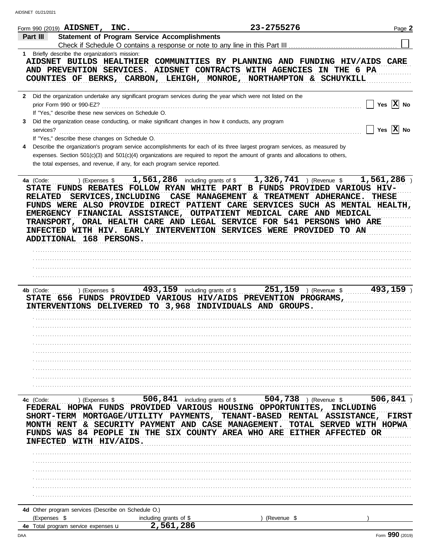|                                | Form 990 (2019) $\text{AIDSNET}$ , INC.              |                                                                                                                                                                                                                      | 23-2755276                                                                                                                                                                                                                                                                                                                                                                                                                                  | Page 2                                                                                              |
|--------------------------------|------------------------------------------------------|----------------------------------------------------------------------------------------------------------------------------------------------------------------------------------------------------------------------|---------------------------------------------------------------------------------------------------------------------------------------------------------------------------------------------------------------------------------------------------------------------------------------------------------------------------------------------------------------------------------------------------------------------------------------------|-----------------------------------------------------------------------------------------------------|
| Part III                       |                                                      | <b>Statement of Program Service Accomplishments</b>                                                                                                                                                                  |                                                                                                                                                                                                                                                                                                                                                                                                                                             |                                                                                                     |
|                                | 1 Briefly describe the organization's mission:       |                                                                                                                                                                                                                      | AIDSNET BUILDS HEALTHIER COMMUNITIES BY PLANNING AND FUNDING HIV/AIDS CARE<br>AND PREVENTION SERVICES. AIDSNET CONTRACTS WITH AGENCIES IN THE 6 PA<br>COUNTIES OF BERKS, CARBON, LEHIGH, MONROE, NORTHAMPTON & SCHUYKILL                                                                                                                                                                                                                    |                                                                                                     |
| prior Form 990 or 990-EZ?<br>3 | If "Yes," describe these new services on Schedule O. | 2 Did the organization undertake any significant program services during the year which were not listed on the<br>Did the organization cease conducting, or make significant changes in how it conducts, any program |                                                                                                                                                                                                                                                                                                                                                                                                                                             | Yes $\overline{X}$ No                                                                               |
| services?                      | If "Yes," describe these changes on Schedule O.      |                                                                                                                                                                                                                      |                                                                                                                                                                                                                                                                                                                                                                                                                                             | Yes $\overline{X}$ No                                                                               |
| 4                              |                                                      | the total expenses, and revenue, if any, for each program service reported.                                                                                                                                          | Describe the organization's program service accomplishments for each of its three largest program services, as measured by<br>expenses. Section 501(c)(3) and 501(c)(4) organizations are required to report the amount of grants and allocations to others,                                                                                                                                                                                |                                                                                                     |
| 4a (Code:<br><b>RELATED</b>    | ADDITIONAL 168 PERSONS.                              |                                                                                                                                                                                                                      | STATE FUNDS REBATES FOLLOW RYAN WHITE PART B FUNDS PROVIDED VARIOUS HIV-<br>SERVICES, INCLUDING CASE MANAGEMENT & TREATMENT ADHERANCE.<br>FUNDS WERE ALSO PROVIDE DIRECT PATIENT CARE SERVICES SUCH AS MENTAL HEALTH,<br>EMERGENCY FINANCIAL ASSISTANCE, OUTPATIENT MEDICAL CARE AND MEDICAL<br>TRANSPORT, ORAL HEALTH CARE AND LEGAL SERVICE FOR 541 PERSONS WHO ARE<br>INFECTED WITH HIV. EARLY INTERVENTION SERVICES WERE PROVIDED TO AN | ) (Expenses \$ 1,561,286 including grants of \$ 1,326,741 ) (Revenue \$ 1,561,286 )<br><b>THESE</b> |
|                                |                                                      |                                                                                                                                                                                                                      |                                                                                                                                                                                                                                                                                                                                                                                                                                             |                                                                                                     |
|                                |                                                      |                                                                                                                                                                                                                      |                                                                                                                                                                                                                                                                                                                                                                                                                                             |                                                                                                     |
| 4b (Code:                      | ) (Expenses \$                                       |                                                                                                                                                                                                                      | 493, 159 including grants of \$251, 159 ) (Revenue \$493, 159 )<br>STATE 656 FUNDS PROVIDED VARIOUS HIV/AIDS PREVENTION PROGRAMS,<br>INTERVENTIONS DELIVERED TO 3,968 INDIVIDUALS AND GROUPS.                                                                                                                                                                                                                                               |                                                                                                     |
|                                |                                                      |                                                                                                                                                                                                                      |                                                                                                                                                                                                                                                                                                                                                                                                                                             |                                                                                                     |
|                                |                                                      |                                                                                                                                                                                                                      |                                                                                                                                                                                                                                                                                                                                                                                                                                             |                                                                                                     |
|                                |                                                      |                                                                                                                                                                                                                      |                                                                                                                                                                                                                                                                                                                                                                                                                                             |                                                                                                     |
|                                |                                                      |                                                                                                                                                                                                                      |                                                                                                                                                                                                                                                                                                                                                                                                                                             |                                                                                                     |
|                                |                                                      |                                                                                                                                                                                                                      |                                                                                                                                                                                                                                                                                                                                                                                                                                             |                                                                                                     |
|                                |                                                      |                                                                                                                                                                                                                      |                                                                                                                                                                                                                                                                                                                                                                                                                                             |                                                                                                     |
| 4c (Code:                      | ) (Expenses \$<br><b>INFECTED WITH HIV/AIDS.</b>     | 506,841 including grants of \$ 504,738<br>MONTH RENT & SECURITY PAYMENT AND CASE MANAGEMENT.                                                                                                                         | FEDERAL HOPWA FUNDS PROVIDED VARIOUS HOUSING OPPORTUNITES, INCLUDING<br>SHORT-TERM MORTGAGE/UTILITY PAYMENTS, TENANT-BASED RENTAL ASSISTANCE, FIRST<br>FUNDS WAS 84 PEOPLE IN THE SIX COUNTY AREA WHO ARE EITHER AFFECTED OR                                                                                                                                                                                                                | 506,841<br>) (Revenue \$<br>TOTAL SERVED WITH HOPWA                                                 |
|                                |                                                      |                                                                                                                                                                                                                      |                                                                                                                                                                                                                                                                                                                                                                                                                                             |                                                                                                     |
|                                |                                                      |                                                                                                                                                                                                                      |                                                                                                                                                                                                                                                                                                                                                                                                                                             |                                                                                                     |
|                                |                                                      |                                                                                                                                                                                                                      |                                                                                                                                                                                                                                                                                                                                                                                                                                             |                                                                                                     |
|                                |                                                      |                                                                                                                                                                                                                      |                                                                                                                                                                                                                                                                                                                                                                                                                                             |                                                                                                     |
|                                | 4d Other program services (Describe on Schedule O.)  |                                                                                                                                                                                                                      |                                                                                                                                                                                                                                                                                                                                                                                                                                             |                                                                                                     |
| (Expenses \$                   |                                                      | including grants of \$                                                                                                                                                                                               | (Revenue \$                                                                                                                                                                                                                                                                                                                                                                                                                                 |                                                                                                     |
|                                | 4e Total program service expenses u                  | 2,561,286                                                                                                                                                                                                            |                                                                                                                                                                                                                                                                                                                                                                                                                                             | $F_{\text{GCD}}$ 990 (2010)                                                                         |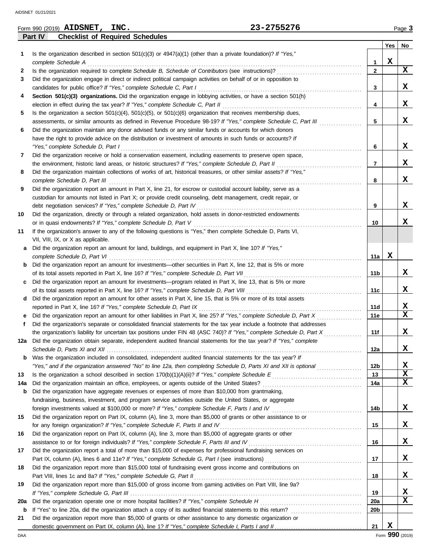|     | 23-2755276<br>Form 990 (2019) AIDSNET, INC.                                                                                                                                                     |                 |             | Page 3           |
|-----|-------------------------------------------------------------------------------------------------------------------------------------------------------------------------------------------------|-----------------|-------------|------------------|
|     | <b>Checklist of Required Schedules</b><br>Part IV                                                                                                                                               |                 |             |                  |
|     |                                                                                                                                                                                                 |                 | Yes         | No               |
| 1   | Is the organization described in section $501(c)(3)$ or $4947(a)(1)$ (other than a private foundation)? If "Yes,"                                                                               |                 |             |                  |
|     | complete Schedule A                                                                                                                                                                             | 1               | X           | $\mathbf x$      |
| 2   | Is the organization required to complete Schedule B, Schedule of Contributors (see instructions)?                                                                                               | $\mathbf{2}$    |             |                  |
| 3   | Did the organization engage in direct or indirect political campaign activities on behalf of or in opposition to<br>candidates for public office? If "Yes," complete Schedule C, Part I         | 3               |             | x                |
| 4   | Section 501(c)(3) organizations. Did the organization engage in lobbying activities, or have a section 501(h)                                                                                   |                 |             |                  |
|     | election in effect during the tax year? If "Yes," complete Schedule C, Part II                                                                                                                  | 4               |             | X                |
| 5   | Is the organization a section $501(c)(4)$ , $501(c)(5)$ , or $501(c)(6)$ organization that receives membership dues,                                                                            |                 |             |                  |
|     | assessments, or similar amounts as defined in Revenue Procedure 98-19? If "Yes," complete Schedule C, Part III                                                                                  | 5               |             | X                |
| 6   | Did the organization maintain any donor advised funds or any similar funds or accounts for which donors                                                                                         |                 |             |                  |
|     | have the right to provide advice on the distribution or investment of amounts in such funds or accounts? If                                                                                     |                 |             |                  |
|     | "Yes," complete Schedule D, Part I                                                                                                                                                              | 6               |             | X                |
| 7   | Did the organization receive or hold a conservation easement, including easements to preserve open space,                                                                                       |                 |             |                  |
|     | the environment, historic land areas, or historic structures? If "Yes," complete Schedule D, Part II                                                                                            | 7               |             | x                |
| 8   | Did the organization maintain collections of works of art, historical treasures, or other similar assets? If "Yes,"                                                                             |                 |             |                  |
|     | complete Schedule D, Part III                                                                                                                                                                   | 8               |             | X                |
| 9   | Did the organization report an amount in Part X, line 21, for escrow or custodial account liability, serve as a                                                                                 |                 |             |                  |
|     | custodian for amounts not listed in Part X; or provide credit counseling, debt management, credit repair, or                                                                                    |                 |             |                  |
|     | debt negotiation services? If "Yes," complete Schedule D, Part IV                                                                                                                               | 9               |             | X                |
| 10  | Did the organization, directly or through a related organization, hold assets in donor-restricted endowments                                                                                    |                 |             | X                |
|     | or in quasi endowments? If "Yes," complete Schedule D, Part V                                                                                                                                   | 10              |             |                  |
| 11  | If the organization's answer to any of the following questions is "Yes," then complete Schedule D, Parts VI,<br>VII, VIII, IX, or X as applicable.                                              |                 |             |                  |
| а   | Did the organization report an amount for land, buildings, and equipment in Part X, line 10? If "Yes,"                                                                                          |                 |             |                  |
|     | complete Schedule D, Part VI                                                                                                                                                                    | 11a             | X           |                  |
| b   | Did the organization report an amount for investments—other securities in Part X, line 12, that is 5% or more                                                                                   |                 |             |                  |
|     | of its total assets reported in Part X, line 16? If "Yes," complete Schedule D, Part VII                                                                                                        | 11b             |             | x                |
| c   | Did the organization report an amount for investments—program related in Part X, line 13, that is 5% or more                                                                                    |                 |             |                  |
|     | of its total assets reported in Part X, line 16? If "Yes," complete Schedule D, Part VIII                                                                                                       | 11c             |             | x                |
| d   | Did the organization report an amount for other assets in Part X, line 15, that is 5% or more of its total assets                                                                               |                 |             |                  |
|     | reported in Part X, line 16? If "Yes," complete Schedule D, Part IX                                                                                                                             | 11d             |             | X                |
| е   | Did the organization report an amount for other liabilities in Part X, line 25? If "Yes," complete Schedule D, Part X                                                                           | 11e             |             | $\mathbf x$      |
|     | Did the organization's separate or consolidated financial statements for the tax year include a footnote that addresses                                                                         |                 |             |                  |
|     | the organization's liability for uncertain tax positions under FIN 48 (ASC 740)? If "Yes," complete Schedule D, Part X                                                                          | 11f             |             | X                |
|     | Did the organization obtain separate, independent audited financial statements for the tax year? If "Yes," complete                                                                             |                 |             |                  |
|     |                                                                                                                                                                                                 | 12a             |             | X                |
|     | <b>b</b> Was the organization included in consolidated, independent audited financial statements for the tax year? If                                                                           |                 |             |                  |
|     | "Yes," and if the organization answered "No" to line 12a, then completing Schedule D, Parts XI and XII is optional                                                                              | 12b             |             | х<br>$\mathbf x$ |
| 13  |                                                                                                                                                                                                 | 13              |             | $\mathbf x$      |
| 14a | Did the organization maintain an office, employees, or agents outside of the United States?<br>Did the organization have aggregate revenues or expenses of more than \$10,000 from grantmaking, | 14a             |             |                  |
| b   | fundraising, business, investment, and program service activities outside the United States, or aggregate                                                                                       |                 |             |                  |
|     |                                                                                                                                                                                                 | 14b             |             | x                |
| 15  | Did the organization report on Part IX, column (A), line 3, more than \$5,000 of grants or other assistance to or                                                                               |                 |             |                  |
|     | for any foreign organization? If "Yes," complete Schedule F, Parts II and IV                                                                                                                    | 15              |             | X                |
| 16  | Did the organization report on Part IX, column (A), line 3, more than \$5,000 of aggregate grants or other                                                                                      |                 |             |                  |
|     | assistance to or for foreign individuals? If "Yes," complete Schedule F, Parts III and IV                                                                                                       | 16              |             | X                |
| 17  | Did the organization report a total of more than \$15,000 of expenses for professional fundraising services on                                                                                  |                 |             |                  |
|     |                                                                                                                                                                                                 | 17              |             | X                |
| 18  | Did the organization report more than \$15,000 total of fundraising event gross income and contributions on                                                                                     |                 |             |                  |
|     | Part VIII, lines 1c and 8a? If "Yes," complete Schedule G, Part II                                                                                                                              | 18              |             | X                |
| 19  | Did the organization report more than \$15,000 of gross income from gaming activities on Part VIII, line 9a?                                                                                    |                 |             |                  |
|     |                                                                                                                                                                                                 | 19              |             | х                |
| 20a | Did the organization operate one or more hospital facilities? If "Yes," complete Schedule H                                                                                                     | 20a             |             | $\mathbf x$      |
| b   |                                                                                                                                                                                                 | 20 <sub>b</sub> |             |                  |
| 21  | Did the organization report more than \$5,000 of grants or other assistance to any domestic organization or                                                                                     | 21              | $\mathbf x$ |                  |
|     |                                                                                                                                                                                                 |                 |             |                  |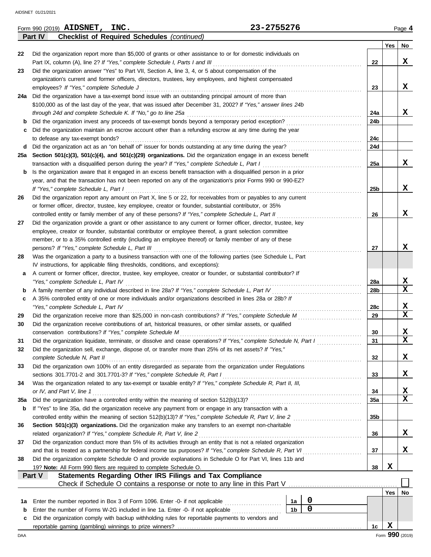|          | Form 990 (2019) AIDSNET, INC.                                                                                                                                               | 23-2755276     |                  |           |             | Page 4                  |
|----------|-----------------------------------------------------------------------------------------------------------------------------------------------------------------------------|----------------|------------------|-----------|-------------|-------------------------|
|          | <b>Checklist of Required Schedules (continued)</b><br>Part IV                                                                                                               |                |                  |           |             |                         |
|          |                                                                                                                                                                             |                |                  |           | Yes         | No                      |
| 22       | Did the organization report more than \$5,000 of grants or other assistance to or for domestic individuals on                                                               |                |                  |           |             |                         |
|          | Part IX, column (A), line 2? If "Yes," complete Schedule I, Parts I and III                                                                                                 |                |                  | 22        |             | X                       |
| 23       | Did the organization answer "Yes" to Part VII, Section A, line 3, 4, or 5 about compensation of the                                                                         |                |                  |           |             |                         |
|          | organization's current and former officers, directors, trustees, key employees, and highest compensated<br>employees? If "Yes," complete Schedule J                         |                |                  | 23        |             | X                       |
|          | 24a Did the organization have a tax-exempt bond issue with an outstanding principal amount of more than                                                                     |                |                  |           |             |                         |
|          | \$100,000 as of the last day of the year, that was issued after December 31, 2002? If "Yes," answer lines 24b                                                               |                |                  |           |             |                         |
|          | through 24d and complete Schedule K. If "No," go to line 25a                                                                                                                |                |                  | 24a       |             | x                       |
| b        | Did the organization invest any proceeds of tax-exempt bonds beyond a temporary period exception?                                                                           |                |                  | 24b       |             |                         |
| с        | Did the organization maintain an escrow account other than a refunding escrow at any time during the year                                                                   |                |                  |           |             |                         |
|          | to defease any tax-exempt bonds?                                                                                                                                            |                |                  | 24c       |             |                         |
| d        | Did the organization act as an "on behalf of" issuer for bonds outstanding at any time during the year?                                                                     |                |                  | 24d       |             |                         |
| 25а      | Section 501(c)(3), 501(c)(4), and 501(c)(29) organizations. Did the organization engage in an excess benefit                                                                |                |                  |           |             |                         |
|          | transaction with a disqualified person during the year? If "Yes," complete Schedule L, Part I                                                                               |                |                  | 25a       |             | x                       |
| b        | Is the organization aware that it engaged in an excess benefit transaction with a disqualified person in a prior                                                            |                |                  |           |             |                         |
|          | year, and that the transaction has not been reported on any of the organization's prior Forms 990 or 990-EZ?<br>If "Yes," complete Schedule L, Part I                       |                |                  | 25b       |             | X                       |
| 26       | Did the organization report any amount on Part X, line 5 or 22, for receivables from or payables to any current                                                             |                |                  |           |             |                         |
|          | or former officer, director, trustee, key employee, creator or founder, substantial contributor, or 35%                                                                     |                |                  |           |             |                         |
|          | controlled entity or family member of any of these persons? If "Yes," complete Schedule L, Part II                                                                          |                |                  | 26        |             | x                       |
| 27       | Did the organization provide a grant or other assistance to any current or former officer, director, trustee, key                                                           |                |                  |           |             |                         |
|          | employee, creator or founder, substantial contributor or employee thereof, a grant selection committee                                                                      |                |                  |           |             |                         |
|          | member, or to a 35% controlled entity (including an employee thereof) or family member of any of these                                                                      |                |                  |           |             |                         |
|          | persons? If "Yes," complete Schedule L, Part III                                                                                                                            |                |                  | 27        |             | X                       |
| 28       | Was the organization a party to a business transaction with one of the following parties (see Schedule L, Part                                                              |                |                  |           |             |                         |
|          | IV instructions, for applicable filing thresholds, conditions, and exceptions):                                                                                             |                |                  |           |             |                         |
| а        | A current or former officer, director, trustee, key employee, creator or founder, or substantial contributor? If                                                            |                |                  |           |             |                         |
|          | "Yes," complete Schedule L, Part IV                                                                                                                                         |                |                  | 28a       |             | X                       |
| b        | A family member of any individual described in line 28a? If "Yes," complete Schedule L, Part IV                                                                             |                |                  | 28b       |             | $\mathbf x$             |
| С        | A 35% controlled entity of one or more individuals and/or organizations described in lines 28a or 28b? If                                                                   |                |                  |           |             | X                       |
|          | "Yes," complete Schedule L, Part IV<br>Did the organization receive more than \$25,000 in non-cash contributions? If "Yes," complete Schedule M                             |                |                  | 28c<br>29 |             | $\mathbf x$             |
| 29<br>30 | Did the organization receive contributions of art, historical treasures, or other similar assets, or qualified                                                              |                |                  |           |             |                         |
|          | conservation contributions? If "Yes," complete Schedule M                                                                                                                   |                |                  | 30        |             | X                       |
| 31       | Did the organization liquidate, terminate, or dissolve and cease operations? If "Yes," complete Schedule N, Part I                                                          |                |                  | 31        |             | $\overline{\mathbf{x}}$ |
| 32       | Did the organization sell, exchange, dispose of, or transfer more than 25% of its net assets? If "Yes,"                                                                     |                |                  |           |             |                         |
|          | complete Schedule N, Part II                                                                                                                                                |                |                  | 32        |             | X                       |
| 33       | Did the organization own 100% of an entity disregarded as separate from the organization under Regulations                                                                  |                |                  |           |             |                         |
|          | sections 301.7701-2 and 301.7701-3? If "Yes," complete Schedule R, Part I                                                                                                   |                |                  | 33        |             | X                       |
| 34       | Was the organization related to any tax-exempt or taxable entity? If "Yes," complete Schedule R, Part II, III,                                                              |                |                  |           |             |                         |
|          | or IV, and Part V, line 1                                                                                                                                                   |                |                  | 34        |             | X                       |
| 35a      | Did the organization have a controlled entity within the meaning of section 512(b)(13)?                                                                                     |                |                  | 35a       |             | $\mathbf x$             |
| b        | If "Yes" to line 35a, did the organization receive any payment from or engage in any transaction with a                                                                     |                |                  |           |             |                         |
|          | controlled entity within the meaning of section 512(b)(13)? If "Yes," complete Schedule R, Part V, line 2                                                                   |                |                  | 35b       |             |                         |
| 36       | Section 501(c)(3) organizations. Did the organization make any transfers to an exempt non-charitable<br>related organization? If "Yes," complete Schedule R, Part V, line 2 |                |                  | 36        |             | X                       |
| 37       | Did the organization conduct more than 5% of its activities through an entity that is not a related organization                                                            |                |                  |           |             |                         |
|          | and that is treated as a partnership for federal income tax purposes? If "Yes," complete Schedule R, Part VI                                                                |                |                  | 37        |             | X                       |
| 38       | Did the organization complete Schedule O and provide explanations in Schedule O for Part VI, lines 11b and                                                                  |                |                  |           |             |                         |
|          | 19? Note: All Form 990 filers are required to complete Schedule O.                                                                                                          |                |                  | 38        | X           |                         |
|          | Statements Regarding Other IRS Filings and Tax Compliance<br>Part V                                                                                                         |                |                  |           |             |                         |
|          | Check if Schedule O contains a response or note to any line in this Part V [11] Check if Schedule O contains a response or note to any line in this Part V                  |                |                  |           |             |                         |
|          |                                                                                                                                                                             |                |                  |           |             | Yes   No                |
| 1а       | Enter the number reported in Box 3 of Form 1096. Enter -0- if not applicable                                                                                                | 1a             | $\boldsymbol{0}$ |           |             |                         |
| b        | Enter the number of Forms W-2G included in line 1a. Enter -0- if not applicable                                                                                             | 1 <sub>b</sub> | $\mathbf 0$      |           |             |                         |
| c        | Did the organization comply with backup withholding rules for reportable payments to vendors and                                                                            |                |                  |           |             |                         |
|          |                                                                                                                                                                             |                |                  | 1c        | $\mathbf x$ |                         |
| DAA      |                                                                                                                                                                             |                |                  |           |             | Form 990 (2019)         |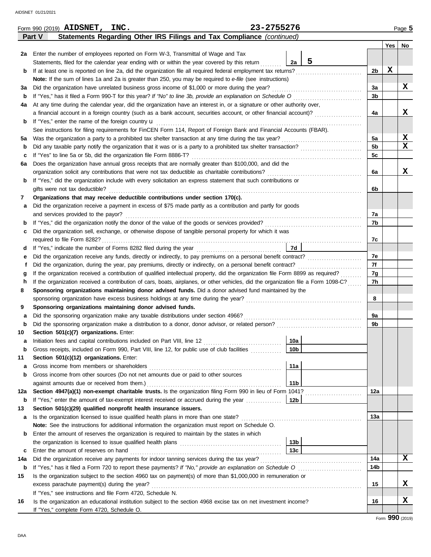|        | Form 990 (2019) <b>AIDSNET, INC.</b>                                                                                                                                                                                                             | 23-2755276 |                 |   |                |     | Page 5      |  |  |  |  |
|--------|--------------------------------------------------------------------------------------------------------------------------------------------------------------------------------------------------------------------------------------------------|------------|-----------------|---|----------------|-----|-------------|--|--|--|--|
|        | Statements Regarding Other IRS Filings and Tax Compliance (continued)<br>Part V                                                                                                                                                                  |            |                 |   |                |     |             |  |  |  |  |
|        |                                                                                                                                                                                                                                                  |            |                 |   |                | Yes | No          |  |  |  |  |
| 2a     | Enter the number of employees reported on Form W-3, Transmittal of Wage and Tax                                                                                                                                                                  |            |                 |   |                |     |             |  |  |  |  |
|        | Statements, filed for the calendar year ending with or within the year covered by this return                                                                                                                                                    |            | 2a              | 5 |                | X   |             |  |  |  |  |
| b      | If at least one is reported on line 2a, did the organization file all required federal employment tax returns?                                                                                                                                   |            |                 |   |                |     |             |  |  |  |  |
|        | Note: If the sum of lines 1a and 2a is greater than 250, you may be required to e-file (see instructions)                                                                                                                                        |            |                 |   |                |     |             |  |  |  |  |
| За     | Did the organization have unrelated business gross income of \$1,000 or more during the year?                                                                                                                                                    |            |                 |   |                |     |             |  |  |  |  |
| b      | If "Yes," has it filed a Form 990-T for this year? If "No" to line 3b, provide an explanation on Schedule O                                                                                                                                      |            |                 |   | 3b             |     |             |  |  |  |  |
| 4a     | At any time during the calendar year, did the organization have an interest in, or a signature or other authority over,                                                                                                                          |            |                 |   |                |     |             |  |  |  |  |
|        | a financial account in a foreign country (such as a bank account, securities account, or other financial account)?                                                                                                                               |            |                 |   | 4a             |     | x           |  |  |  |  |
| b      | If "Yes," enter the name of the foreign country u                                                                                                                                                                                                |            |                 |   |                |     |             |  |  |  |  |
|        | See instructions for filing requirements for FinCEN Form 114, Report of Foreign Bank and Financial Accounts (FBAR).                                                                                                                              |            |                 |   |                |     |             |  |  |  |  |
| 5a     | Was the organization a party to a prohibited tax shelter transaction at any time during the tax year?                                                                                                                                            |            |                 |   | 5a             |     | X           |  |  |  |  |
| b      | Did any taxable party notify the organization that it was or is a party to a prohibited tax shelter transaction?                                                                                                                                 |            |                 |   | 5 <sub>b</sub> |     | $\mathbf x$ |  |  |  |  |
| c      | If "Yes" to line 5a or 5b, did the organization file Form 8886-T?                                                                                                                                                                                |            |                 |   | 5 <sub>c</sub> |     |             |  |  |  |  |
| 6a     | Does the organization have annual gross receipts that are normally greater than \$100,000, and did the                                                                                                                                           |            |                 |   |                |     |             |  |  |  |  |
|        | organization solicit any contributions that were not tax deductible as charitable contributions?                                                                                                                                                 |            |                 |   | 6a             |     | x           |  |  |  |  |
| b      | If "Yes," did the organization include with every solicitation an express statement that such contributions or                                                                                                                                   |            |                 |   |                |     |             |  |  |  |  |
|        | gifts were not tax deductible?                                                                                                                                                                                                                   |            |                 |   | 6b             |     |             |  |  |  |  |
| 7      | Organizations that may receive deductible contributions under section 170(c).                                                                                                                                                                    |            |                 |   |                |     |             |  |  |  |  |
| а      | Did the organization receive a payment in excess of \$75 made partly as a contribution and partly for goods                                                                                                                                      |            |                 |   |                |     |             |  |  |  |  |
|        | and services provided to the payor?                                                                                                                                                                                                              |            |                 |   | 7a             |     |             |  |  |  |  |
| b      |                                                                                                                                                                                                                                                  |            |                 |   | 7b             |     |             |  |  |  |  |
| c      | Did the organization sell, exchange, or otherwise dispose of tangible personal property for which it was                                                                                                                                         |            |                 |   |                |     |             |  |  |  |  |
|        |                                                                                                                                                                                                                                                  |            |                 |   | 7c             |     |             |  |  |  |  |
| d      | If "Yes," indicate the number of Forms 8282 filed during the year<br>[[[[[[[[[[[[[[[[[]]]]]]]                                                                                                                                                    |            | 7d              |   |                |     |             |  |  |  |  |
| е<br>f |                                                                                                                                                                                                                                                  |            |                 |   | 7e<br>7f       |     |             |  |  |  |  |
|        | Did the organization, during the year, pay premiums, directly or indirectly, on a personal benefit contract?<br>If the organization received a contribution of qualified intellectual property, did the organization file Form 8899 as required? |            |                 |   | 7g             |     |             |  |  |  |  |
| g<br>h | If the organization received a contribution of cars, boats, airplanes, or other vehicles, did the organization file a Form 1098-C?                                                                                                               |            |                 |   | 7h             |     |             |  |  |  |  |
| 8      | Sponsoring organizations maintaining donor advised funds. Did a donor advised fund maintained by the                                                                                                                                             |            |                 |   |                |     |             |  |  |  |  |
|        |                                                                                                                                                                                                                                                  |            |                 |   | 8              |     |             |  |  |  |  |
| 9      | Sponsoring organizations maintaining donor advised funds.                                                                                                                                                                                        |            |                 |   |                |     |             |  |  |  |  |
| а      | Did the sponsoring organization make any taxable distributions under section 4966?                                                                                                                                                               |            |                 |   | 9a             |     |             |  |  |  |  |
| b      |                                                                                                                                                                                                                                                  |            |                 |   | 9b             |     |             |  |  |  |  |
| 10     | Section 501(c)(7) organizations. Enter:                                                                                                                                                                                                          |            |                 |   |                |     |             |  |  |  |  |
| a      |                                                                                                                                                                                                                                                  |            | 10a             |   |                |     |             |  |  |  |  |
| b      | Gross receipts, included on Form 990, Part VIII, line 12, for public use of club facilities                                                                                                                                                      |            | 10 <sub>b</sub> |   |                |     |             |  |  |  |  |
| 11     | Section 501(c)(12) organizations. Enter:                                                                                                                                                                                                         |            |                 |   |                |     |             |  |  |  |  |
| а      | Gross income from members or shareholders                                                                                                                                                                                                        |            | 11a             |   |                |     |             |  |  |  |  |
| b      | Gross income from other sources (Do not net amounts due or paid to other sources                                                                                                                                                                 |            |                 |   |                |     |             |  |  |  |  |
|        | against amounts due or received from them.)                                                                                                                                                                                                      |            | 11 <sub>b</sub> |   |                |     |             |  |  |  |  |
| 12a    | Section 4947(a)(1) non-exempt charitable trusts. Is the organization filing Form 990 in lieu of Form 1041?                                                                                                                                       |            |                 |   | 12a            |     |             |  |  |  |  |
| b      | If "Yes," enter the amount of tax-exempt interest received or accrued during the year                                                                                                                                                            |            | 12b             |   |                |     |             |  |  |  |  |
| 13     | Section 501(c)(29) qualified nonprofit health insurance issuers.                                                                                                                                                                                 |            |                 |   |                |     |             |  |  |  |  |
| а      | Is the organization licensed to issue qualified health plans in more than one state?                                                                                                                                                             |            |                 |   | 13а            |     |             |  |  |  |  |
|        | Note: See the instructions for additional information the organization must report on Schedule O.                                                                                                                                                |            |                 |   |                |     |             |  |  |  |  |
| b      | Enter the amount of reserves the organization is required to maintain by the states in which                                                                                                                                                     |            |                 |   |                |     |             |  |  |  |  |
|        |                                                                                                                                                                                                                                                  |            | 13b             |   |                |     |             |  |  |  |  |
| c      | Enter the amount of reserves on hand                                                                                                                                                                                                             |            | 13 <sub>c</sub> |   |                |     |             |  |  |  |  |
| 14a    | Did the organization receive any payments for indoor tanning services during the tax year?                                                                                                                                                       |            |                 |   | 14a            |     | X           |  |  |  |  |
| b      |                                                                                                                                                                                                                                                  |            |                 |   | 14b            |     |             |  |  |  |  |
| 15     | Is the organization subject to the section 4960 tax on payment(s) of more than \$1,000,000 in remuneration or                                                                                                                                    |            |                 |   |                |     |             |  |  |  |  |
|        | excess parachute payment(s) during the year?                                                                                                                                                                                                     |            |                 |   | 15             |     | х           |  |  |  |  |
|        | If "Yes," see instructions and file Form 4720, Schedule N.                                                                                                                                                                                       |            |                 |   |                |     |             |  |  |  |  |
| 16     | Is the organization an educational institution subject to the section 4968 excise tax on net investment income?                                                                                                                                  |            |                 |   | 16             |     | X           |  |  |  |  |
|        | If "Yes," complete Form 4720, Schedule O.                                                                                                                                                                                                        |            |                 |   |                |     |             |  |  |  |  |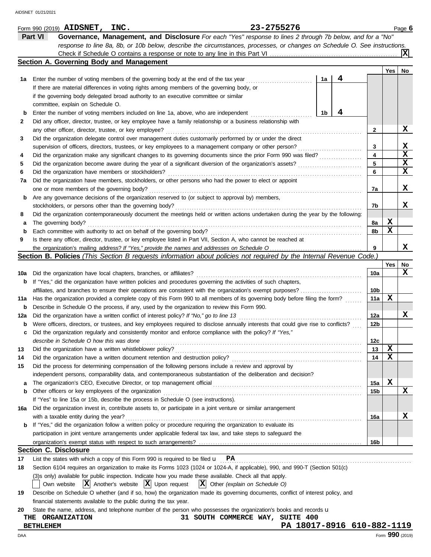|        | Form 990 (2019) AIDSNET, INC.                                                                                                       | 23-2755276                                   |                            |                         |     | Page 6          |
|--------|-------------------------------------------------------------------------------------------------------------------------------------|----------------------------------------------|----------------------------|-------------------------|-----|-----------------|
|        | Governance, Management, and Disclosure For each "Yes" response to lines 2 through 7b below, and for a "No"<br>Part VI               |                                              |                            |                         |     |                 |
|        | response to line 8a, 8b, or 10b below, describe the circumstances, processes, or changes on Schedule O. See instructions.           |                                              |                            |                         |     |                 |
|        |                                                                                                                                     |                                              |                            |                         |     |                 |
|        | Section A. Governing Body and Management                                                                                            |                                              |                            |                         |     |                 |
|        |                                                                                                                                     |                                              |                            |                         | Yes | No              |
| 1а     | Enter the number of voting members of the governing body at the end of the tax year                                                 |                                              | 4<br>1a                    |                         |     |                 |
|        | If there are material differences in voting rights among members of the governing body, or                                          |                                              |                            |                         |     |                 |
|        | if the governing body delegated broad authority to an executive committee or similar                                                |                                              |                            |                         |     |                 |
|        | committee, explain on Schedule O.                                                                                                   |                                              |                            |                         |     |                 |
| b      | Enter the number of voting members included on line 1a, above, who are independent                                                  |                                              | 4<br>1b                    |                         |     |                 |
| 2      | Did any officer, director, trustee, or key employee have a family relationship or a business relationship with                      |                                              |                            |                         |     |                 |
|        | any other officer, director, trustee, or key employee?                                                                              |                                              |                            | 2                       |     | х               |
| 3      | Did the organization delegate control over management duties customarily performed by or under the direct                           |                                              |                            |                         |     |                 |
|        | supervision of officers, directors, trustees, or key employees to a management company or other person?                             |                                              |                            | 3                       |     | X               |
| 4      | Did the organization make any significant changes to its governing documents since the prior Form 990 was filed?                    |                                              |                            | $\overline{\mathbf{4}}$ |     | $\mathbf x$     |
| 5      | Did the organization become aware during the year of a significant diversion of the organization's assets?                          |                                              |                            | 5                       |     | X               |
| 6      | Did the organization have members or stockholders?                                                                                  |                                              |                            | 6                       |     | X               |
| 7a     | Did the organization have members, stockholders, or other persons who had the power to elect or appoint                             |                                              |                            |                         |     |                 |
|        | one or more members of the governing body?                                                                                          |                                              |                            | 7a                      |     | x               |
| b      | Are any governance decisions of the organization reserved to (or subject to approval by) members,                                   |                                              |                            |                         |     |                 |
|        | stockholders, or persons other than the governing body?                                                                             |                                              |                            | 7b                      |     | x               |
| 8      | Did the organization contemporaneously document the meetings held or written actions undertaken during the year by the following:   |                                              |                            |                         |     |                 |
| а      | The governing body?                                                                                                                 |                                              |                            | 8a                      | x   |                 |
| b      | Each committee with authority to act on behalf of the governing body?                                                               |                                              |                            | 8b                      | X   |                 |
| 9      | Is there any officer, director, trustee, or key employee listed in Part VII, Section A, who cannot be reached at                    |                                              |                            |                         |     |                 |
|        |                                                                                                                                     |                                              |                            | 9                       |     | x               |
|        | <b>Section B. Policies</b> (This Section B requests information about policies not required by the Internal Revenue Code.)          |                                              |                            |                         |     |                 |
|        |                                                                                                                                     |                                              |                            |                         | Yes | No              |
| 10a    | Did the organization have local chapters, branches, or affiliates?                                                                  |                                              |                            | 10a                     |     | x               |
| b      | If "Yes," did the organization have written policies and procedures governing the activities of such chapters,                      |                                              |                            |                         |     |                 |
|        | affiliates, and branches to ensure their operations are consistent with the organization's exempt purposes?                         |                                              |                            | 10b                     |     |                 |
| 11a    | Has the organization provided a complete copy of this Form 990 to all members of its governing body before filing the form?         |                                              |                            | 11a                     | X   |                 |
| b      | Describe in Schedule O the process, if any, used by the organization to review this Form 990.                                       |                                              |                            |                         |     |                 |
| 12a    | Did the organization have a written conflict of interest policy? If "No," go to line 13                                             |                                              |                            | 12a                     |     | X               |
| b      | Were officers, directors, or trustees, and key employees required to disclose annually interests that could give rise to conflicts? |                                              |                            | 12 <sub>b</sub>         |     |                 |
|        | Did the organization regularly and consistently monitor and enforce compliance with the policy? If "Yes,"                           |                                              |                            |                         |     |                 |
|        | describe in Schedule O how this was done                                                                                            |                                              |                            | 12C                     |     |                 |
| 13     | Did the organization have a written whistleblower policy?                                                                           |                                              |                            | 13                      | х   |                 |
| 14     | Did the organization have a written document retention and destruction policy?                                                      |                                              |                            | 14                      | X   |                 |
| 15     | Did the process for determining compensation of the following persons include a review and approval by                              |                                              |                            |                         |     |                 |
|        | independent persons, comparability data, and contemporaneous substantiation of the deliberation and decision?                       |                                              |                            |                         |     |                 |
|        | The organization's CEO, Executive Director, or top management official                                                              |                                              |                            | 15a                     | х   |                 |
| a<br>b | Other officers or key employees of the organization                                                                                 |                                              |                            | 15b                     |     | X               |
|        | If "Yes" to line 15a or 15b, describe the process in Schedule O (see instructions).                                                 |                                              |                            |                         |     |                 |
|        | Did the organization invest in, contribute assets to, or participate in a joint venture or similar arrangement                      |                                              |                            |                         |     |                 |
| 16a    | with a taxable entity during the year?                                                                                              |                                              |                            | 16a                     |     | x               |
| b      | If "Yes," did the organization follow a written policy or procedure requiring the organization to evaluate its                      |                                              |                            |                         |     |                 |
|        | participation in joint venture arrangements under applicable federal tax law, and take steps to safeguard the                       |                                              |                            |                         |     |                 |
|        |                                                                                                                                     |                                              |                            |                         |     |                 |
|        |                                                                                                                                     |                                              |                            | 16b                     |     |                 |
|        | <b>Section C. Disclosure</b><br>List the states with which a copy of this Form 990 is required to be filed $\mathbf{u}$ PA          |                                              |                            |                         |     |                 |
| 17     |                                                                                                                                     |                                              |                            |                         |     |                 |
| 18     | Section 6104 requires an organization to make its Forms 1023 (1024 or 1024-A, if applicable), 990, and 990-T (Section 501(c)        |                                              |                            |                         |     |                 |
|        | (3)s only) available for public inspection. Indicate how you made these available. Check all that apply.                            |                                              |                            |                         |     |                 |
|        | $ \mathbf{X} $ Another's website $ \mathbf{X} $ Upon request<br>Own website                                                         | $ \mathbf{X} $ Other (explain on Schedule O) |                            |                         |     |                 |
| 19     | Describe on Schedule O whether (and if so, how) the organization made its governing documents, conflict of interest policy, and     |                                              |                            |                         |     |                 |
|        | financial statements available to the public during the tax year.                                                                   |                                              |                            |                         |     |                 |
| 20     | State the name, address, and telephone number of the person who possesses the organization's books and records u                    |                                              |                            |                         |     |                 |
|        | <b>THE ORGANIZATION</b>                                                                                                             | 31 SOUTH COMMERCE WAY, SUITE 400             |                            |                         |     |                 |
|        | <b>BETHLEHEM</b>                                                                                                                    |                                              | PA 18017-8916 610-882-1119 |                         |     |                 |
| DAA    |                                                                                                                                     |                                              |                            |                         |     | Form 990 (2019) |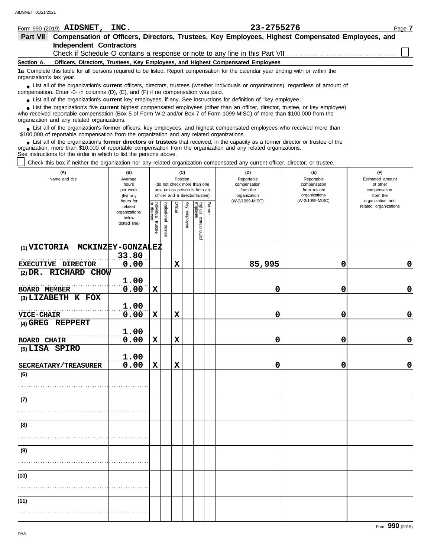| Form 990 (2019) AIDSNET, INC.                                                                                                                                                                                                                                                                                                 |                       |                                                                                                  | 23-2755276               |                              | Page 7                                    |
|-------------------------------------------------------------------------------------------------------------------------------------------------------------------------------------------------------------------------------------------------------------------------------------------------------------------------------|-----------------------|--------------------------------------------------------------------------------------------------|--------------------------|------------------------------|-------------------------------------------|
| Part VII                                                                                                                                                                                                                                                                                                                      |                       | Compensation of Officers, Directors, Trustees, Key Employees, Highest Compensated Employees, and |                          |                              |                                           |
| <b>Independent Contractors</b>                                                                                                                                                                                                                                                                                                |                       |                                                                                                  |                          |                              |                                           |
|                                                                                                                                                                                                                                                                                                                               |                       | Check if Schedule O contains a response or note to any line in this Part VII                     |                          |                              |                                           |
| Section A.                                                                                                                                                                                                                                                                                                                    |                       | Officers, Directors, Trustees, Key Employees, and Highest Compensated Employees                  |                          |                              |                                           |
| 1a Complete this table for all persons required to be listed. Report compensation for the calendar year ending with or within the<br>organization's tax year.                                                                                                                                                                 |                       |                                                                                                  |                          |                              |                                           |
| • List all of the organization's <b>current</b> officers, directors, trustees (whether individuals or organizations), regardless of amount of<br>compensation. Enter -0- in columns (D), (E), and (F) if no compensation was paid.                                                                                            |                       |                                                                                                  |                          |                              |                                           |
| • List all of the organization's current key employees, if any. See instructions for definition of "key employee."                                                                                                                                                                                                            |                       |                                                                                                  |                          |                              |                                           |
| • List the organization's five current highest compensated employees (other than an officer, director, trustee, or key employee)<br>who received reportable compensation (Box 5 of Form W-2 and/or Box 7 of Form 1099-MISC) of more than \$100,000 from the<br>organization and any related organizations.                    |                       |                                                                                                  |                          |                              |                                           |
| • List all of the organization's former officers, key employees, and highest compensated employees who received more than<br>\$100,000 of reportable compensation from the organization and any related organizations.                                                                                                        |                       |                                                                                                  |                          |                              |                                           |
| • List all of the organization's former directors or trustees that received, in the capacity as a former director or trustee of the<br>organization, more than \$10,000 of reportable compensation from the organization and any related organizations.<br>See instructions for the order in which to list the persons above. |                       |                                                                                                  |                          |                              |                                           |
| Check this box if neither the organization nor any related organization compensated any current officer, director, or trustee.                                                                                                                                                                                                |                       |                                                                                                  |                          |                              |                                           |
| (A)                                                                                                                                                                                                                                                                                                                           | (B)                   | (C)                                                                                              | (D)                      | (E)                          | (F)                                       |
| Name and title                                                                                                                                                                                                                                                                                                                | Average               | Position                                                                                         | Reportable               | Reportable                   | Estimated amount                          |
|                                                                                                                                                                                                                                                                                                                               | hours<br>per week     | (do not check more than one<br>box, unless person is both an                                     | compensation<br>from the | compensation<br>from related | of other<br>compensation                  |
|                                                                                                                                                                                                                                                                                                                               | (list any             | officer and a director/trustee)                                                                  | organization             | organizations                | from the                                  |
|                                                                                                                                                                                                                                                                                                                               | hours for<br>related  | Κey                                                                                              | (W-2/1099-MISC)          | (W-2/1099-MISC)              | organization and<br>related organizations |
|                                                                                                                                                                                                                                                                                                                               | organizations         | Former<br>Individual<br>or director<br>Institutional<br>Officer                                  |                          |                              |                                           |
|                                                                                                                                                                                                                                                                                                                               | below<br>dotted line) | employee                                                                                         |                          |                              |                                           |
|                                                                                                                                                                                                                                                                                                                               |                       | trustee<br>trustee                                                                               |                          |                              |                                           |
|                                                                                                                                                                                                                                                                                                                               |                       | Highest compensated<br>employee                                                                  |                          |                              |                                           |
| (1) VICTORIA                                                                                                                                                                                                                                                                                                                  | MCKINZEY-GONZALEZ     |                                                                                                  |                          |                              |                                           |

| (A)<br>Name and title | (B)<br>Average<br>hours<br>per week<br>(list any               |                                      | (C)<br>Position<br>(do not check more than one<br>box, unless person is both an<br>officer and a director/trustee) |             |              |                                 |        | (D)<br>Reportable<br>compensation<br>from the<br>organization | (F)<br>Reportable<br>compensation<br>from related<br>organizations | (F)<br>Estimated amount<br>of other<br>compensation<br>from the |
|-----------------------|----------------------------------------------------------------|--------------------------------------|--------------------------------------------------------------------------------------------------------------------|-------------|--------------|---------------------------------|--------|---------------------------------------------------------------|--------------------------------------------------------------------|-----------------------------------------------------------------|
|                       | hours for<br>related<br>organizations<br>below<br>dotted line) | Individual<br>or director<br>trustee | Institutional trustee                                                                                              | Officer     | Key employee | Highest compensated<br>employee | Former | (W-2/1099-MISC)                                               | (W-2/1099-MISC)                                                    | organization and<br>related organizations                       |
| (1) VICTORIA          | MCKINZEY-GONZALEZ                                              |                                      |                                                                                                                    |             |              |                                 |        |                                                               |                                                                    |                                                                 |
|                       | 33.80                                                          |                                      |                                                                                                                    |             |              |                                 |        |                                                               |                                                                    |                                                                 |
| EXECUTIVE DIRECTOR    | 0.00                                                           |                                      |                                                                                                                    | $\mathbf x$ |              |                                 |        | 85,995                                                        | 0                                                                  | $\mathbf 0$                                                     |
| (2) DR. RICHARD CHOW  | 1.00                                                           |                                      |                                                                                                                    |             |              |                                 |        |                                                               |                                                                    |                                                                 |
| <b>BOARD MEMBER</b>   | 0.00                                                           | $\mathbf x$                          |                                                                                                                    |             |              |                                 |        | 0                                                             | 0                                                                  | $\pmb{0}$                                                       |
| (3) LIZABETH K FOX    |                                                                |                                      |                                                                                                                    |             |              |                                 |        |                                                               |                                                                    |                                                                 |
|                       | 1.00                                                           |                                      |                                                                                                                    |             |              |                                 |        |                                                               |                                                                    |                                                                 |
| <b>VICE-CHAIR</b>     | 0.00                                                           | $\mathbf x$                          |                                                                                                                    | $\mathbf x$ |              |                                 |        | 0                                                             | 0                                                                  | $\pmb{0}$                                                       |
| (4) GREG REPPERT      |                                                                |                                      |                                                                                                                    |             |              |                                 |        |                                                               |                                                                    |                                                                 |
|                       | 1.00                                                           |                                      |                                                                                                                    |             |              |                                 |        |                                                               |                                                                    |                                                                 |
| <b>BOARD CHAIR</b>    | 0.00                                                           | $\mathbf x$                          |                                                                                                                    | $\mathbf x$ |              |                                 |        | 0                                                             | 0                                                                  | $\mathbf 0$                                                     |
| (5) LISA SPIRO        | 1.00                                                           |                                      |                                                                                                                    |             |              |                                 |        |                                                               |                                                                    |                                                                 |
| SECREATARY/TREASURER  | 0.00                                                           | $\mathbf x$                          |                                                                                                                    | $\mathbf x$ |              |                                 |        | 0                                                             | 0                                                                  | $\pmb{0}$                                                       |
| (6)                   |                                                                |                                      |                                                                                                                    |             |              |                                 |        |                                                               |                                                                    |                                                                 |
|                       |                                                                |                                      |                                                                                                                    |             |              |                                 |        |                                                               |                                                                    |                                                                 |
| (7)                   |                                                                |                                      |                                                                                                                    |             |              |                                 |        |                                                               |                                                                    |                                                                 |
|                       |                                                                |                                      |                                                                                                                    |             |              |                                 |        |                                                               |                                                                    |                                                                 |
| (8)                   |                                                                |                                      |                                                                                                                    |             |              |                                 |        |                                                               |                                                                    |                                                                 |
|                       |                                                                |                                      |                                                                                                                    |             |              |                                 |        |                                                               |                                                                    |                                                                 |
| (9)                   |                                                                |                                      |                                                                                                                    |             |              |                                 |        |                                                               |                                                                    |                                                                 |
|                       |                                                                |                                      |                                                                                                                    |             |              |                                 |        |                                                               |                                                                    |                                                                 |
| (10)                  |                                                                |                                      |                                                                                                                    |             |              |                                 |        |                                                               |                                                                    |                                                                 |
|                       |                                                                |                                      |                                                                                                                    |             |              |                                 |        |                                                               |                                                                    |                                                                 |
| (11)                  |                                                                |                                      |                                                                                                                    |             |              |                                 |        |                                                               |                                                                    |                                                                 |
|                       |                                                                |                                      |                                                                                                                    |             |              |                                 |        |                                                               |                                                                    |                                                                 |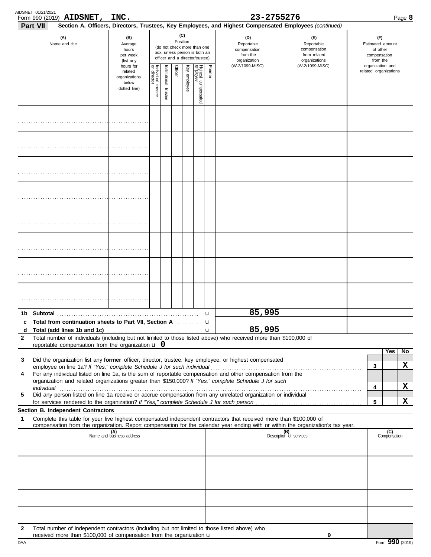| AIDSNET 01/21/2021 | Form 990 (2019) AIDSNET,                                                                                                                                                                                                                               | INC.                                |                                                                                                                                 |                      |         |              |                                 |             | 23-2755276                                                                                                                                                              |                                                                    |                                                                 |                       | Page 8 |
|--------------------|--------------------------------------------------------------------------------------------------------------------------------------------------------------------------------------------------------------------------------------------------------|-------------------------------------|---------------------------------------------------------------------------------------------------------------------------------|----------------------|---------|--------------|---------------------------------|-------------|-------------------------------------------------------------------------------------------------------------------------------------------------------------------------|--------------------------------------------------------------------|-----------------------------------------------------------------|-----------------------|--------|
| Part VII           | (A)<br>Name and title                                                                                                                                                                                                                                  | (B)<br>Average<br>hours<br>per week | (C)<br>Position<br>(do not check more than one<br>box, unless person is both an<br>officer and a director/trustee)<br>(list any |                      |         |              |                                 |             | Section A. Officers, Directors, Trustees, Key Employees, and Highest Compensated Employees (continued)<br>(D)<br>Reportable<br>compensation<br>from the<br>organization | (E)<br>Reportable<br>compensation<br>from related<br>organizations | (F)<br>Estimated amount<br>of other<br>compensation<br>from the |                       |        |
|                    | hours for<br>related<br>organizations<br>below<br>dotted line)                                                                                                                                                                                         |                                     | Individual<br>or director<br>trustee                                                                                            | nstitutional trustee | Officer | Key employee | Highest compensated<br>employee | Former      | (W-2/1099-MISC)                                                                                                                                                         | (W-2/1099-MISC)                                                    | organization and                                                | related organizations |        |
|                    |                                                                                                                                                                                                                                                        |                                     |                                                                                                                                 |                      |         |              |                                 |             |                                                                                                                                                                         |                                                                    |                                                                 |                       |        |
|                    |                                                                                                                                                                                                                                                        |                                     |                                                                                                                                 |                      |         |              |                                 |             |                                                                                                                                                                         |                                                                    |                                                                 |                       |        |
|                    |                                                                                                                                                                                                                                                        |                                     |                                                                                                                                 |                      |         |              |                                 |             |                                                                                                                                                                         |                                                                    |                                                                 |                       |        |
|                    |                                                                                                                                                                                                                                                        |                                     |                                                                                                                                 |                      |         |              |                                 |             |                                                                                                                                                                         |                                                                    |                                                                 |                       |        |
|                    |                                                                                                                                                                                                                                                        |                                     |                                                                                                                                 |                      |         |              |                                 |             |                                                                                                                                                                         |                                                                    |                                                                 |                       |        |
|                    |                                                                                                                                                                                                                                                        |                                     |                                                                                                                                 |                      |         |              |                                 |             |                                                                                                                                                                         |                                                                    |                                                                 |                       |        |
|                    |                                                                                                                                                                                                                                                        |                                     |                                                                                                                                 |                      |         |              |                                 |             |                                                                                                                                                                         |                                                                    |                                                                 |                       |        |
|                    |                                                                                                                                                                                                                                                        |                                     |                                                                                                                                 |                      |         |              |                                 |             |                                                                                                                                                                         |                                                                    |                                                                 |                       |        |
|                    | c Total from continuation sheets to Part VII, Section A                                                                                                                                                                                                |                                     |                                                                                                                                 |                      |         |              |                                 | u<br>u      | 85,995                                                                                                                                                                  |                                                                    |                                                                 |                       |        |
| d<br>2             | Total number of individuals (including but not limited to those listed above) who received more than \$100,000 of                                                                                                                                      |                                     |                                                                                                                                 |                      |         |              |                                 | $\mathbf u$ | 85,995                                                                                                                                                                  |                                                                    |                                                                 |                       |        |
|                    | reportable compensation from the organization $\bf{u}$ 0                                                                                                                                                                                               |                                     |                                                                                                                                 |                      |         |              |                                 |             |                                                                                                                                                                         |                                                                    |                                                                 |                       |        |
| 3                  | Did the organization list any former officer, director, trustee, key employee, or highest compensated                                                                                                                                                  |                                     |                                                                                                                                 |                      |         |              |                                 |             |                                                                                                                                                                         |                                                                    |                                                                 | Yes                   | No     |
| 4                  | For any individual listed on line 1a, is the sum of reportable compensation and other compensation from the                                                                                                                                            |                                     |                                                                                                                                 |                      |         |              |                                 |             |                                                                                                                                                                         |                                                                    | 3                                                               |                       | X      |
|                    | organization and related organizations greater than \$150,000? If "Yes," complete Schedule J for such<br>individual communications and contact the contact of the contact of the contact of the contact of the contact o                               |                                     |                                                                                                                                 |                      |         |              |                                 |             |                                                                                                                                                                         |                                                                    | 4                                                               |                       | X      |
| 5                  | Did any person listed on line 1a receive or accrue compensation from any unrelated organization or individual                                                                                                                                          |                                     |                                                                                                                                 |                      |         |              |                                 |             |                                                                                                                                                                         |                                                                    |                                                                 |                       |        |
|                    | Section B. Independent Contractors                                                                                                                                                                                                                     |                                     |                                                                                                                                 |                      |         |              |                                 |             |                                                                                                                                                                         |                                                                    | 5                                                               |                       | X      |
| 1                  | Complete this table for your five highest compensated independent contractors that received more than \$100,000 of<br>compensation from the organization. Report compensation for the calendar year ending with or within the organization's tax year. |                                     |                                                                                                                                 |                      |         |              |                                 |             |                                                                                                                                                                         |                                                                    |                                                                 |                       |        |
|                    |                                                                                                                                                                                                                                                        | (A)<br>Name and business address    |                                                                                                                                 |                      |         |              |                                 |             |                                                                                                                                                                         | (B)<br>Description of services                                     |                                                                 | (C)<br>Compensation   |        |
|                    |                                                                                                                                                                                                                                                        |                                     |                                                                                                                                 |                      |         |              |                                 |             |                                                                                                                                                                         |                                                                    |                                                                 |                       |        |
|                    |                                                                                                                                                                                                                                                        |                                     |                                                                                                                                 |                      |         |              |                                 |             |                                                                                                                                                                         |                                                                    |                                                                 |                       |        |
|                    |                                                                                                                                                                                                                                                        |                                     |                                                                                                                                 |                      |         |              |                                 |             |                                                                                                                                                                         |                                                                    |                                                                 |                       |        |
|                    |                                                                                                                                                                                                                                                        |                                     |                                                                                                                                 |                      |         |              |                                 |             |                                                                                                                                                                         |                                                                    |                                                                 |                       |        |
| $\mathbf{2}$       | Total number of independent contractors (including but not limited to those listed above) who                                                                                                                                                          |                                     |                                                                                                                                 |                      |         |              |                                 |             |                                                                                                                                                                         |                                                                    |                                                                 |                       |        |
|                    | received more than \$100,000 of compensation from the organization $\mathbf u$                                                                                                                                                                         |                                     |                                                                                                                                 |                      |         |              |                                 |             |                                                                                                                                                                         | 0                                                                  |                                                                 |                       |        |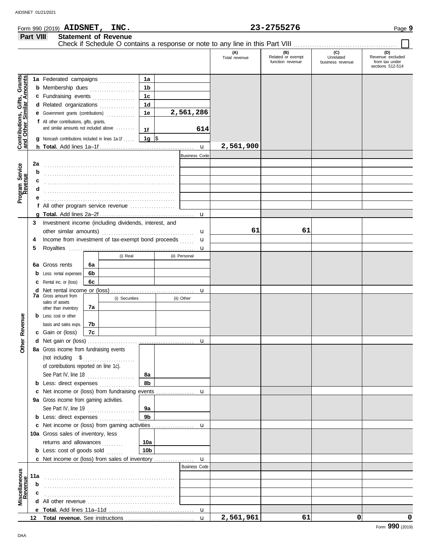|                                 |           | Form 990 (2019) AIDSNET, INC.                                        |          |                                        |                 |  |                                      |                      | 23-2755276                                   |                                      | Page 9                                                        |  |
|---------------------------------|-----------|----------------------------------------------------------------------|----------|----------------------------------------|-----------------|--|--------------------------------------|----------------------|----------------------------------------------|--------------------------------------|---------------------------------------------------------------|--|
|                                 | Part VIII |                                                                      |          | <b>Statement of Revenue</b>            |                 |  |                                      |                      |                                              |                                      |                                                               |  |
|                                 |           |                                                                      |          |                                        |                 |  |                                      |                      |                                              |                                      |                                                               |  |
|                                 |           |                                                                      |          |                                        |                 |  |                                      | (A)<br>Total revenue | (B)<br>Related or exempt<br>function revenue | (C)<br>Unrelated<br>business revenue | (D)<br>Revenue excluded<br>from tax under<br>sections 512-514 |  |
|                                 |           |                                                                      |          |                                        | 1a              |  |                                      |                      |                                              |                                      |                                                               |  |
| Grants<br><u>mounts</u>         |           | 1a Federated campaigns<br>1 <sub>b</sub><br><b>b</b> Membership dues |          |                                        |                 |  |                                      |                      |                                              |                                      |                                                               |  |
|                                 |           | c Fundraising events                                                 |          |                                        | 1 <sub>c</sub>  |  |                                      |                      |                                              |                                      |                                                               |  |
| Gifts,<br>Illar Ar              |           | d Related organizations                                              |          | .                                      | 1 <sub>d</sub>  |  |                                      |                      |                                              |                                      |                                                               |  |
|                                 |           | e Government grants (contributions)                                  |          |                                        | 1e              |  | 2,561,286                            |                      |                                              |                                      |                                                               |  |
| Contributions,<br>and Other Sim |           | f All other contributions, gifts, grants,                            |          |                                        |                 |  |                                      |                      |                                              |                                      |                                                               |  |
|                                 |           |                                                                      |          | and similar amounts not included above | 1f              |  | 614                                  |                      |                                              |                                      |                                                               |  |
|                                 |           | <b>g</b> Noncash contributions included in lines 1a-1f               |          |                                        | $1g \sqrt{3}$   |  |                                      |                      |                                              |                                      |                                                               |  |
|                                 |           |                                                                      |          |                                        |                 |  | $\mathbf u$                          | 2,561,900            |                                              |                                      |                                                               |  |
|                                 |           |                                                                      |          |                                        |                 |  | <b>Business Code</b>                 |                      |                                              |                                      |                                                               |  |
|                                 | 2a        |                                                                      |          |                                        |                 |  |                                      |                      |                                              |                                      |                                                               |  |
|                                 | b         |                                                                      |          |                                        |                 |  |                                      |                      |                                              |                                      |                                                               |  |
|                                 | c         |                                                                      |          |                                        |                 |  |                                      |                      |                                              |                                      |                                                               |  |
|                                 | d         |                                                                      |          |                                        |                 |  |                                      |                      |                                              |                                      |                                                               |  |
| Program Service<br>Revenue      |           |                                                                      |          |                                        |                 |  |                                      |                      |                                              |                                      |                                                               |  |
|                                 |           | f All other program service revenue                                  |          |                                        |                 |  |                                      |                      |                                              |                                      |                                                               |  |
|                                 |           |                                                                      |          |                                        |                 |  | u                                    |                      |                                              |                                      |                                                               |  |
|                                 |           | 3 Investment income (including dividends, interest, and              |          |                                        |                 |  |                                      |                      |                                              |                                      |                                                               |  |
|                                 |           | other similar amounts)                                               |          |                                        |                 |  | u                                    | 61                   | 61                                           |                                      |                                                               |  |
|                                 | 4         | Income from investment of tax-exempt bond proceeds                   |          |                                        |                 |  | u                                    |                      |                                              |                                      |                                                               |  |
|                                 | 5         |                                                                      |          |                                        |                 |  | u                                    |                      |                                              |                                      |                                                               |  |
|                                 |           |                                                                      |          | (i) Real                               |                 |  | (ii) Personal                        |                      |                                              |                                      |                                                               |  |
|                                 |           | <b>6a</b> Gross rents                                                | 6а       |                                        |                 |  |                                      |                      |                                              |                                      |                                                               |  |
|                                 |           | <b>b</b> Less: rental expenses                                       | 6b<br>6c |                                        |                 |  |                                      |                      |                                              |                                      |                                                               |  |
|                                 |           | <b>c</b> Rental inc. or (loss)                                       |          |                                        |                 |  | u                                    |                      |                                              |                                      |                                                               |  |
|                                 |           | <b>7a</b> Gross amount from                                          |          | (i) Securities                         |                 |  | (ii) Other                           |                      |                                              |                                      |                                                               |  |
|                                 |           | sales of assets<br>other than inventory                              | 7а       |                                        |                 |  |                                      |                      |                                              |                                      |                                                               |  |
|                                 |           | <b>b</b> Less: cost or other                                         |          |                                        |                 |  |                                      |                      |                                              |                                      |                                                               |  |
|                                 |           | basis and sales exps.                                                | 7b       |                                        |                 |  |                                      |                      |                                              |                                      |                                                               |  |
| Revenue                         |           | c Gain or (loss)                                                     | 7c       |                                        |                 |  |                                      |                      |                                              |                                      |                                                               |  |
|                                 |           |                                                                      |          |                                        |                 |  |                                      |                      |                                              |                                      |                                                               |  |
| <b>Other</b>                    |           | 8a Gross income from fundraising events                              |          |                                        |                 |  |                                      |                      |                                              |                                      |                                                               |  |
|                                 |           |                                                                      |          |                                        |                 |  |                                      |                      |                                              |                                      |                                                               |  |
|                                 |           | of contributions reported on line 1c).                               |          |                                        |                 |  |                                      |                      |                                              |                                      |                                                               |  |
|                                 |           | See Part IV, line 18                                                 |          |                                        | 8а              |  |                                      |                      |                                              |                                      |                                                               |  |
|                                 |           | <b>b</b> Less: direct expenses                                       |          |                                        | 8b              |  |                                      |                      |                                              |                                      |                                                               |  |
|                                 |           |                                                                      |          |                                        |                 |  |                                      |                      |                                              |                                      |                                                               |  |
|                                 |           | 9a Gross income from gaming activities.                              |          |                                        |                 |  |                                      |                      |                                              |                                      |                                                               |  |
|                                 |           | See Part IV, line 19                                                 |          |                                        | 9а              |  |                                      |                      |                                              |                                      |                                                               |  |
|                                 |           | <b>b</b> Less: direct expenses                                       |          |                                        | 9 <sub>b</sub>  |  |                                      |                      |                                              |                                      |                                                               |  |
|                                 |           |                                                                      |          |                                        |                 |  |                                      |                      |                                              |                                      |                                                               |  |
|                                 |           | 10a Gross sales of inventory, less                                   |          |                                        |                 |  |                                      |                      |                                              |                                      |                                                               |  |
|                                 |           | returns and allowances                                               |          |                                        | 10a             |  |                                      |                      |                                              |                                      |                                                               |  |
|                                 |           | <b>b</b> Less: cost of goods sold                                    |          |                                        | 10 <sub>b</sub> |  |                                      |                      |                                              |                                      |                                                               |  |
|                                 |           |                                                                      |          |                                        |                 |  | $\mathbf{u}$<br><b>Business Code</b> |                      |                                              |                                      |                                                               |  |
| scellaneous<br>Revenue          | 11a       |                                                                      |          |                                        |                 |  |                                      |                      |                                              |                                      |                                                               |  |
|                                 | b         |                                                                      |          |                                        |                 |  |                                      |                      |                                              |                                      |                                                               |  |
|                                 |           |                                                                      |          |                                        |                 |  |                                      |                      |                                              |                                      |                                                               |  |
|                                 |           |                                                                      |          |                                        |                 |  |                                      |                      |                                              |                                      |                                                               |  |
|                                 |           |                                                                      |          |                                        |                 |  |                                      |                      |                                              |                                      |                                                               |  |

u

u

**e Total.** Add lines 11a–11d . . . . . . . . . . . . . . . . . . . . . . . . . . . . . . . . . . . . **12 Total revenue.** See instructions ................................

**2,561,961 61 0 0**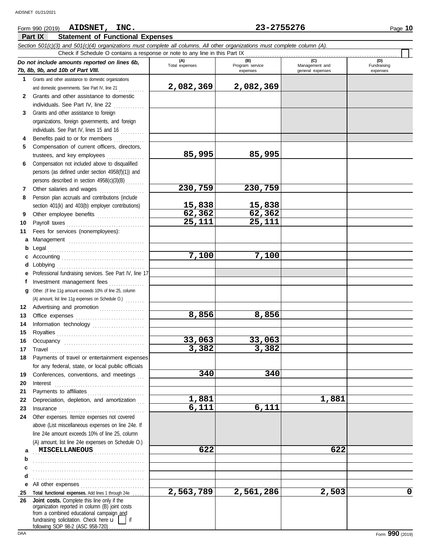### **Part IX Statement of Functional Expenses** Form 990 (2019) Page **10 AIDSNET, INC. 23-2755276**

|              | Check if Schedule O contains a response or note to any line in this Part IX              |                       |                                    |                                           |                                |
|--------------|------------------------------------------------------------------------------------------|-----------------------|------------------------------------|-------------------------------------------|--------------------------------|
|              | Do not include amounts reported on lines 6b,<br>7b, 8b, 9b, and 10b of Part VIII.        | (A)<br>Total expenses | (B)<br>Program service<br>expenses | (C)<br>Management and<br>general expenses | (D)<br>Fundraising<br>expenses |
| $\mathbf 1$  | Grants and other assistance to domestic organizations                                    |                       |                                    |                                           |                                |
|              | and domestic governments. See Part IV, line 21                                           | 2,082,369             | 2,082,369                          |                                           |                                |
| $\mathbf{2}$ | Grants and other assistance to domestic                                                  |                       |                                    |                                           |                                |
|              | individuals. See Part IV, line 22                                                        |                       |                                    |                                           |                                |
| 3            | Grants and other assistance to foreign                                                   |                       |                                    |                                           |                                |
|              | organizations, foreign governments, and foreign                                          |                       |                                    |                                           |                                |
|              | individuals. See Part IV, lines 15 and 16                                                |                       |                                    |                                           |                                |
| 4            | Benefits paid to or for members                                                          |                       |                                    |                                           |                                |
| 5            | Compensation of current officers, directors,                                             |                       |                                    |                                           |                                |
|              | trustees, and key employees                                                              | 85,995                | 85,995                             |                                           |                                |
| 6            | Compensation not included above to disqualified                                          |                       |                                    |                                           |                                |
|              | persons (as defined under section 4958(f)(1)) and                                        |                       |                                    |                                           |                                |
|              | persons described in section 4958(c)(3)(B)                                               |                       |                                    |                                           |                                |
| 7            | Other salaries and wages                                                                 | 230,759               | 230,759                            |                                           |                                |
| 8            | Pension plan accruals and contributions (include                                         |                       |                                    |                                           |                                |
|              | section 401(k) and 403(b) employer contributions)                                        | 15,838                | 15,838                             |                                           |                                |
| 9            | Other employee benefits                                                                  | 62,362                | 62,362                             |                                           |                                |
| 10           |                                                                                          | 25,111                | 25,111                             |                                           |                                |
| 11           | Fees for services (nonemployees):                                                        |                       |                                    |                                           |                                |
| a            |                                                                                          |                       |                                    |                                           |                                |
| b            |                                                                                          |                       |                                    |                                           |                                |
| c            |                                                                                          | 7,100                 | 7,100                              |                                           |                                |
| d            | Lobbying                                                                                 |                       |                                    |                                           |                                |
| е            | Professional fundraising services. See Part IV, line 17                                  |                       |                                    |                                           |                                |
| f            | Investment management fees                                                               |                       |                                    |                                           |                                |
| a            | Other. (If line 11g amount exceeds 10% of line 25, column                                |                       |                                    |                                           |                                |
|              | (A) amount, list line 11g expenses on Schedule O.)                                       |                       |                                    |                                           |                                |
| 12           | Advertising and promotion                                                                |                       |                                    |                                           |                                |
| 13           |                                                                                          | 8,856                 | 8,856                              |                                           |                                |
| 14           | Information technology                                                                   |                       |                                    |                                           |                                |
| 15           |                                                                                          |                       |                                    |                                           |                                |
| 16           |                                                                                          | 33,063                | 33,063                             |                                           |                                |
| 17           | Travel                                                                                   | 3,382                 | 3,382                              |                                           |                                |
| 18           | Payments of travel or entertainment expenses                                             |                       |                                    |                                           |                                |
|              | for any federal, state, or local public officials                                        | 340                   | 340                                |                                           |                                |
| 19           | Conferences, conventions, and meetings                                                   |                       |                                    |                                           |                                |
| 20           |                                                                                          |                       |                                    |                                           |                                |
| 21           |                                                                                          | 1,881                 |                                    | 1,881                                     |                                |
| 22           | Depreciation, depletion, and amortization                                                | 6,111                 | 6,111                              |                                           |                                |
| 23<br>24     | Other expenses. Itemize expenses not covered                                             |                       |                                    |                                           |                                |
|              | above (List miscellaneous expenses on line 24e. If                                       |                       |                                    |                                           |                                |
|              | line 24e amount exceeds 10% of line 25, column                                           |                       |                                    |                                           |                                |
|              | (A) amount, list line 24e expenses on Schedule O.)                                       |                       |                                    |                                           |                                |
| a            | <b>MISCELLANEOUS</b>                                                                     | 622                   |                                    | 622                                       |                                |
| b            |                                                                                          |                       |                                    |                                           |                                |
| c            |                                                                                          |                       |                                    |                                           |                                |
| d            |                                                                                          |                       |                                    |                                           |                                |
| е            | All other expenses                                                                       |                       |                                    |                                           |                                |
| 25           | Total functional expenses. Add lines 1 through 24e                                       | 2,563,789             | 2,561,286                          | 2,503                                     | 0                              |
| 26           | Joint costs. Complete this line only if the                                              |                       |                                    |                                           |                                |
|              | organization reported in column (B) joint costs                                          |                       |                                    |                                           |                                |
|              | from a combined educational campaign and<br>fundraising solicitation. Check here u<br>if |                       |                                    |                                           |                                |
|              | following SOP 98.2 (ASC 958.720)                                                         |                       |                                    |                                           |                                |

following SOP 98-2 (ASC 958-720) . . . . . . . . . . . . .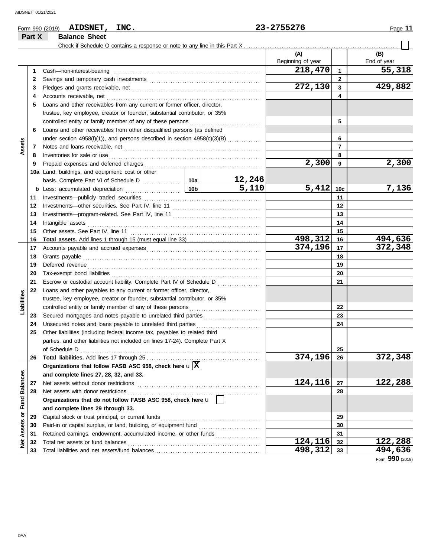| Page |  | 1 |
|------|--|---|
|------|--|---|

### Form 990 (2019) Page **11 AIDSNET, INC. 23-2755276 Part X Balance Sheet** Check if Schedule O contains a response or note to any line in this Part X **(A) (B)** Beginning of year  $\parallel$  End of year Cash—non-interest-bearing . . . . . . . . . . . . . . . . . . . . . . . . . . . . . . . . . . . . . . . . . . . . . . . . . . . . . . . . . . . . . . **218,470 55,318 1 1 2 2** Savings and temporary cash investments . . . . . . . . . . . . . . . . . . . . . . . . . . . . . . . . . . . . . . . . . . . . . . . **272,130 429,882 3 3** Pledges and grants receivable, net . . . . . . . . . . . . . . . . . . . . . . . . . . . . . . . . . . . . . . . . . . . . . . . . . . . . . . **4 4** Accounts receivable, net . . . . . . . . . . . . . . . . . . . . . . . . . . . . . . . . . . . . . . . . . . . . . . . . . . . . . . . . . . . . . . . . . **5** Loans and other receivables from any current or former officer, director, trustee, key employee, creator or founder, substantial contributor, or 35% controlled entity or family member of any of these persons **5 6** Loans and other receivables from other disqualified persons (as defined **6** under section  $4958(f)(1)$ , and persons described in section  $4958(c)(3)(B)$  ............. **Assets 7 7** Notes and loans receivable, net . . . . . . . . . . . . . . . . . . . . . . . . . . . . . . . . . . . . . . . . . . . . . . . . . . . . . . . . . . **8 8** Inventories for sale or use . . . . . . . . . . . . . . . . . . . . . . . . . . . . . . . . . . . . . . . . . . . . . . . . . . . . . . . . . . . . . . . . Prepaid expenses and deferred charges . . . . . . . . . . . . . . . . . . . . . . . . . . . . . . . . . . . . . . . . . . . . . . . . . **2,300 2,300 9 9 10a** Land, buildings, and equipment: cost or other **12,246** basis. Complete Part VI of Schedule D . . . . . . . . . . . . 10a **5,110 5,412 7,136 10c b** Less: accumulated depreciation . . . . . . . . . . . . . . . . . . . . . . . **10b** Investments—publicly traded securities . . . . . . . . . . . . . . . . . . . . . . . . . . . . . . . . . . . . . . . . . . . . . . . . . . **11 11 12 12** Investments—other securities. See Part IV, line 11 . . . . . . . . . . . . . . . . . . . . . . . . . . . . . . . . . . . . . **13 13** Investments—program-related. See Part IV, line 11 . . . . . . . . . . . . . . . . . . . . . . . . . . . . . . . . . . . . . 14 Intangible assets Intangible assets . . . . . . . . . . . . . . . . . . . . . . . . . . . . . . . . . . . . . . . . . . . . . . . . . . . . . . . . . . . . . . . . . . . . . . . . . **14 15 15** Other assets. See Part IV, line 11 . . . . . . . . . . . . . . . . . . . . . . . . . . . . . . . . . . . . . . . . . . . . . . . . . . . . . . . **Total assets.** Add lines 1 through 15 (must equal line 33) . . . . . . . . . . . . . . . . . . . . . . . . . . . . . . **498,312** 16 494,636<br>374,196 17 372,348 **16 16 374,196 372,348 17** Accounts payable and accrued expenses . . . . . . . . . . . . . . . . . . . . . . . . . . . . . . . . . . . . . . . . . . . . . . . . **17 18** Grants payable . . . . . . . . . . . . . . . . . . . . . . . . . . . . . . . . . . . . . . . . . . . . . . . . . . . . . . . . . . . . . . . . . . . . . . . . . . . **18 19 19** Deferred revenue . . . . . . . . . . . . . . . . . . . . . . . . . . . . . . . . . . . . . . . . . . . . . . . . . . . . . . . . . . . . . . . . . . . . . . . . . Tax-exempt bond liabilities . . . . . . . . . . . . . . . . . . . . . . . . . . . . . . . . . . . . . . . . . . . . . . . . . . . . . . . . . . . . . . . **20 20 21** Escrow or custodial account liability. Complete Part IV of Schedule D . . . . . . . . . . . . . . . . . . **21 22** Loans and other payables to any current or former officer, director, **Liabilities** trustee, key employee, creator or founder, substantial contributor, or 35% **22** controlled entity or family member of any of these persons Secured mortgages and notes payable to unrelated third parties ........................ **23 23 24** Unsecured notes and loans payable to unrelated third parties . . . . . . . . . . . . . . . . . . . . . . . . . . . **24 25** Other liabilities (including federal income tax, payables to related third parties, and other liabilities not included on lines 17-24). Complete Part X of Schedule D . . . . . . . . . . . . . . . . . . . . . . . . . . . . . . . . . . . . . . . . . . . . . . . . . . . . . . . . . . . . . . . . . . . . . . . . . . . . **25 374,196 372,348 26** Total liabilities. Add lines 17 through 25 **26 Organizations that follow FASB ASC 958, check here** u **X** Net Assets or Fund Balances **Net Assets or Fund Balances and complete lines 27, 28, 32, and 33. 27** Net assets without donor restrictions . . . . . . . . . . . . . . . . . . . . . . . . . . . . . . . . . . . . . . . . . . . . . . . . . . . . **124,116 122,288 27** Net assets with donor restrictions . . . . . . . . . . . . . . . . . . . . . . . . . . . . . . . . . . . . . . . . . . . . . . . . . . . . . . . . **28 28 Organizations that do not follow FASB ASC 958, check here** u **and complete lines 29 through 33.** Capital stock or trust principal, or current funds . . . . . . . . . . . . . . . . . . . . . . . . . . . . . . . . . . . . . . . . . . **29 29** Paid-in or capital surplus, or land, building, or equipment fund ........................... **30 30 31** Retained earnings, endowment, accumulated income, or other funds . . . . . . . . . . . . . . . . . . . **31 124,116 122,288** Total net assets or fund balances . . . . . . . . . . . . . . . . . . . . . . . . . . . . . . . . . . . . . . . . . . . . . . . . . . . . . . . . **32 32 33** Total liabilities and net assets/fund balances . **498,312 494,636 33**

Form **990** (2019)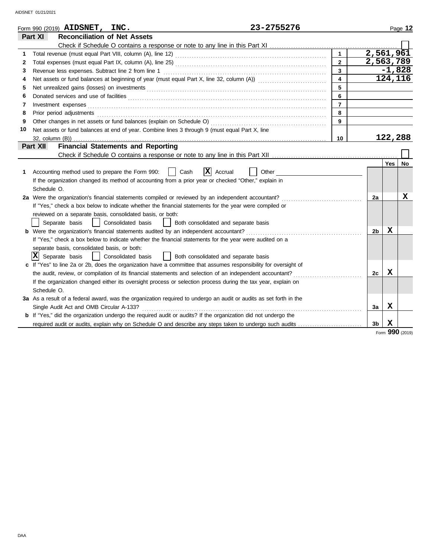|    | 23-2755276<br>Form 990 (2019) AIDSNET, INC.                                                                                                                                                                                   |                |                    |             | Page 12 |
|----|-------------------------------------------------------------------------------------------------------------------------------------------------------------------------------------------------------------------------------|----------------|--------------------|-------------|---------|
|    | Part XI<br><b>Reconciliation of Net Assets</b>                                                                                                                                                                                |                |                    |             |         |
|    |                                                                                                                                                                                                                               |                |                    |             |         |
| 1  |                                                                                                                                                                                                                               | $\mathbf{1}$   | $\sqrt{2,561,961}$ |             |         |
| 2  | Total expenses (must equal Part IX, column (A), line 25) Mathematic contracts and the system of the system of the system of the system of the system of the system of the system of the system of the system of the system of | $\overline{2}$ | 2,563,789          |             |         |
| 3  | Revenue less expenses. Subtract line 2 from line 1                                                                                                                                                                            | 3              |                    | $-1,828$    |         |
| 4  | Net assets or fund balances at beginning of year (must equal Part X, line 32, column (A)) [[[[[[[[[[[[[[[[[[[                                                                                                                 | $\overline{4}$ |                    | 124, 116    |         |
| 5  |                                                                                                                                                                                                                               | 5              |                    |             |         |
| 6  |                                                                                                                                                                                                                               | 6              |                    |             |         |
| 7  | Investment expenses                                                                                                                                                                                                           | $\overline{7}$ |                    |             |         |
| 8  | Prior period adjustments                                                                                                                                                                                                      | 8              |                    |             |         |
| 9  | Other changes in net assets or fund balances (explain on Schedule O)                                                                                                                                                          | 9              |                    |             |         |
| 10 | Net assets or fund balances at end of year. Combine lines 3 through 9 (must equal Part X, line                                                                                                                                |                |                    |             |         |
|    | 32, column (B))                                                                                                                                                                                                               | 10             |                    | 122,288     |         |
|    | <b>Financial Statements and Reporting</b><br>Part XII                                                                                                                                                                         |                |                    |             |         |
|    |                                                                                                                                                                                                                               |                |                    |             |         |
|    |                                                                                                                                                                                                                               |                |                    | Yes         | No      |
| 1  | X<br>Accounting method used to prepare the Form 990:<br>Cash<br>Accrual<br>Other                                                                                                                                              |                |                    |             |         |
|    | If the organization changed its method of accounting from a prior year or checked "Other," explain in                                                                                                                         |                |                    |             |         |
|    | Schedule O.                                                                                                                                                                                                                   |                |                    |             |         |
|    | 2a Were the organization's financial statements compiled or reviewed by an independent accountant?                                                                                                                            |                | 2a                 |             | x       |
|    | If "Yes," check a box below to indicate whether the financial statements for the year were compiled or                                                                                                                        |                |                    |             |         |
|    | reviewed on a separate basis, consolidated basis, or both:                                                                                                                                                                    |                |                    |             |         |
|    | Consolidated basis<br>Both consolidated and separate basis<br>Separate basis<br>$\perp$                                                                                                                                       |                |                    |             |         |
|    | <b>b</b> Were the organization's financial statements audited by an independent accountant?                                                                                                                                   |                | 2b                 | X           |         |
|    | If "Yes," check a box below to indicate whether the financial statements for the year were audited on a                                                                                                                       |                |                    |             |         |
|    | separate basis, consolidated basis, or both:                                                                                                                                                                                  |                |                    |             |         |
|    | X Separate basis<br>Consolidated basis<br>  Both consolidated and separate basis                                                                                                                                              |                |                    |             |         |
|    | c If "Yes" to line 2a or 2b, does the organization have a committee that assumes responsibility for oversight of                                                                                                              |                |                    |             |         |
|    | the audit, review, or compilation of its financial statements and selection of an independent accountant?                                                                                                                     |                | 2c                 | X           |         |
|    | If the organization changed either its oversight process or selection process during the tax year, explain on                                                                                                                 |                |                    |             |         |
|    | Schedule O.                                                                                                                                                                                                                   |                |                    |             |         |
|    | 3a As a result of a federal award, was the organization required to undergo an audit or audits as set forth in the                                                                                                            |                |                    |             |         |
|    | Single Audit Act and OMB Circular A-133?                                                                                                                                                                                      |                | За                 | X           |         |
|    | <b>b</b> If "Yes," did the organization undergo the required audit or audits? If the organization did not undergo the                                                                                                         |                |                    |             |         |
|    | required audit or audits, explain why on Schedule O and describe any steps taken to undergo such audits                                                                                                                       |                | 3 <sub>b</sub>     | $\mathbf x$ |         |

Form **990** (2019)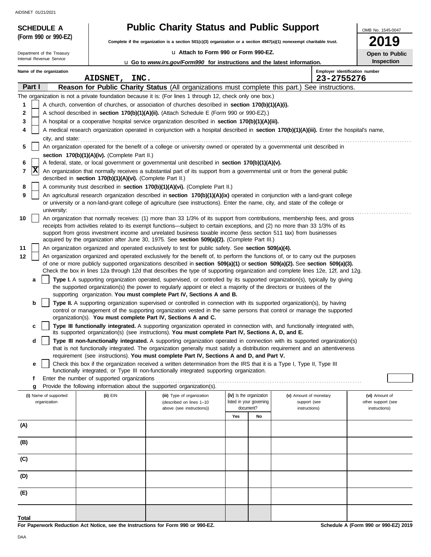| <b>SCHEDULE A</b>                     |                                                                                                                                                                | <b>Public Charity Status and Public Support</b>                                                                                                                                                                                                                 |     | OMB No. 1545-0047                                    |                                        |                                      |  |  |  |
|---------------------------------------|----------------------------------------------------------------------------------------------------------------------------------------------------------------|-----------------------------------------------------------------------------------------------------------------------------------------------------------------------------------------------------------------------------------------------------------------|-----|------------------------------------------------------|----------------------------------------|--------------------------------------|--|--|--|
| (Form 990 or 990-EZ)                  |                                                                                                                                                                | Complete if the organization is a section 501(c)(3) organization or a section 4947(a)(1) nonexempt charitable trust.                                                                                                                                            |     |                                                      |                                        | 2019                                 |  |  |  |
| Department of the Treasury            |                                                                                                                                                                | La Attach to Form 990 or Form 990-EZ.                                                                                                                                                                                                                           |     |                                                      |                                        | Open to Public                       |  |  |  |
| Internal Revenue Service              |                                                                                                                                                                | <b>u</b> Go to <i>www.irs.gov/Form990</i> for instructions and the latest information.                                                                                                                                                                          |     |                                                      |                                        | Inspection                           |  |  |  |
| Name of the organization              | AIDSNET, INC.                                                                                                                                                  |                                                                                                                                                                                                                                                                 |     |                                                      | 23-2755276                             | Employer identification number       |  |  |  |
| Part I                                |                                                                                                                                                                | Reason for Public Charity Status (All organizations must complete this part.) See instructions.                                                                                                                                                                 |     |                                                      |                                        |                                      |  |  |  |
|                                       |                                                                                                                                                                | The organization is not a private foundation because it is: (For lines 1 through 12, check only one box.)                                                                                                                                                       |     |                                                      |                                        |                                      |  |  |  |
| 1                                     |                                                                                                                                                                | A church, convention of churches, or association of churches described in section 170(b)(1)(A)(i).                                                                                                                                                              |     |                                                      |                                        |                                      |  |  |  |
| 2                                     |                                                                                                                                                                | A school described in section 170(b)(1)(A)(ii). (Attach Schedule E (Form 990 or 990-EZ).)                                                                                                                                                                       |     |                                                      |                                        |                                      |  |  |  |
| 3<br>4                                |                                                                                                                                                                | A hospital or a cooperative hospital service organization described in section 170(b)(1)(A)(iii).                                                                                                                                                               |     |                                                      |                                        |                                      |  |  |  |
|                                       | A medical research organization operated in conjunction with a hospital described in section 170(b)(1)(A)(iii). Enter the hospital's name,<br>city, and state: |                                                                                                                                                                                                                                                                 |     |                                                      |                                        |                                      |  |  |  |
| 5                                     |                                                                                                                                                                | An organization operated for the benefit of a college or university owned or operated by a governmental unit described in                                                                                                                                       |     |                                                      |                                        |                                      |  |  |  |
|                                       | section 170(b)(1)(A)(iv). (Complete Part II.)                                                                                                                  |                                                                                                                                                                                                                                                                 |     |                                                      |                                        |                                      |  |  |  |
| 6<br>$ {\bf x} $<br>7                 |                                                                                                                                                                | A federal, state, or local government or governmental unit described in section 170(b)(1)(A)(v).<br>An organization that normally receives a substantial part of its support from a governmental unit or from the general public                                |     |                                                      |                                        |                                      |  |  |  |
|                                       | described in section 170(b)(1)(A)(vi). (Complete Part II.)                                                                                                     |                                                                                                                                                                                                                                                                 |     |                                                      |                                        |                                      |  |  |  |
| 8                                     |                                                                                                                                                                | A community trust described in section 170(b)(1)(A)(vi). (Complete Part II.)                                                                                                                                                                                    |     |                                                      |                                        |                                      |  |  |  |
| 9<br>university:                      |                                                                                                                                                                | An agricultural research organization described in section 170(b)(1)(A)(ix) operated in conjunction with a land-grant college<br>or university or a non-land-grant college of agriculture (see instructions). Enter the name, city, and state of the college or |     |                                                      |                                        |                                      |  |  |  |
| 10                                    |                                                                                                                                                                | An organization that normally receives: (1) more than 33 1/3% of its support from contributions, membership fees, and gross                                                                                                                                     |     |                                                      |                                        |                                      |  |  |  |
|                                       |                                                                                                                                                                | receipts from activities related to its exempt functions—subject to certain exceptions, and (2) no more than 33 1/3% of its<br>support from gross investment income and unrelated business taxable income (less section 511 tax) from businesses                |     |                                                      |                                        |                                      |  |  |  |
|                                       |                                                                                                                                                                | acquired by the organization after June 30, 1975. See section 509(a)(2). (Complete Part III.)                                                                                                                                                                   |     |                                                      |                                        |                                      |  |  |  |
| 11                                    |                                                                                                                                                                | An organization organized and operated exclusively to test for public safety. See section 509(a)(4).                                                                                                                                                            |     |                                                      |                                        |                                      |  |  |  |
| 12                                    |                                                                                                                                                                | An organization organized and operated exclusively for the benefit of, to perform the functions of, or to carry out the purposes<br>of one or more publicly supported organizations described in section 509(a)(1) or section 509(a)(2). See section 509(a)(3). |     |                                                      |                                        |                                      |  |  |  |
|                                       |                                                                                                                                                                | Check the box in lines 12a through 12d that describes the type of supporting organization and complete lines 12e, 12f, and 12g.                                                                                                                                 |     |                                                      |                                        |                                      |  |  |  |
| a                                     |                                                                                                                                                                | Type I. A supporting organization operated, supervised, or controlled by its supported organization(s), typically by giving                                                                                                                                     |     |                                                      |                                        |                                      |  |  |  |
|                                       |                                                                                                                                                                | the supported organization(s) the power to regularly appoint or elect a majority of the directors or trustees of the<br>supporting organization. You must complete Part IV, Sections A and B.                                                                   |     |                                                      |                                        |                                      |  |  |  |
| b                                     |                                                                                                                                                                | Type II. A supporting organization supervised or controlled in connection with its supported organization(s), by having                                                                                                                                         |     |                                                      |                                        |                                      |  |  |  |
|                                       |                                                                                                                                                                | control or management of the supporting organization vested in the same persons that control or manage the supported                                                                                                                                            |     |                                                      |                                        |                                      |  |  |  |
|                                       |                                                                                                                                                                | organization(s). You must complete Part IV, Sections A and C.<br>Type III functionally integrated. A supporting organization operated in connection with, and functionally integrated with,                                                                     |     |                                                      |                                        |                                      |  |  |  |
|                                       |                                                                                                                                                                | its supported organization(s) (see instructions). You must complete Part IV, Sections A, D, and E.                                                                                                                                                              |     |                                                      |                                        |                                      |  |  |  |
| d                                     |                                                                                                                                                                | Type III non-functionally integrated. A supporting organization operated in connection with its supported organization(s)<br>that is not functionally integrated. The organization generally must satisfy a distribution requirement and an attentiveness       |     |                                                      |                                        |                                      |  |  |  |
|                                       |                                                                                                                                                                | requirement (see instructions). You must complete Part IV, Sections A and D, and Part V.                                                                                                                                                                        |     |                                                      |                                        |                                      |  |  |  |
| е                                     |                                                                                                                                                                | Check this box if the organization received a written determination from the IRS that it is a Type I, Type II, Type III<br>functionally integrated, or Type III non-functionally integrated supporting organization.                                            |     |                                                      |                                        |                                      |  |  |  |
| f                                     | Enter the number of supported organizations                                                                                                                    |                                                                                                                                                                                                                                                                 |     |                                                      |                                        |                                      |  |  |  |
| g                                     |                                                                                                                                                                | Provide the following information about the supported organization(s).                                                                                                                                                                                          |     |                                                      |                                        |                                      |  |  |  |
| (i) Name of supported<br>organization | (ii) EIN                                                                                                                                                       | (iii) Type of organization<br>(described on lines 1-10                                                                                                                                                                                                          |     | (iv) Is the organization<br>listed in your governing | (v) Amount of monetary<br>support (see | (vi) Amount of<br>other support (see |  |  |  |
|                                       |                                                                                                                                                                | above (see instructions))                                                                                                                                                                                                                                       |     | document?                                            | instructions)                          | instructions)                        |  |  |  |
|                                       |                                                                                                                                                                |                                                                                                                                                                                                                                                                 | Yes | No                                                   |                                        |                                      |  |  |  |
| (A)                                   |                                                                                                                                                                |                                                                                                                                                                                                                                                                 |     |                                                      |                                        |                                      |  |  |  |
| (B)                                   |                                                                                                                                                                |                                                                                                                                                                                                                                                                 |     |                                                      |                                        |                                      |  |  |  |
| (C)                                   |                                                                                                                                                                |                                                                                                                                                                                                                                                                 |     |                                                      |                                        |                                      |  |  |  |
| (D)                                   |                                                                                                                                                                |                                                                                                                                                                                                                                                                 |     |                                                      |                                        |                                      |  |  |  |
| (E)                                   |                                                                                                                                                                |                                                                                                                                                                                                                                                                 |     |                                                      |                                        |                                      |  |  |  |
| Total                                 |                                                                                                                                                                |                                                                                                                                                                                                                                                                 |     |                                                      |                                        |                                      |  |  |  |

**For Paperwork Reduction Act Notice, see the Instructions for Form 990 or 990-EZ.**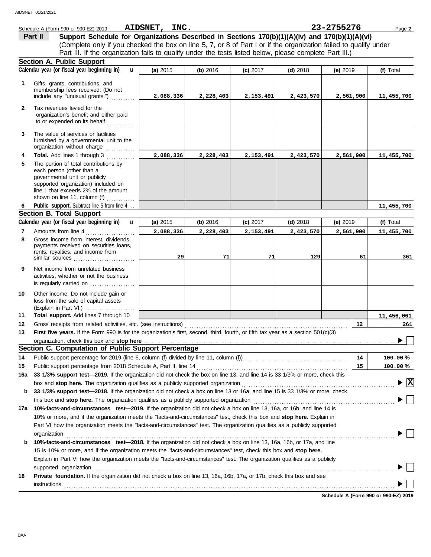|              | Schedule A (Form 990 or 990-EZ) 2019                                                                                               | AIDSNET, INC. |           |            |            | 23-2755276 |    | Page 2                          |  |           |
|--------------|------------------------------------------------------------------------------------------------------------------------------------|---------------|-----------|------------|------------|------------|----|---------------------------------|--|-----------|
|              | Support Schedule for Organizations Described in Sections 170(b)(1)(A)(iv) and 170(b)(1)(A)(vi)<br>Part II                          |               |           |            |            |            |    |                                 |  |           |
|              | (Complete only if you checked the box on line 5, 7, or 8 of Part I or if the organization failed to qualify under                  |               |           |            |            |            |    |                                 |  |           |
|              | Part III. If the organization fails to qualify under the tests listed below, please complete Part III.)                            |               |           |            |            |            |    |                                 |  |           |
|              | <b>Section A. Public Support</b>                                                                                                   |               |           |            |            |            |    |                                 |  |           |
|              | Calendar year (or fiscal year beginning in)<br>$\mathbf{u}$                                                                        | (a) 2015      | (b) 2016  | $(c)$ 2017 | $(d)$ 2018 | (e) $2019$ |    | (f) Total                       |  |           |
| 1            | Gifts, grants, contributions, and                                                                                                  |               |           |            |            |            |    |                                 |  |           |
|              | membership fees received. (Do not                                                                                                  |               |           |            |            |            |    |                                 |  |           |
|              | include any "unusual grants.")                                                                                                     | 2,088,336     | 2,228,403 | 2,153,491  | 2,423,570  | 2,561,900  |    | 11,455,700                      |  |           |
| $\mathbf{2}$ | Tax revenues levied for the                                                                                                        |               |           |            |            |            |    |                                 |  |           |
|              | organization's benefit and either paid                                                                                             |               |           |            |            |            |    |                                 |  |           |
|              | to or expended on its behalf                                                                                                       |               |           |            |            |            |    |                                 |  |           |
| 3            | The value of services or facilities                                                                                                |               |           |            |            |            |    |                                 |  |           |
|              | furnished by a governmental unit to the                                                                                            |               |           |            |            |            |    |                                 |  |           |
|              | organization without charge                                                                                                        |               |           |            |            |            |    |                                 |  |           |
| 4            | Total. Add lines 1 through 3                                                                                                       | 2,088,336     | 2,228,403 | 2,153,491  | 2,423,570  | 2,561,900  |    | 11,455,700                      |  |           |
| 5            | The portion of total contributions by                                                                                              |               |           |            |            |            |    |                                 |  |           |
|              | each person (other than a                                                                                                          |               |           |            |            |            |    |                                 |  |           |
|              | governmental unit or publicly<br>supported organization) included on                                                               |               |           |            |            |            |    |                                 |  |           |
|              | line 1 that exceeds 2% of the amount                                                                                               |               |           |            |            |            |    |                                 |  |           |
|              | shown on line 11, column (f)                                                                                                       |               |           |            |            |            |    |                                 |  |           |
| 6            | Public support. Subtract line 5 from line 4                                                                                        |               |           |            |            |            |    | 11,455,700                      |  |           |
|              | <b>Section B. Total Support</b>                                                                                                    |               |           |            |            |            |    |                                 |  |           |
|              | Calendar year (or fiscal year beginning in)<br>$\mathbf{u}$                                                                        | (a) 2015      | (b) 2016  | $(c)$ 2017 | $(d)$ 2018 |            |    | (e) 2019                        |  | (f) Total |
| 7            | Amounts from line 4                                                                                                                | 2,088,336     | 2,228,403 | 2,153,491  | 2,423,570  | 2,561,900  |    | 11,455,700                      |  |           |
| 8            | Gross income from interest, dividends,                                                                                             |               |           |            |            |            |    |                                 |  |           |
|              | payments received on securities loans,<br>rents, royalties, and income from                                                        |               |           |            |            |            |    |                                 |  |           |
|              | similar sources                                                                                                                    | 29            | 71        | 71         | 129        |            | 61 | 361                             |  |           |
| 9            | Net income from unrelated business                                                                                                 |               |           |            |            |            |    |                                 |  |           |
|              | activities, whether or not the business                                                                                            |               |           |            |            |            |    |                                 |  |           |
|              | is regularly carried on $\ldots$ , $\ldots$                                                                                        |               |           |            |            |            |    |                                 |  |           |
| 10           | Other income. Do not include gain or                                                                                               |               |           |            |            |            |    |                                 |  |           |
|              | loss from the sale of capital assets                                                                                               |               |           |            |            |            |    |                                 |  |           |
|              | (Explain in Part VI.)                                                                                                              |               |           |            |            |            |    |                                 |  |           |
| 11           | Total support. Add lines 7 through 10                                                                                              |               |           |            |            |            |    | 11,456,061                      |  |           |
| 12           | Gross receipts from related activities, etc. (see instructions)                                                                    |               |           |            |            |            | 12 | 261                             |  |           |
| 13           | First five years. If the Form 990 is for the organization's first, second, third, fourth, or fifth tax year as a section 501(c)(3) |               |           |            |            |            |    | $\blacksquare$                  |  |           |
|              |                                                                                                                                    |               |           |            |            |            |    |                                 |  |           |
|              | Section C. Computation of Public Support Percentage                                                                                |               |           |            |            |            |    |                                 |  |           |
| 14           | Public support percentage for 2019 (line 6, column (f) divided by line 11, column (f)) [[[[[[[[[[[[[[[[[[[[[[                      |               |           |            |            |            | 14 | 100.00%                         |  |           |
| 15           | Public support percentage from 2018 Schedule A, Part II, line 14                                                                   |               |           |            |            |            | 15 | 100.00%                         |  |           |
| 16a          | 33 1/3% support test-2019. If the organization did not check the box on line 13, and line 14 is 33 1/3% or more, check this        |               |           |            |            |            |    |                                 |  |           |
|              | box and stop here. The organization qualifies as a publicly supported organization                                                 |               |           |            |            |            |    | $\blacktriangleright$ $\vert$ X |  |           |
| b            | 33 1/3% support test-2018. If the organization did not check a box on line 13 or 16a, and line 15 is 33 1/3% or more, check        |               |           |            |            |            |    |                                 |  |           |
|              | this box and stop here. The organization qualifies as a publicly supported organization                                            |               |           |            |            |            |    |                                 |  |           |
|              | 17a 10%-facts-and-circumstances test-2019. If the organization did not check a box on line 13, 16a, or 16b, and line 14 is         |               |           |            |            |            |    |                                 |  |           |
|              | 10% or more, and if the organization meets the "facts-and-circumstances" test, check this box and stop here. Explain in            |               |           |            |            |            |    |                                 |  |           |
|              | Part VI how the organization meets the "facts-and-circumstances" test. The organization qualifies as a publicly supported          |               |           |            |            |            |    |                                 |  |           |
|              | organization                                                                                                                       |               |           |            |            |            |    |                                 |  |           |
| b            | 10%-facts-and-circumstances test-2018. If the organization did not check a box on line 13, 16a, 16b, or 17a, and line              |               |           |            |            |            |    |                                 |  |           |
|              | 15 is 10% or more, and if the organization meets the "facts-and-circumstances" test, check this box and stop here.                 |               |           |            |            |            |    |                                 |  |           |
|              | Explain in Part VI how the organization meets the "facts-and-circumstances" test. The organization qualifies as a publicly         |               |           |            |            |            |    |                                 |  |           |
|              | supported organization                                                                                                             |               |           |            |            |            |    |                                 |  |           |
| 18           | Private foundation. If the organization did not check a box on line 13, 16a, 16b, 17a, or 17b, check this box and see              |               |           |            |            |            |    |                                 |  |           |
|              | instructions                                                                                                                       |               |           |            |            |            |    |                                 |  |           |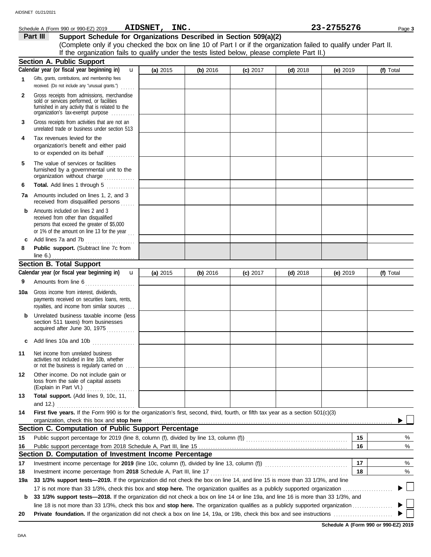|              | Part III<br>Support Schedule for Organizations Described in Section 509(a)(2)                                                                                                                                      |          |          |            |            |            |           |
|--------------|--------------------------------------------------------------------------------------------------------------------------------------------------------------------------------------------------------------------|----------|----------|------------|------------|------------|-----------|
|              | (Complete only if you checked the box on line 10 of Part I or if the organization failed to qualify under Part II.<br>If the organization fails to qualify under the tests listed below, please complete Part II.) |          |          |            |            |            |           |
|              | <b>Section A. Public Support</b>                                                                                                                                                                                   |          |          |            |            |            |           |
|              | Calendar year (or fiscal year beginning in)<br>$\mathbf{u}$                                                                                                                                                        | (a) 2015 | (b) 2016 | $(c)$ 2017 | $(d)$ 2018 | $(e)$ 2019 | (f) Total |
| $\mathbf{1}$ | Gifts, grants, contributions, and membership fees                                                                                                                                                                  |          |          |            |            |            |           |
|              | received. (Do not include any "unusual grants.")<br>.                                                                                                                                                              |          |          |            |            |            |           |
| $\mathbf{2}$ | Gross receipts from admissions, merchandise<br>sold or services performed, or facilities<br>furnished in any activity that is related to the<br>organization's fax-exempt purpose                                  |          |          |            |            |            |           |
| 3            | Gross receipts from activities that are not an<br>unrelated trade or business under section 513                                                                                                                    |          |          |            |            |            |           |
| 4            | Tax revenues levied for the<br>organization's benefit and either paid<br>to or expended on its behalf                                                                                                              |          |          |            |            |            |           |
| 5            | The value of services or facilities<br>furnished by a governmental unit to the<br>organization without charge                                                                                                      |          |          |            |            |            |           |
| 6            | Total. Add lines 1 through 5<br>.                                                                                                                                                                                  |          |          |            |            |            |           |
|              | <b>7a</b> Amounts included on lines 1, 2, and 3<br>received from disqualified persons                                                                                                                              |          |          |            |            |            |           |
| b            | Amounts included on lines 2 and 3<br>received from other than disqualified<br>persons that exceed the greater of \$5,000<br>or 1% of the amount on line 13 for the year $\frac{1}{11}$                             |          |          |            |            |            |           |
| c            | Add lines 7a and 7b                                                                                                                                                                                                |          |          |            |            |            |           |
| 8            | Public support. (Subtract line 7c from<br>line $6.$ )                                                                                                                                                              |          |          |            |            |            |           |
|              | <b>Section B. Total Support</b>                                                                                                                                                                                    |          |          |            |            |            |           |
|              | Calendar year (or fiscal year beginning in)<br>$\mathbf{u}$                                                                                                                                                        | (a) 2015 | (b) 2016 | $(c)$ 2017 | $(d)$ 2018 | (e) $2019$ | (f) Total |
| 9            | Amounts from line 6                                                                                                                                                                                                |          |          |            |            |            |           |
| 10a          | Gross income from interest, dividends,<br>payments received on securities loans, rents,<br>royalties, and income from similar sources                                                                              |          |          |            |            |            |           |
| b            | Unrelated business taxable income (less<br>section 511 taxes) from businesses<br>acquired after June 30, 1975                                                                                                      |          |          |            |            |            |           |
|              | c Add lines 10a and 10b $\ldots$                                                                                                                                                                                   |          |          |            |            |            |           |
| 11           | Net income from unrelated business<br>activities not included in line 10b, whether<br>or not the business is regularly carried on                                                                                  |          |          |            |            |            |           |
| 12           | Other income. Do not include gain or<br>loss from the sale of capital assets<br>(Explain in Part VI.)                                                                                                              |          |          |            |            |            |           |
| 13           | Total support. (Add lines 9, 10c, 11,                                                                                                                                                                              |          |          |            |            |            |           |
| 14           | and 12.) $\ldots$<br>First five years. If the Form 990 is for the organization's first, second, third, fourth, or fifth tax year as a section 501(c)(3)                                                            |          |          |            |            |            |           |
|              | organization, check this box and stop here                                                                                                                                                                         |          |          |            |            |            |           |
|              | Section C. Computation of Public Support Percentage                                                                                                                                                                |          |          |            |            |            |           |
| 15           |                                                                                                                                                                                                                    |          |          |            |            | 15         | %         |
| 16           | Section D. Computation of Investment Income Percentage                                                                                                                                                             |          |          |            |            | 16         | %         |
| 17           | Investment income percentage for 2019 (line 10c, column (f), divided by line 13, column (f)) [[[[[[[[[[[[[[[[                                                                                                      |          |          |            |            | 17         | %         |
| 18           | Investment income percentage from 2018 Schedule A, Part III, line 17                                                                                                                                               |          |          |            |            | 18         | %         |
| 19a          | 33 1/3% support tests—2019. If the organization did not check the box on line 14, and line 15 is more than 33 1/3%, and line                                                                                       |          |          |            |            |            |           |
|              |                                                                                                                                                                                                                    |          |          |            |            |            |           |
| b            | 33 1/3% support tests—2018. If the organization did not check a box on line 14 or line 19a, and line 16 is more than 33 1/3%, and                                                                                  |          |          |            |            |            |           |
|              |                                                                                                                                                                                                                    |          |          |            |            |            |           |
| 20           |                                                                                                                                                                                                                    |          |          |            |            |            |           |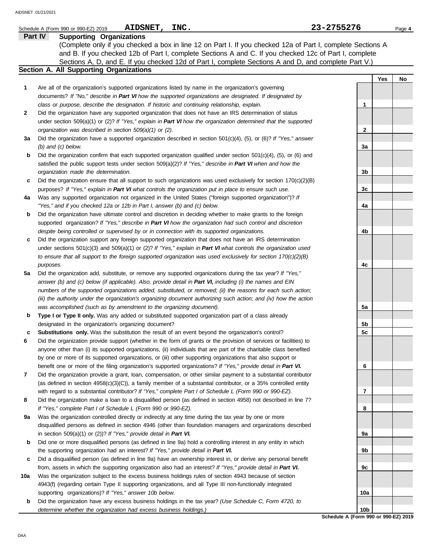|              | INC.<br><b>AIDSNET,</b><br>Schedule A (Form 990 or 990-EZ) 2019                                                                                                                                                                                                                                                                                                             | 23-2755276                                  |     | Page 4 |
|--------------|-----------------------------------------------------------------------------------------------------------------------------------------------------------------------------------------------------------------------------------------------------------------------------------------------------------------------------------------------------------------------------|---------------------------------------------|-----|--------|
|              | Part IV<br><b>Supporting Organizations</b><br>(Complete only if you checked a box in line 12 on Part I. If you checked 12a of Part I, complete Sections A<br>and B. If you checked 12b of Part I, complete Sections A and C. If you checked 12c of Part I, complete<br>Sections A, D, and E. If you checked 12d of Part I, complete Sections A and D, and complete Part V.) |                                             |     |        |
|              | Section A. All Supporting Organizations                                                                                                                                                                                                                                                                                                                                     |                                             |     |        |
| 1            | Are all of the organization's supported organizations listed by name in the organization's governing                                                                                                                                                                                                                                                                        |                                             | Yes | No     |
|              | documents? If "No," describe in Part VI how the supported organizations are designated. If designated by<br>class or purpose, describe the designation. If historic and continuing relationship, explain.                                                                                                                                                                   | 1                                           |     |        |
| $\mathbf{2}$ | Did the organization have any supported organization that does not have an IRS determination of status                                                                                                                                                                                                                                                                      |                                             |     |        |
|              | under section 509(a)(1) or (2)? If "Yes," explain in Part VI how the organization determined that the supported                                                                                                                                                                                                                                                             |                                             |     |        |
|              | organization was described in section 509(a)(1) or (2).                                                                                                                                                                                                                                                                                                                     | 2                                           |     |        |
| 3a           | Did the organization have a supported organization described in section $501(c)(4)$ , (5), or (6)? If "Yes," answer                                                                                                                                                                                                                                                         |                                             |     |        |
|              | $(b)$ and $(c)$ below.                                                                                                                                                                                                                                                                                                                                                      | 3a                                          |     |        |
| b            | Did the organization confirm that each supported organization qualified under section $501(c)(4)$ , $(5)$ , or $(6)$ and                                                                                                                                                                                                                                                    |                                             |     |        |
|              | satisfied the public support tests under section 509(a)(2)? If "Yes," describe in Part VI when and how the                                                                                                                                                                                                                                                                  |                                             |     |        |
| c            | organization made the determination.<br>Did the organization ensure that all support to such organizations was used exclusively for section $170(c)(2)(B)$                                                                                                                                                                                                                  | 3 <sub>b</sub>                              |     |        |
|              | purposes? If "Yes," explain in Part VI what controls the organization put in place to ensure such use.                                                                                                                                                                                                                                                                      | 3c                                          |     |        |
| 4a           | Was any supported organization not organized in the United States ("foreign supported organization")? If                                                                                                                                                                                                                                                                    |                                             |     |        |
|              | "Yes," and if you checked 12a or 12b in Part I, answer (b) and (c) below.                                                                                                                                                                                                                                                                                                   | 4a                                          |     |        |
| b            | Did the organization have ultimate control and discretion in deciding whether to make grants to the foreign                                                                                                                                                                                                                                                                 |                                             |     |        |
|              | supported organization? If "Yes," describe in Part VI how the organization had such control and discretion                                                                                                                                                                                                                                                                  |                                             |     |        |
|              | despite being controlled or supervised by or in connection with its supported organizations.                                                                                                                                                                                                                                                                                | 4b                                          |     |        |
| c            | Did the organization support any foreign supported organization that does not have an IRS determination                                                                                                                                                                                                                                                                     |                                             |     |        |
|              | under sections $501(c)(3)$ and $509(a)(1)$ or (2)? If "Yes," explain in Part VI what controls the organization used                                                                                                                                                                                                                                                         |                                             |     |        |
|              | to ensure that all support to the foreign supported organization was used exclusively for section $170(c)(2)(B)$                                                                                                                                                                                                                                                            |                                             |     |        |
| 5a           | purposes.<br>Did the organization add, substitute, or remove any supported organizations during the tax year? If "Yes,"                                                                                                                                                                                                                                                     | 4c                                          |     |        |
|              | answer (b) and (c) below (if applicable). Also, provide detail in Part VI, including (i) the names and EIN                                                                                                                                                                                                                                                                  |                                             |     |        |
|              | numbers of the supported organizations added, substituted, or removed; (ii) the reasons for each such action;                                                                                                                                                                                                                                                               |                                             |     |        |
|              | (iii) the authority under the organization's organizing document authorizing such action; and (iv) how the action                                                                                                                                                                                                                                                           |                                             |     |        |
|              | was accomplished (such as by amendment to the organizing document).                                                                                                                                                                                                                                                                                                         | 5a                                          |     |        |
| b            | Type I or Type II only. Was any added or substituted supported organization part of a class already                                                                                                                                                                                                                                                                         |                                             |     |        |
|              | designated in the organization's organizing document?                                                                                                                                                                                                                                                                                                                       | 5 <sub>b</sub>                              |     |        |
| c            | <b>Substitutions only.</b> Was the substitution the result of an event beyond the organization's control?                                                                                                                                                                                                                                                                   | 5c                                          |     |        |
| 6            | Did the organization provide support (whether in the form of grants or the provision of services or facilities) to                                                                                                                                                                                                                                                          |                                             |     |        |
|              | anyone other than (i) its supported organizations, (ii) individuals that are part of the charitable class benefited<br>by one or more of its supported organizations, or (iii) other supporting organizations that also support or                                                                                                                                          |                                             |     |        |
|              | benefit one or more of the filing organization's supported organizations? If "Yes," provide detail in Part VI.                                                                                                                                                                                                                                                              | 6                                           |     |        |
| 7            | Did the organization provide a grant, loan, compensation, or other similar payment to a substantial contributor                                                                                                                                                                                                                                                             |                                             |     |        |
|              | (as defined in section $4958(c)(3)(C)$ ), a family member of a substantial contributor, or a 35% controlled entity                                                                                                                                                                                                                                                          |                                             |     |        |
|              | with regard to a substantial contributor? If "Yes," complete Part I of Schedule L (Form 990 or 990-EZ).                                                                                                                                                                                                                                                                     | 7                                           |     |        |
| 8            | Did the organization make a loan to a disqualified person (as defined in section 4958) not described in line 7?                                                                                                                                                                                                                                                             |                                             |     |        |
|              | If "Yes," complete Part I of Schedule L (Form 990 or 990-EZ).                                                                                                                                                                                                                                                                                                               | 8                                           |     |        |
| 9а           | Was the organization controlled directly or indirectly at any time during the tax year by one or more                                                                                                                                                                                                                                                                       |                                             |     |        |
|              | disqualified persons as defined in section 4946 (other than foundation managers and organizations described<br>in section $509(a)(1)$ or (2))? If "Yes," provide detail in Part VI.                                                                                                                                                                                         | 9а                                          |     |        |
| b            | Did one or more disqualified persons (as defined in line 9a) hold a controlling interest in any entity in which                                                                                                                                                                                                                                                             |                                             |     |        |
|              | the supporting organization had an interest? If "Yes," provide detail in Part VI.                                                                                                                                                                                                                                                                                           | 9b                                          |     |        |
| c            | Did a disqualified person (as defined in line 9a) have an ownership interest in, or derive any personal benefit                                                                                                                                                                                                                                                             |                                             |     |        |
|              | from, assets in which the supporting organization also had an interest? If "Yes," provide detail in Part VI.                                                                                                                                                                                                                                                                | 9с                                          |     |        |
| 10a          | Was the organization subject to the excess business holdings rules of section 4943 because of section                                                                                                                                                                                                                                                                       |                                             |     |        |
|              | 4943(f) (regarding certain Type II supporting organizations, and all Type III non-functionally integrated                                                                                                                                                                                                                                                                   |                                             |     |        |
|              | supporting organizations)? If "Yes," answer 10b below.                                                                                                                                                                                                                                                                                                                      | 10a                                         |     |        |
| b            | Did the organization have any excess business holdings in the tax year? (Use Schedule C, Form 4720, to                                                                                                                                                                                                                                                                      |                                             |     |        |
|              | determine whether the organization had excess business holdings.)                                                                                                                                                                                                                                                                                                           | 10b<br>Schedule A (Form 990 or 990-F7) 2019 |     |        |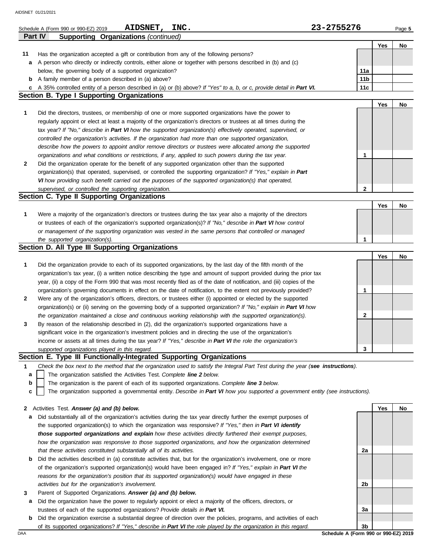|        | AIDSNET 01/21/2021                                                                                                                                                                                                               |              |     |        |
|--------|----------------------------------------------------------------------------------------------------------------------------------------------------------------------------------------------------------------------------------|--------------|-----|--------|
|        | <b>AIDSNET,</b><br>INC.<br>Schedule A (Form 990 or 990-EZ) 2019                                                                                                                                                                  | 23-2755276   |     | Page 5 |
|        | Part IV<br><b>Supporting Organizations (continued)</b>                                                                                                                                                                           |              |     |        |
|        |                                                                                                                                                                                                                                  |              | Yes | No     |
| 11     | Has the organization accepted a gift or contribution from any of the following persons?                                                                                                                                          |              |     |        |
| а      | A person who directly or indirectly controls, either alone or together with persons described in (b) and (c)                                                                                                                     |              |     |        |
|        | below, the governing body of a supported organization?                                                                                                                                                                           | 11a          |     |        |
| b      | A family member of a person described in (a) above?                                                                                                                                                                              | 11b          |     |        |
| c      | A 35% controlled entity of a person described in (a) or (b) above? If "Yes" to a, b, or c, provide detail in Part VI.                                                                                                            | 11c          |     |        |
|        | <b>Section B. Type I Supporting Organizations</b>                                                                                                                                                                                |              | Yes | No     |
| 1      | Did the directors, trustees, or membership of one or more supported organizations have the power to                                                                                                                              |              |     |        |
|        | regularly appoint or elect at least a majority of the organization's directors or trustees at all times during the                                                                                                               |              |     |        |
|        | tax year? If "No," describe in Part VI how the supported organization(s) effectively operated, supervised, or                                                                                                                    |              |     |        |
|        | controlled the organization's activities. If the organization had more than one supported organization,                                                                                                                          |              |     |        |
|        | describe how the powers to appoint and/or remove directors or trustees were allocated among the supported                                                                                                                        |              |     |        |
|        | organizations and what conditions or restrictions, if any, applied to such powers during the tax year.                                                                                                                           | 1            |     |        |
| 2      | Did the organization operate for the benefit of any supported organization other than the supported                                                                                                                              |              |     |        |
|        | organization(s) that operated, supervised, or controlled the supporting organization? If "Yes," explain in Part                                                                                                                  |              |     |        |
|        | VI how providing such benefit carried out the purposes of the supported organization(s) that operated,                                                                                                                           |              |     |        |
|        | supervised, or controlled the supporting organization.                                                                                                                                                                           | $\mathbf{2}$ |     |        |
|        | Section C. Type II Supporting Organizations                                                                                                                                                                                      |              |     |        |
|        |                                                                                                                                                                                                                                  |              | Yes | No     |
| 1      | Were a majority of the organization's directors or trustees during the tax year also a majority of the directors                                                                                                                 |              |     |        |
|        | or trustees of each of the organization's supported organization(s)? If "No," describe in Part VI how control                                                                                                                    |              |     |        |
|        | or management of the supporting organization was vested in the same persons that controlled or managed                                                                                                                           |              |     |        |
|        | the supported organization(s).                                                                                                                                                                                                   | 1            |     |        |
|        | Section D. All Type III Supporting Organizations                                                                                                                                                                                 |              |     |        |
|        |                                                                                                                                                                                                                                  |              | Yes | No     |
| 1      | Did the organization provide to each of its supported organizations, by the last day of the fifth month of the                                                                                                                   |              |     |        |
|        | organization's tax year, (i) a written notice describing the type and amount of support provided during the prior tax                                                                                                            |              |     |        |
|        | year, (ii) a copy of the Form 990 that was most recently filed as of the date of notification, and (iii) copies of the                                                                                                           |              |     |        |
|        | organization's governing documents in effect on the date of notification, to the extent not previously provided?                                                                                                                 | 1            |     |        |
| 2      | Were any of the organization's officers, directors, or trustees either (i) appointed or elected by the supported                                                                                                                 |              |     |        |
|        | organization(s) or (ii) serving on the governing body of a supported organization? If "No," explain in Part VI how                                                                                                               |              |     |        |
|        | the organization maintained a close and continuous working relationship with the supported organization(s).                                                                                                                      | 2            |     |        |
| З      | By reason of the relationship described in (2), did the organization's supported organizations have a                                                                                                                            |              |     |        |
|        | significant voice in the organization's investment policies and in directing the use of the organization's                                                                                                                       |              |     |        |
|        | income or assets at all times during the tax year? If "Yes," describe in Part VI the role the organization's                                                                                                                     |              |     |        |
|        | supported organizations played in this regard.                                                                                                                                                                                   | 3            |     |        |
|        | Section E. Type III Functionally-Integrated Supporting Organizations                                                                                                                                                             |              |     |        |
| 1      | Check the box next to the method that the organization used to satisfy the Integral Part Test during the year (see instructions).                                                                                                |              |     |        |
| a<br>b | The organization satisfied the Activities Test. Complete line 2 below.                                                                                                                                                           |              |     |        |
|        | The organization is the parent of each of its supported organizations. Complete line 3 below.<br>The organization supported a governmental entity. Describe in Part VI how you supported a government entity (see instructions). |              |     |        |
| c      |                                                                                                                                                                                                                                  |              |     |        |
| 2      | Activities Test. Answer (a) and (b) below.                                                                                                                                                                                       |              | Yes | No     |
| а      | Did substantially all of the organization's activities during the tax year directly further the exempt purposes of                                                                                                               |              |     |        |
|        | the supported organization(s) to which the organization was responsive? If "Yes," then in Part VI identify                                                                                                                       |              |     |        |
|        | those supported organizations and explain how these activities directly furthered their exempt purposes,                                                                                                                         |              |     |        |
|        | how the organization was responsive to those supported organizations, and how the organization determined                                                                                                                        |              |     |        |
|        | that these activities constituted substantially all of its activities.                                                                                                                                                           | 2a           |     |        |
| b      | Did the activities described in (a) constitute activities that, but for the organization's involvement, one or more                                                                                                              |              |     |        |
|        |                                                                                                                                                                                                                                  |              |     |        |
|        | of the organization's supported organization(s) would have been engaged in? If "Yes," explain in Part VI the                                                                                                                     |              |     |        |

- **3** *activities but for the organization's involvement.* Parent of Supported Organizations. *Answer (a) and (b) below.*
	- **a** Did the organization have the power to regularly appoint or elect a majority of the officers, directors, or trustees of each of the supported organizations? *Provide details in Part VI.*
	- **b** Did the organization exercise a substantial degree of direction over the policies, programs, and activities of each of its supported organizations? *If "Yes," describe in Part VI the role played by the organization in this regard.*

DAA **Schedule A (Form 990 or 990-EZ) 2019 3b**

**2b**

**3a**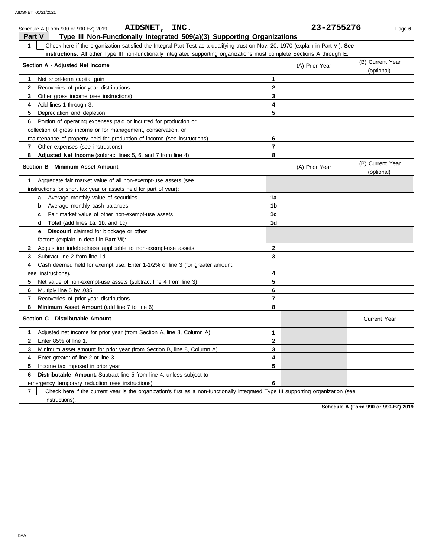| AIDSNET, INC.<br>Schedule A (Form 990 or 990-EZ) 2019                                                                                            |                | 23-2755276     | Page 6                         |
|--------------------------------------------------------------------------------------------------------------------------------------------------|----------------|----------------|--------------------------------|
| Part V<br>Type III Non-Functionally Integrated 509(a)(3) Supporting Organizations                                                                |                |                |                                |
| $\mathbf{1}$<br>Check here if the organization satisfied the Integral Part Test as a qualifying trust on Nov. 20, 1970 (explain in Part VI). See |                |                |                                |
| instructions. All other Type III non-functionally integrated supporting organizations must complete Sections A through E.                        |                |                |                                |
| Section A - Adjusted Net Income                                                                                                                  |                | (A) Prior Year | (B) Current Year<br>(optional) |
| Net short-term capital gain<br>1                                                                                                                 | $\mathbf{1}$   |                |                                |
| $\mathbf{2}$<br>Recoveries of prior-year distributions                                                                                           | $\mathbf{2}$   |                |                                |
| 3<br>Other gross income (see instructions)                                                                                                       | 3              |                |                                |
| 4<br>Add lines 1 through 3.                                                                                                                      | 4              |                |                                |
| 5<br>Depreciation and depletion                                                                                                                  | 5              |                |                                |
| Portion of operating expenses paid or incurred for production or<br>6                                                                            |                |                |                                |
| collection of gross income or for management, conservation, or                                                                                   |                |                |                                |
| maintenance of property held for production of income (see instructions)                                                                         | 6              |                |                                |
| 7<br>Other expenses (see instructions)                                                                                                           | $\overline{7}$ |                |                                |
| 8<br><b>Adjusted Net Income</b> (subtract lines 5, 6, and 7 from line 4)                                                                         | 8              |                |                                |
| <b>Section B - Minimum Asset Amount</b>                                                                                                          |                | (A) Prior Year | (B) Current Year<br>(optional) |
| Aggregate fair market value of all non-exempt-use assets (see<br>1                                                                               |                |                |                                |
| instructions for short tax year or assets held for part of year):                                                                                |                |                |                                |
| <b>a</b> Average monthly value of securities                                                                                                     | 1a             |                |                                |
| b<br>Average monthly cash balances                                                                                                               | 1b             |                |                                |
| Fair market value of other non-exempt-use assets<br>c                                                                                            | 1c             |                |                                |
| Total (add lines 1a, 1b, and 1c)<br>d                                                                                                            | 1d             |                |                                |
| <b>Discount</b> claimed for blockage or other<br>е                                                                                               |                |                |                                |
| factors (explain in detail in <b>Part VI</b> ):                                                                                                  |                |                |                                |
| 2<br>Acquisition indebtedness applicable to non-exempt-use assets                                                                                | $\mathbf{2}$   |                |                                |
| 3<br>Subtract line 2 from line 1d.                                                                                                               | 3              |                |                                |
| Cash deemed held for exempt use. Enter 1-1/2% of line 3 (for greater amount,<br>4                                                                |                |                |                                |
| see instructions).                                                                                                                               | 4              |                |                                |
| 5<br>Net value of non-exempt-use assets (subtract line 4 from line 3)                                                                            | 5              |                |                                |
| 6<br>Multiply line 5 by .035.                                                                                                                    | 6              |                |                                |
| $\overline{7}$<br>Recoveries of prior-year distributions                                                                                         | $\overline{7}$ |                |                                |
| 8<br>Minimum Asset Amount (add line 7 to line 6)                                                                                                 | 8              |                |                                |
| Section C - Distributable Amount                                                                                                                 |                |                | <b>Current Year</b>            |
| Adjusted net income for prior year (from Section A, line 8, Column A)<br>1                                                                       | $\mathbf{1}$   |                |                                |
| $\mathbf{2}$<br>Enter 85% of line 1.                                                                                                             | $\mathbf{2}$   |                |                                |
| 3<br>Minimum asset amount for prior year (from Section B, line 8, Column A)                                                                      | 3              |                |                                |
| 4<br>Enter greater of line 2 or line 3.                                                                                                          | 4              |                |                                |
| Income tax imposed in prior year<br>5                                                                                                            | 5              |                |                                |
| <b>Distributable Amount.</b> Subtract line 5 from line 4, unless subject to<br>6                                                                 |                |                |                                |

emergency temporary reduction (see instructions).

**7** instructions). Check here if the current year is the organization's first as a non-functionally integrated Type III supporting organization (see

**6**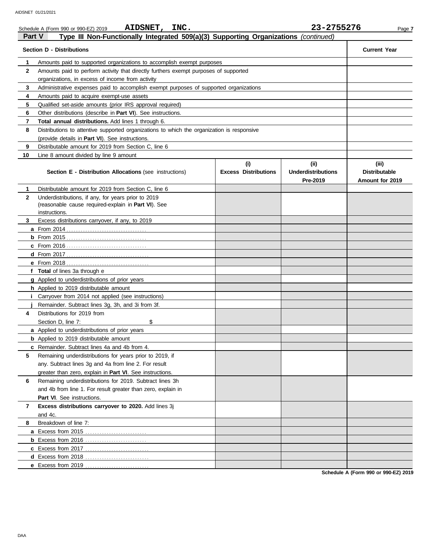|              | AIDSNET, INC.<br>Schedule A (Form 990 or 990-EZ) 2019                                                                       |                                    | 23-2755276                                    | Page 7                                           |
|--------------|-----------------------------------------------------------------------------------------------------------------------------|------------------------------------|-----------------------------------------------|--------------------------------------------------|
| Part V       | Type III Non-Functionally Integrated 509(a)(3) Supporting Organizations (continued)                                         |                                    |                                               |                                                  |
|              | <b>Section D - Distributions</b>                                                                                            |                                    |                                               | <b>Current Year</b>                              |
| 1            | Amounts paid to supported organizations to accomplish exempt purposes                                                       |                                    |                                               |                                                  |
| $\mathbf{2}$ | Amounts paid to perform activity that directly furthers exempt purposes of supported                                        |                                    |                                               |                                                  |
|              | organizations, in excess of income from activity                                                                            |                                    |                                               |                                                  |
| 3            | Administrative expenses paid to accomplish exempt purposes of supported organizations                                       |                                    |                                               |                                                  |
| 4            | Amounts paid to acquire exempt-use assets                                                                                   |                                    |                                               |                                                  |
| 5            | Qualified set-aside amounts (prior IRS approval required)                                                                   |                                    |                                               |                                                  |
| 6            | Other distributions (describe in Part VI). See instructions.                                                                |                                    |                                               |                                                  |
| 7            | Total annual distributions. Add lines 1 through 6.                                                                          |                                    |                                               |                                                  |
| 8            | Distributions to attentive supported organizations to which the organization is responsive                                  |                                    |                                               |                                                  |
|              | (provide details in Part VI). See instructions.                                                                             |                                    |                                               |                                                  |
| 9            | Distributable amount for 2019 from Section C, line 6                                                                        |                                    |                                               |                                                  |
| 10           | Line 8 amount divided by line 9 amount                                                                                      |                                    |                                               |                                                  |
|              | <b>Section E - Distribution Allocations (see instructions)</b>                                                              | (i)<br><b>Excess Distributions</b> | (ii)<br><b>Underdistributions</b><br>Pre-2019 | (iii)<br><b>Distributable</b><br>Amount for 2019 |
| 1            | Distributable amount for 2019 from Section C, line 6                                                                        |                                    |                                               |                                                  |
| $\mathbf{2}$ | Underdistributions, if any, for years prior to 2019<br>(reasonable cause required-explain in Part VI). See<br>instructions. |                                    |                                               |                                                  |
| 3            | Excess distributions carryover, if any, to 2019                                                                             |                                    |                                               |                                                  |
|              |                                                                                                                             |                                    |                                               |                                                  |
|              |                                                                                                                             |                                    |                                               |                                                  |
|              |                                                                                                                             |                                    |                                               |                                                  |
|              |                                                                                                                             |                                    |                                               |                                                  |
|              |                                                                                                                             |                                    |                                               |                                                  |
|              | f Total of lines 3a through e                                                                                               |                                    |                                               |                                                  |
|              | g Applied to underdistributions of prior years                                                                              |                                    |                                               |                                                  |
|              | h Applied to 2019 distributable amount                                                                                      |                                    |                                               |                                                  |
| $\mathbf{L}$ | Carryover from 2014 not applied (see instructions)                                                                          |                                    |                                               |                                                  |
|              | Remainder. Subtract lines 3g, 3h, and 3i from 3f.                                                                           |                                    |                                               |                                                  |
| 4            | Distributions for 2019 from                                                                                                 |                                    |                                               |                                                  |
|              | Section D, line 7:<br>\$                                                                                                    |                                    |                                               |                                                  |
|              | a Applied to underdistributions of prior years                                                                              |                                    |                                               |                                                  |
|              | <b>b</b> Applied to 2019 distributable amount                                                                               |                                    |                                               |                                                  |
|              | c Remainder. Subtract lines 4a and 4b from 4.                                                                               |                                    |                                               |                                                  |
| 5            | Remaining underdistributions for years prior to 2019, if                                                                    |                                    |                                               |                                                  |
|              | any. Subtract lines 3g and 4a from line 2. For result                                                                       |                                    |                                               |                                                  |
|              | greater than zero, explain in Part VI. See instructions.                                                                    |                                    |                                               |                                                  |
| 6            | Remaining underdistributions for 2019. Subtract lines 3h                                                                    |                                    |                                               |                                                  |
|              | and 4b from line 1. For result greater than zero, explain in                                                                |                                    |                                               |                                                  |
|              | Part VI. See instructions.                                                                                                  |                                    |                                               |                                                  |
| 7            | Excess distributions carryover to 2020. Add lines 3j                                                                        |                                    |                                               |                                                  |
|              | and 4c.                                                                                                                     |                                    |                                               |                                                  |
| 8            | Breakdown of line 7:                                                                                                        |                                    |                                               |                                                  |
|              |                                                                                                                             |                                    |                                               |                                                  |
|              |                                                                                                                             |                                    |                                               |                                                  |
|              |                                                                                                                             |                                    |                                               |                                                  |
|              |                                                                                                                             |                                    |                                               |                                                  |
|              | e Excess from 2019                                                                                                          |                                    |                                               |                                                  |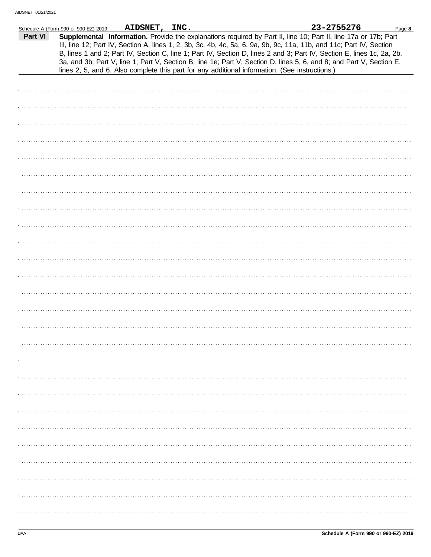|         | Schedule A (Form 990 or 990-EZ) 2019 | AIDSNET, INC.                                                                                  |  | 23-2755276                                                                                                                                                                                                                                                                                                                                                                                                                                                                                | Page 8 |
|---------|--------------------------------------|------------------------------------------------------------------------------------------------|--|-------------------------------------------------------------------------------------------------------------------------------------------------------------------------------------------------------------------------------------------------------------------------------------------------------------------------------------------------------------------------------------------------------------------------------------------------------------------------------------------|--------|
| Part VI |                                      |                                                                                                |  | Supplemental Information. Provide the explanations required by Part II, line 10; Part II, line 17a or 17b; Part<br>III, line 12; Part IV, Section A, lines 1, 2, 3b, 3c, 4b, 4c, 5a, 6, 9a, 9b, 9c, 11a, 11b, and 11c; Part IV, Section<br>B, lines 1 and 2; Part IV, Section C, line 1; Part IV, Section D, lines 2 and 3; Part IV, Section E, lines 1c, 2a, 2b,<br>3a, and 3b; Part V, line 1; Part V, Section B, line 1e; Part V, Section D, lines 5, 6, and 8; and Part V, Section E, |        |
|         |                                      | lines 2, 5, and 6. Also complete this part for any additional information. (See instructions.) |  |                                                                                                                                                                                                                                                                                                                                                                                                                                                                                           |        |
|         |                                      |                                                                                                |  |                                                                                                                                                                                                                                                                                                                                                                                                                                                                                           |        |
|         |                                      |                                                                                                |  |                                                                                                                                                                                                                                                                                                                                                                                                                                                                                           |        |
|         |                                      |                                                                                                |  |                                                                                                                                                                                                                                                                                                                                                                                                                                                                                           |        |
|         |                                      |                                                                                                |  |                                                                                                                                                                                                                                                                                                                                                                                                                                                                                           |        |
|         |                                      |                                                                                                |  |                                                                                                                                                                                                                                                                                                                                                                                                                                                                                           |        |
|         |                                      |                                                                                                |  |                                                                                                                                                                                                                                                                                                                                                                                                                                                                                           |        |
|         |                                      |                                                                                                |  |                                                                                                                                                                                                                                                                                                                                                                                                                                                                                           |        |
|         |                                      |                                                                                                |  |                                                                                                                                                                                                                                                                                                                                                                                                                                                                                           |        |
|         |                                      |                                                                                                |  |                                                                                                                                                                                                                                                                                                                                                                                                                                                                                           |        |
|         |                                      |                                                                                                |  |                                                                                                                                                                                                                                                                                                                                                                                                                                                                                           |        |
|         |                                      |                                                                                                |  |                                                                                                                                                                                                                                                                                                                                                                                                                                                                                           |        |
|         |                                      |                                                                                                |  |                                                                                                                                                                                                                                                                                                                                                                                                                                                                                           |        |
|         |                                      |                                                                                                |  |                                                                                                                                                                                                                                                                                                                                                                                                                                                                                           |        |
|         |                                      |                                                                                                |  |                                                                                                                                                                                                                                                                                                                                                                                                                                                                                           |        |
|         |                                      |                                                                                                |  |                                                                                                                                                                                                                                                                                                                                                                                                                                                                                           |        |
|         |                                      |                                                                                                |  |                                                                                                                                                                                                                                                                                                                                                                                                                                                                                           |        |
|         |                                      |                                                                                                |  |                                                                                                                                                                                                                                                                                                                                                                                                                                                                                           |        |
|         |                                      |                                                                                                |  |                                                                                                                                                                                                                                                                                                                                                                                                                                                                                           |        |
|         |                                      |                                                                                                |  |                                                                                                                                                                                                                                                                                                                                                                                                                                                                                           |        |
|         |                                      |                                                                                                |  |                                                                                                                                                                                                                                                                                                                                                                                                                                                                                           |        |
|         |                                      |                                                                                                |  |                                                                                                                                                                                                                                                                                                                                                                                                                                                                                           |        |
|         |                                      |                                                                                                |  |                                                                                                                                                                                                                                                                                                                                                                                                                                                                                           |        |
|         |                                      |                                                                                                |  |                                                                                                                                                                                                                                                                                                                                                                                                                                                                                           |        |
|         |                                      |                                                                                                |  |                                                                                                                                                                                                                                                                                                                                                                                                                                                                                           |        |
|         |                                      |                                                                                                |  |                                                                                                                                                                                                                                                                                                                                                                                                                                                                                           |        |
|         |                                      |                                                                                                |  |                                                                                                                                                                                                                                                                                                                                                                                                                                                                                           |        |
|         |                                      |                                                                                                |  |                                                                                                                                                                                                                                                                                                                                                                                                                                                                                           |        |
|         |                                      |                                                                                                |  |                                                                                                                                                                                                                                                                                                                                                                                                                                                                                           |        |
|         |                                      |                                                                                                |  |                                                                                                                                                                                                                                                                                                                                                                                                                                                                                           |        |
|         |                                      |                                                                                                |  |                                                                                                                                                                                                                                                                                                                                                                                                                                                                                           |        |
|         |                                      |                                                                                                |  |                                                                                                                                                                                                                                                                                                                                                                                                                                                                                           |        |
|         |                                      |                                                                                                |  |                                                                                                                                                                                                                                                                                                                                                                                                                                                                                           |        |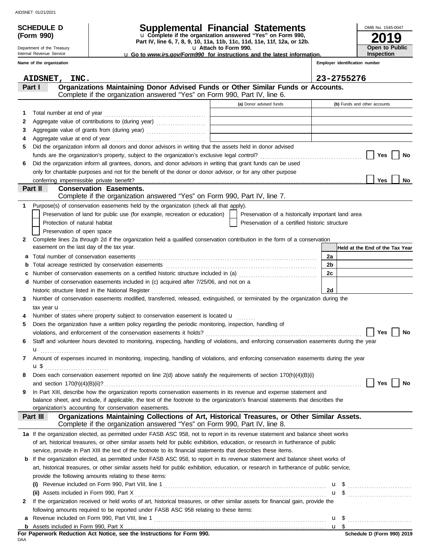|    | <b>SCHEDULE D</b>                                      | Supplemental Financial Statements                                                                                                                              |                       |                                                    |                | OMB No. 1545-0047               |
|----|--------------------------------------------------------|----------------------------------------------------------------------------------------------------------------------------------------------------------------|-----------------------|----------------------------------------------------|----------------|---------------------------------|
|    | (Form 990)                                             | u Complete if the organization answered "Yes" on Form 990,                                                                                                     |                       |                                                    |                | 19                              |
|    |                                                        | Part IV, line 6, 7, 8, 9, 10, 11a, 11b, 11c, 11d, 11e, 11f, 12a, or 12b.                                                                                       |                       |                                                    |                | Open to Public                  |
|    | Department of the Treasury<br>Internal Revenue Service | <b>u</b> Go to www.irs.gov/Form990 for instructions and the latest information.                                                                                | u Attach to Form 990. |                                                    |                | <b>Inspection</b>               |
|    | Name of the organization                               |                                                                                                                                                                |                       |                                                    |                | Employer identification number  |
|    | AIDSNET, INC.                                          |                                                                                                                                                                |                       |                                                    |                | 23-2755276                      |
|    | Part I                                                 | Organizations Maintaining Donor Advised Funds or Other Similar Funds or Accounts.<br>Complete if the organization answered "Yes" on Form 990, Part IV, line 6. |                       |                                                    |                |                                 |
|    |                                                        |                                                                                                                                                                |                       | (a) Donor advised funds                            |                | (b) Funds and other accounts    |
| 1  | Total number at end of year                            |                                                                                                                                                                |                       |                                                    |                |                                 |
| 2  |                                                        | Aggregate value of contributions to (during year)                                                                                                              |                       |                                                    |                |                                 |
| 3  |                                                        | Aggregate value of grants from (during year)                                                                                                                   |                       |                                                    |                |                                 |
| 4  |                                                        |                                                                                                                                                                |                       |                                                    |                |                                 |
| 5  |                                                        | Did the organization inform all donors and donor advisors in writing that the assets held in donor advised                                                     |                       |                                                    |                |                                 |
|    |                                                        |                                                                                                                                                                |                       |                                                    |                | No<br>Yes                       |
| 6  |                                                        | Did the organization inform all grantees, donors, and donor advisors in writing that grant funds can be used                                                   |                       |                                                    |                |                                 |
|    |                                                        | only for charitable purposes and not for the benefit of the donor or donor advisor, or for any other purpose                                                   |                       |                                                    |                |                                 |
|    |                                                        |                                                                                                                                                                |                       |                                                    |                | <b>Yes</b><br>No                |
|    | Part II                                                | <b>Conservation Easements.</b><br>Complete if the organization answered "Yes" on Form 990, Part IV, line 7.                                                    |                       |                                                    |                |                                 |
| 1. |                                                        | Purpose(s) of conservation easements held by the organization (check all that apply).                                                                          |                       |                                                    |                |                                 |
|    |                                                        | Preservation of land for public use (for example, recreation or education)                                                                                     |                       | Preservation of a historically important land area |                |                                 |
|    | Protection of natural habitat                          |                                                                                                                                                                |                       | Preservation of a certified historic structure     |                |                                 |
|    | Preservation of open space                             |                                                                                                                                                                |                       |                                                    |                |                                 |
| 2  | easement on the last day of the tax year.              | Complete lines 2a through 2d if the organization held a qualified conservation contribution in the form of a conservation                                      |                       |                                                    |                | Held at the End of the Tax Year |
|    |                                                        |                                                                                                                                                                |                       |                                                    | 2a             |                                 |
| b  |                                                        |                                                                                                                                                                |                       |                                                    | 2 <sub>b</sub> |                                 |
| c  |                                                        | Number of conservation easements on a certified historic structure included in (a) [[[[[ [ [ ]]]                                                               |                       |                                                    | 2c             |                                 |
|    |                                                        | d Number of conservation easements included in (c) acquired after 7/25/06, and not on a                                                                        |                       |                                                    |                |                                 |
|    |                                                        | historic structure listed in the National Register                                                                                                             |                       |                                                    | 2d             |                                 |
| 3  |                                                        | Number of conservation easements modified, transferred, released, extinguished, or terminated by the organization during the                                   |                       |                                                    |                |                                 |
|    | tax year $\mathbf{u}$                                  |                                                                                                                                                                |                       |                                                    |                |                                 |
| 4  |                                                        | Number of states where property subject to conservation easement is located u                                                                                  |                       |                                                    |                |                                 |
| 5  |                                                        | Does the organization have a written policy regarding the periodic monitoring, inspection, handling of                                                         |                       |                                                    |                | No                              |
|    |                                                        |                                                                                                                                                                |                       |                                                    |                | Yes $\Box$                      |
| 6  | u                                                      | Staff and volunteer hours devoted to monitoring, inspecting, handling of violations, and enforcing conservation easements during the year                      |                       |                                                    |                |                                 |
| 7  |                                                        | Amount of expenses incurred in monitoring, inspecting, handling of violations, and enforcing conservation easements during the year                            |                       |                                                    |                |                                 |
|    | $\mathbf{u}$ \$                                        |                                                                                                                                                                |                       |                                                    |                |                                 |
| 8  |                                                        | Does each conservation easement reported on line 2(d) above satisfy the requirements of section 170(h)(4)(B)(i)                                                |                       |                                                    |                | Yes $\vert \ \vert$<br>No       |
| 9  |                                                        | In Part XIII, describe how the organization reports conservation easements in its revenue and expense statement and                                            |                       |                                                    |                |                                 |
|    |                                                        | balance sheet, and include, if applicable, the text of the footnote to the organization's financial statements that describes the                              |                       |                                                    |                |                                 |
|    | Part III                                               | organization's accounting for conservation easements.<br>Organizations Maintaining Collections of Art, Historical Treasures, or Other Similar Assets.          |                       |                                                    |                |                                 |
|    |                                                        | Complete if the organization answered "Yes" on Form 990, Part IV, line 8.                                                                                      |                       |                                                    |                |                                 |
|    |                                                        | 1a If the organization elected, as permitted under FASB ASC 958, not to report in its revenue statement and balance sheet works                                |                       |                                                    |                |                                 |
|    |                                                        | of art, historical treasures, or other similar assets held for public exhibition, education, or research in furtherance of public                              |                       |                                                    |                |                                 |
|    |                                                        | service, provide in Part XIII the text of the footnote to its financial statements that describes these items.                                                 |                       |                                                    |                |                                 |
|    |                                                        | <b>b</b> If the organization elected, as permitted under FASB ASC 958, to report in its revenue statement and balance sheet works of                           |                       |                                                    |                |                                 |
|    |                                                        | art, historical treasures, or other similar assets held for public exhibition, education, or research in furtherance of public service,                        |                       |                                                    |                |                                 |
|    |                                                        | provide the following amounts relating to these items:                                                                                                         |                       |                                                    |                |                                 |
|    |                                                        |                                                                                                                                                                |                       |                                                    |                |                                 |
|    |                                                        |                                                                                                                                                                |                       |                                                    |                |                                 |
| 2  |                                                        | If the organization received or held works of art, historical treasures, or other similar assets for financial gain, provide the                               |                       |                                                    |                |                                 |
|    |                                                        | following amounts required to be reported under FASB ASC 958 relating to these items:                                                                          |                       |                                                    |                |                                 |
| a  |                                                        |                                                                                                                                                                |                       |                                                    |                |                                 |
|    |                                                        |                                                                                                                                                                |                       |                                                    |                |                                 |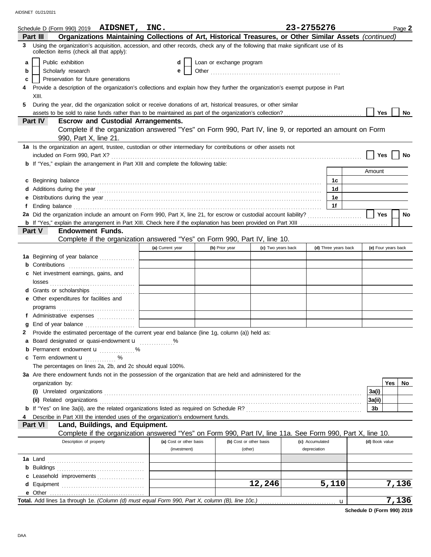|   | Schedule D (Form 990) 2019 AIDSNET,                                                                                                                                                                                                  | INC.                    |                          |                         | 23-2755276      |                      |                | Page 2              |
|---|--------------------------------------------------------------------------------------------------------------------------------------------------------------------------------------------------------------------------------------|-------------------------|--------------------------|-------------------------|-----------------|----------------------|----------------|---------------------|
|   | Organizations Maintaining Collections of Art, Historical Treasures, or Other Similar Assets (continued)<br>Part III                                                                                                                  |                         |                          |                         |                 |                      |                |                     |
| 3 | Using the organization's acquisition, accession, and other records, check any of the following that make significant use of its<br>collection items (check all that apply):                                                          |                         |                          |                         |                 |                      |                |                     |
| a | Public exhibition                                                                                                                                                                                                                    | d                       | Loan or exchange program |                         |                 |                      |                |                     |
| b | Scholarly research                                                                                                                                                                                                                   | е                       |                          |                         |                 |                      |                |                     |
| c | Preservation for future generations                                                                                                                                                                                                  |                         |                          |                         |                 |                      |                |                     |
|   | Provide a description of the organization's collections and explain how they further the organization's exempt purpose in Part                                                                                                       |                         |                          |                         |                 |                      |                |                     |
|   | XIII.                                                                                                                                                                                                                                |                         |                          |                         |                 |                      |                |                     |
| 5 | During the year, did the organization solicit or receive donations of art, historical treasures, or other similar                                                                                                                    |                         |                          |                         |                 |                      |                |                     |
|   |                                                                                                                                                                                                                                      |                         |                          |                         |                 |                      | Yes            | No                  |
|   | <b>Escrow and Custodial Arrangements.</b><br>Part IV                                                                                                                                                                                 |                         |                          |                         |                 |                      |                |                     |
|   | Complete if the organization answered "Yes" on Form 990, Part IV, line 9, or reported an amount on Form                                                                                                                              |                         |                          |                         |                 |                      |                |                     |
|   | 990, Part X, line 21.                                                                                                                                                                                                                |                         |                          |                         |                 |                      |                |                     |
|   | 1a Is the organization an agent, trustee, custodian or other intermediary for contributions or other assets not                                                                                                                      |                         |                          |                         |                 |                      | Yes            | No                  |
|   | <b>b</b> If "Yes," explain the arrangement in Part XIII and complete the following table:                                                                                                                                            |                         |                          |                         |                 |                      |                |                     |
|   |                                                                                                                                                                                                                                      |                         |                          |                         |                 |                      | Amount         |                     |
|   |                                                                                                                                                                                                                                      |                         |                          |                         |                 | 1c                   |                |                     |
|   | c Beginning balance <b>contract to the contract of the contract of the contract of the contract of the contract of the contract of the contract of the contract of the contract of the contract of the contract of the contract </b> |                         |                          |                         |                 | 1d                   |                |                     |
| е |                                                                                                                                                                                                                                      |                         |                          |                         |                 | 1е                   |                |                     |
| f | Ending balance continuous contracts and the contracts of the contracts of the contracts of the contracts of the contracts of the contracts of the contracts of the contracts of the contracts of the contracts of the contract       |                         |                          |                         |                 | 1f                   |                |                     |
|   |                                                                                                                                                                                                                                      |                         |                          |                         |                 |                      | Yes            | <b>No</b>           |
|   |                                                                                                                                                                                                                                      |                         |                          |                         |                 |                      |                |                     |
|   | <b>Endowment Funds.</b><br>Part V                                                                                                                                                                                                    |                         |                          |                         |                 |                      |                |                     |
|   | Complete if the organization answered "Yes" on Form 990, Part IV, line 10.                                                                                                                                                           |                         |                          |                         |                 |                      |                |                     |
|   |                                                                                                                                                                                                                                      | (a) Current year        | (b) Prior year           | (c) Two years back      |                 | (d) Three years back |                | (e) Four years back |
|   | 1a Beginning of year balance                                                                                                                                                                                                         |                         |                          |                         |                 |                      |                |                     |
|   | <b>b</b> Contributions <b>contributions</b>                                                                                                                                                                                          |                         |                          |                         |                 |                      |                |                     |
|   | c Net investment earnings, gains, and                                                                                                                                                                                                |                         |                          |                         |                 |                      |                |                     |
|   |                                                                                                                                                                                                                                      |                         |                          |                         |                 |                      |                |                     |
|   | d Grants or scholarships                                                                                                                                                                                                             |                         |                          |                         |                 |                      |                |                     |
|   | e Other expenditures for facilities and                                                                                                                                                                                              |                         |                          |                         |                 |                      |                |                     |
|   | programs                                                                                                                                                                                                                             |                         |                          |                         |                 |                      |                |                     |
|   | f Administrative expenses                                                                                                                                                                                                            |                         |                          |                         |                 |                      |                |                     |
| g |                                                                                                                                                                                                                                      |                         |                          |                         |                 |                      |                |                     |
| 2 | Provide the estimated percentage of the current year end balance (line 1g, column (a)) held as:                                                                                                                                      |                         |                          |                         |                 |                      |                |                     |
|   | a Board designated or quasi-endowment u                                                                                                                                                                                              | %                       |                          |                         |                 |                      |                |                     |
| b | Permanent endowment <b>u</b> %                                                                                                                                                                                                       |                         |                          |                         |                 |                      |                |                     |
|   | <b>c</b> Term endowment $\mathbf{u}$                                                                                                                                                                                                 |                         |                          |                         |                 |                      |                |                     |
|   | The percentages on lines 2a, 2b, and 2c should equal 100%.                                                                                                                                                                           |                         |                          |                         |                 |                      |                |                     |
|   | 3a Are there endowment funds not in the possession of the organization that are held and administered for the                                                                                                                        |                         |                          |                         |                 |                      |                |                     |
|   | organization by:                                                                                                                                                                                                                     |                         |                          |                         |                 |                      |                | Yes<br>No           |
|   |                                                                                                                                                                                                                                      |                         |                          |                         |                 |                      | 3a(i)          |                     |
|   |                                                                                                                                                                                                                                      |                         |                          |                         |                 |                      | 3a(ii)         |                     |
|   |                                                                                                                                                                                                                                      |                         |                          |                         |                 |                      | 3b             |                     |
|   | Describe in Part XIII the intended uses of the organization's endowment funds.                                                                                                                                                       |                         |                          |                         |                 |                      |                |                     |
|   | Land, Buildings, and Equipment.<br><b>Part VI</b>                                                                                                                                                                                    |                         |                          |                         |                 |                      |                |                     |
|   | Complete if the organization answered "Yes" on Form 990, Part IV, line 11a. See Form 990, Part X, line 10.<br>Description of property                                                                                                | (a) Cost or other basis |                          | (b) Cost or other basis | (c) Accumulated |                      |                |                     |
|   |                                                                                                                                                                                                                                      | (investment)            |                          | (other)                 | depreciation    |                      | (d) Book value |                     |
|   |                                                                                                                                                                                                                                      |                         |                          |                         |                 |                      |                |                     |
|   |                                                                                                                                                                                                                                      |                         |                          |                         |                 |                      |                |                     |
|   | c Leasehold improvements                                                                                                                                                                                                             |                         |                          |                         |                 |                      |                |                     |
|   |                                                                                                                                                                                                                                      |                         |                          | 12,246                  |                 | 5,110                |                | 7,136               |
|   | e Other                                                                                                                                                                                                                              |                         |                          |                         |                 |                      |                |                     |
|   | Total. Add lines 1a through 1e. (Column (d) must equal Form 990, Part X, column (B), line 10c.)                                                                                                                                      |                         |                          |                         |                 | $\mathbf u$          |                | 7,136               |
|   |                                                                                                                                                                                                                                      |                         |                          |                         |                 |                      |                |                     |

**Schedule D (Form 990) 2019**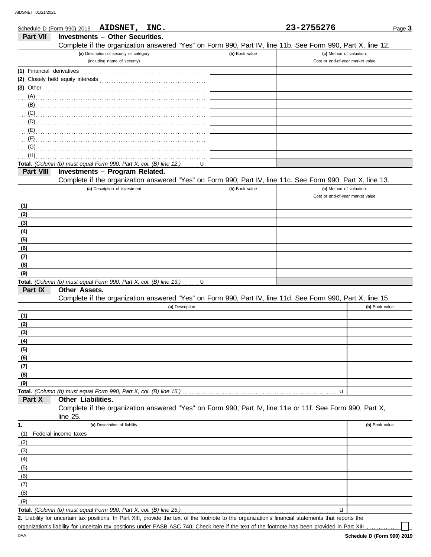|                                    | Schedule D (Form 990) 2019 AIDSNET, INC.                                                                   |                | 23-2755276                       | Page 3         |
|------------------------------------|------------------------------------------------------------------------------------------------------------|----------------|----------------------------------|----------------|
| Part VII                           | <b>Investments - Other Securities.</b>                                                                     |                |                                  |                |
|                                    | Complete if the organization answered "Yes" on Form 990, Part IV, line 11b. See Form 990, Part X, line 12. |                |                                  |                |
|                                    | (a) Description of security or category                                                                    | (b) Book value | (c) Method of valuation:         |                |
|                                    | (including name of security)                                                                               |                | Cost or end-of-year market value |                |
|                                    |                                                                                                            |                |                                  |                |
|                                    | (2) Closely held equity interests                                                                          |                |                                  |                |
|                                    | (3) Other $\ldots$ $\ldots$ $\ldots$ $\ldots$ $\ldots$ $\ldots$ $\ldots$ $\ldots$ $\ldots$                 |                |                                  |                |
| (A)                                |                                                                                                            |                |                                  |                |
| (B)                                |                                                                                                            |                |                                  |                |
| (C)                                |                                                                                                            |                |                                  |                |
| $\bigcup_{\alpha\in\mathbb{Z}}(D)$ |                                                                                                            |                |                                  |                |
| (E)                                |                                                                                                            |                |                                  |                |
| (F)                                |                                                                                                            |                |                                  |                |
| (G)                                |                                                                                                            |                |                                  |                |
| (H)                                | Total. (Column (b) must equal Form 990, Part X, col. (B) line 12.)<br>$\mathbf{u}$                         |                |                                  |                |
| Part VIII                          | Investments - Program Related.                                                                             |                |                                  |                |
|                                    | Complete if the organization answered "Yes" on Form 990, Part IV, line 11c. See Form 990, Part X, line 13. |                |                                  |                |
|                                    | (a) Description of investment                                                                              | (b) Book value | (c) Method of valuation:         |                |
|                                    |                                                                                                            |                | Cost or end-of-year market value |                |
| (1)                                |                                                                                                            |                |                                  |                |
| (2)                                |                                                                                                            |                |                                  |                |
| (3)                                |                                                                                                            |                |                                  |                |
| (4)                                |                                                                                                            |                |                                  |                |
| (5)                                |                                                                                                            |                |                                  |                |
| (6)                                |                                                                                                            |                |                                  |                |
| (7)                                |                                                                                                            |                |                                  |                |
| (8)                                |                                                                                                            |                |                                  |                |
| (9)                                |                                                                                                            |                |                                  |                |
|                                    | Total. (Column (b) must equal Form 990, Part X, col. (B) line 13.)<br>u                                    |                |                                  |                |
| Part IX                            | Other Assets.                                                                                              |                |                                  |                |
|                                    | Complete if the organization answered "Yes" on Form 990, Part IV, line 11d. See Form 990, Part X, line 15. |                |                                  |                |
|                                    | (a) Description                                                                                            |                |                                  | (b) Book value |
| (1)<br>(2)                         |                                                                                                            |                |                                  |                |
| (3)                                |                                                                                                            |                |                                  |                |
| <u>(4)</u>                         |                                                                                                            |                |                                  |                |
| (5)                                |                                                                                                            |                |                                  |                |
| (6)                                |                                                                                                            |                |                                  |                |
| (7)                                |                                                                                                            |                |                                  |                |
| (8)                                |                                                                                                            |                |                                  |                |
| (9)                                |                                                                                                            |                |                                  |                |
|                                    | Total. (Column (b) must equal Form 990, Part X, col. (B) line 15.)                                         |                | u                                |                |
| Part X                             | Other Liabilities.                                                                                         |                |                                  |                |
|                                    | Complete if the organization answered "Yes" on Form 990, Part IV, line 11e or 11f. See Form 990, Part X,   |                |                                  |                |
|                                    | line 25.                                                                                                   |                |                                  |                |
| 1.                                 | (a) Description of liability                                                                               |                |                                  | (b) Book value |
| (1)                                | Federal income taxes                                                                                       |                |                                  |                |
| (2)                                |                                                                                                            |                |                                  |                |
| (3)                                |                                                                                                            |                |                                  |                |
| (4)                                |                                                                                                            |                |                                  |                |
| (5)                                |                                                                                                            |                |                                  |                |
| (6)                                |                                                                                                            |                |                                  |                |
| (7)<br>(8)                         |                                                                                                            |                |                                  |                |
| (9)                                |                                                                                                            |                |                                  |                |
|                                    | Total. (Column (b) must equal Form 990, Part X, col. (B) line 25.)                                         |                | u                                |                |
|                                    |                                                                                                            |                |                                  |                |

Liability for uncertain tax positions. In Part XIII, provide the text of the footnote to the organization's financial statements that reports the **2.** organization's liability for uncertain tax positions under FASB ASC 740. Check here if the text of the footnote has been provided in Part XIII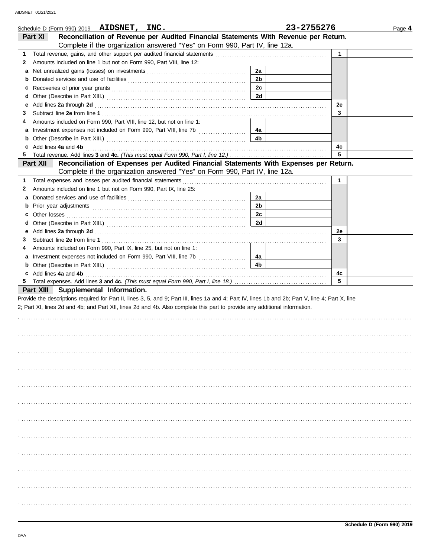|    | Schedule D (Form 990) 2019 AIDSNET, INC.                                                                                                                                                                                      |                | 23-2755276   | Page 4 |
|----|-------------------------------------------------------------------------------------------------------------------------------------------------------------------------------------------------------------------------------|----------------|--------------|--------|
|    | Reconciliation of Revenue per Audited Financial Statements With Revenue per Return.<br>Part XI                                                                                                                                |                |              |        |
|    | Complete if the organization answered "Yes" on Form 990, Part IV, line 12a.                                                                                                                                                   |                |              |        |
| 1  |                                                                                                                                                                                                                               |                | $\mathbf{1}$ |        |
| 2  | Amounts included on line 1 but not on Form 990, Part VIII, line 12:                                                                                                                                                           |                |              |        |
| а  |                                                                                                                                                                                                                               | 2a             |              |        |
| b  |                                                                                                                                                                                                                               | 2 <sub>b</sub> |              |        |
| c  |                                                                                                                                                                                                                               | 2c             |              |        |
| d  |                                                                                                                                                                                                                               | 2d             |              |        |
| е  | Add lines 2a through 2d [11] Additional Property and Property and Property and Property and Property and Property and Property and Property and Property and Property and Property and Property and Property and Property and |                | 2e           |        |
| З  |                                                                                                                                                                                                                               |                | 3            |        |
| 4  | Amounts included on Form 990, Part VIII, line 12, but not on line 1:                                                                                                                                                          |                |              |        |
| а  |                                                                                                                                                                                                                               | 4a             |              |        |
| b  |                                                                                                                                                                                                                               | 4 <sub>b</sub> |              |        |
| c  | Add lines 4a and 4b                                                                                                                                                                                                           |                | 4c           |        |
| 5. |                                                                                                                                                                                                                               |                | 5            |        |
|    | Reconciliation of Expenses per Audited Financial Statements With Expenses per Return.<br>Part XII                                                                                                                             |                |              |        |
|    | Complete if the organization answered "Yes" on Form 990, Part IV, line 12a.                                                                                                                                                   |                |              |        |
| 1  | Total expenses and losses per audited financial statements                                                                                                                                                                    |                | $\mathbf{1}$ |        |
| 2  | Amounts included on line 1 but not on Form 990, Part IX, line 25:                                                                                                                                                             |                |              |        |
| а  |                                                                                                                                                                                                                               | 2a             |              |        |
| b  |                                                                                                                                                                                                                               | 2 <sub>b</sub> |              |        |
|    |                                                                                                                                                                                                                               | 2c             |              |        |
| d  |                                                                                                                                                                                                                               | 2d             |              |        |
| е  | Add lines 2a through 2d [11] And The Contract of the Contract of the Contract of the Contract of the Contract of the Contract of the Contract of the Contract of the Contract of the Contract of the Contract of the Contract |                | 2e           |        |
| 3  |                                                                                                                                                                                                                               |                | 3            |        |
| 4  | Amounts included on Form 990, Part IX, line 25, but not on line 1:                                                                                                                                                            |                |              |        |
| а  |                                                                                                                                                                                                                               | 4a             |              |        |
| b  |                                                                                                                                                                                                                               | 4 <sub>b</sub> |              |        |
|    | c Add lines 4a and 4b                                                                                                                                                                                                         |                | 4с           |        |
|    |                                                                                                                                                                                                                               |                | 5            |        |
|    | Part XIII Supplemental Information.                                                                                                                                                                                           |                |              |        |
|    | Provide the descriptions required for Part II, lines 3, 5, and 9; Part III, lines 1a and 4; Part IV, lines 1b and 2b; Part V, line 4; Part X, line                                                                            |                |              |        |
|    | 2; Part XI, lines 2d and 4b; and Part XII, lines 2d and 4b. Also complete this part to provide any additional information.                                                                                                    |                |              |        |
|    |                                                                                                                                                                                                                               |                |              |        |
|    |                                                                                                                                                                                                                               |                |              |        |
|    |                                                                                                                                                                                                                               |                |              |        |
|    |                                                                                                                                                                                                                               |                |              |        |
|    |                                                                                                                                                                                                                               |                |              |        |
|    |                                                                                                                                                                                                                               |                |              |        |
|    |                                                                                                                                                                                                                               |                |              |        |
|    |                                                                                                                                                                                                                               |                |              |        |
|    |                                                                                                                                                                                                                               |                |              |        |
|    |                                                                                                                                                                                                                               |                |              |        |
|    |                                                                                                                                                                                                                               |                |              |        |
|    |                                                                                                                                                                                                                               |                |              |        |
|    |                                                                                                                                                                                                                               |                |              |        |
|    |                                                                                                                                                                                                                               |                |              |        |
|    |                                                                                                                                                                                                                               |                |              |        |
|    |                                                                                                                                                                                                                               |                |              |        |
|    |                                                                                                                                                                                                                               |                |              |        |
|    |                                                                                                                                                                                                                               |                |              |        |
|    |                                                                                                                                                                                                                               |                |              |        |
|    |                                                                                                                                                                                                                               |                |              |        |
|    |                                                                                                                                                                                                                               |                |              |        |
|    |                                                                                                                                                                                                                               |                |              |        |
|    |                                                                                                                                                                                                                               |                |              |        |
|    |                                                                                                                                                                                                                               |                |              |        |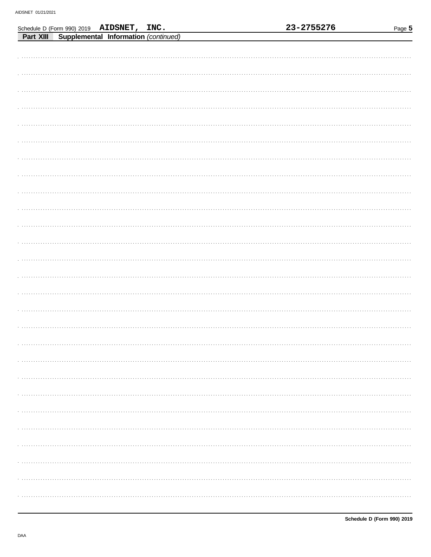|  |                                                                                            | 23-2755276 | Page 5 |
|--|--------------------------------------------------------------------------------------------|------------|--------|
|  | Schedule D (Form 990) 2019 AIDSNET, INC.<br>Part XIII Supplemental Information (continued) |            |        |
|  |                                                                                            |            |        |
|  |                                                                                            |            |        |
|  |                                                                                            |            |        |
|  |                                                                                            |            |        |
|  |                                                                                            |            |        |
|  |                                                                                            |            |        |
|  |                                                                                            |            |        |
|  |                                                                                            |            |        |
|  |                                                                                            |            |        |
|  |                                                                                            |            |        |
|  |                                                                                            |            |        |
|  |                                                                                            |            |        |
|  |                                                                                            |            |        |
|  |                                                                                            |            |        |
|  |                                                                                            |            |        |
|  |                                                                                            |            |        |
|  |                                                                                            |            |        |
|  |                                                                                            |            |        |
|  |                                                                                            |            |        |
|  |                                                                                            |            |        |
|  |                                                                                            |            |        |
|  |                                                                                            |            |        |
|  |                                                                                            |            |        |
|  |                                                                                            |            |        |
|  |                                                                                            |            |        |
|  |                                                                                            |            |        |
|  |                                                                                            |            |        |
|  |                                                                                            |            |        |
|  |                                                                                            |            |        |
|  |                                                                                            |            |        |
|  |                                                                                            |            |        |
|  |                                                                                            |            |        |
|  |                                                                                            |            |        |
|  |                                                                                            |            |        |
|  |                                                                                            |            |        |
|  |                                                                                            |            |        |
|  |                                                                                            |            |        |
|  |                                                                                            |            |        |
|  |                                                                                            |            |        |
|  |                                                                                            |            |        |
|  |                                                                                            |            |        |
|  |                                                                                            |            |        |
|  |                                                                                            |            |        |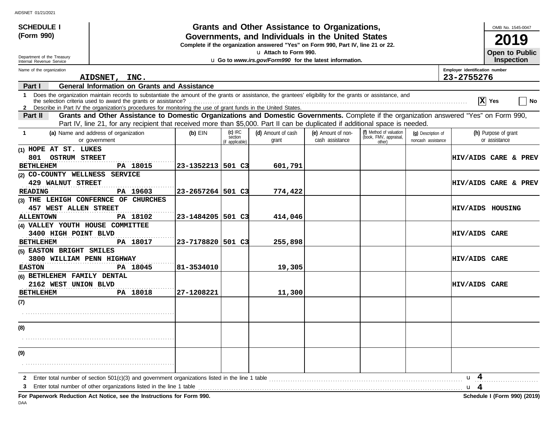| <b>SCHEDULE I</b>                                      |                                                                                                                                                                                                                                                                               |                   |                            | Grants and Other Assistance to Organizations,                                                                                         |                                       |                                  |                                          |                                              | OMB No. 1545-0047                     |      |
|--------------------------------------------------------|-------------------------------------------------------------------------------------------------------------------------------------------------------------------------------------------------------------------------------------------------------------------------------|-------------------|----------------------------|---------------------------------------------------------------------------------------------------------------------------------------|---------------------------------------|----------------------------------|------------------------------------------|----------------------------------------------|---------------------------------------|------|
| (Form 990)                                             |                                                                                                                                                                                                                                                                               |                   |                            | Governments, and Individuals in the United States<br>Complete if the organization answered "Yes" on Form 990, Part IV, line 21 or 22. |                                       |                                  |                                          |                                              |                                       | 19   |
|                                                        |                                                                                                                                                                                                                                                                               |                   |                            | La Attach to Form 990.                                                                                                                |                                       |                                  |                                          |                                              | Open to Public                        |      |
| Department of the Treasury<br>Internal Revenue Service |                                                                                                                                                                                                                                                                               |                   |                            | u Go to www.irs.gov/Form990 for the latest information.                                                                               |                                       |                                  |                                          |                                              | Inspection                            |      |
| Name of the organization                               | AIDSNET, INC.                                                                                                                                                                                                                                                                 |                   |                            |                                                                                                                                       |                                       |                                  |                                          | Employer identification number<br>23-2755276 |                                       |      |
| Part I                                                 | <b>General Information on Grants and Assistance</b>                                                                                                                                                                                                                           |                   |                            |                                                                                                                                       |                                       |                                  |                                          |                                              |                                       |      |
| $\mathbf 1$                                            | Does the organization maintain records to substantiate the amount of the grants or assistance, the grantees' eligibility for the grants or assistance, and<br>2 Describe in Part IV the organization's procedures for monitoring the use of grant funds in the United States. |                   |                            |                                                                                                                                       |                                       |                                  |                                          |                                              | $ X $ Yes                             | ∣ No |
| Part II                                                | Grants and Other Assistance to Domestic Organizations and Domestic Governments. Complete if the organization answered "Yes" on Form 990,                                                                                                                                      |                   |                            |                                                                                                                                       |                                       |                                  |                                          |                                              |                                       |      |
|                                                        | Part IV, line 21, for any recipient that received more than \$5,000. Part II can be duplicated if additional space is needed.                                                                                                                                                 |                   | $(c)$ IRC                  |                                                                                                                                       |                                       | (f) Method of valuation          |                                          |                                              |                                       |      |
| $\mathbf{1}$                                           | (a) Name and address of organization<br>or government                                                                                                                                                                                                                         | $(b)$ EIN         | section<br>(if applicable) | (d) Amount of cash<br>grant                                                                                                           | (e) Amount of non-<br>cash assistance | (book, FMV, appraisal,<br>other) | (q) Description of<br>noncash assistance |                                              | (h) Purpose of grant<br>or assistance |      |
| (1) HOPE AT ST. LUKES                                  |                                                                                                                                                                                                                                                                               |                   |                            |                                                                                                                                       |                                       |                                  |                                          |                                              |                                       |      |
| 801<br><b>OSTRUM STREET</b>                            |                                                                                                                                                                                                                                                                               |                   |                            |                                                                                                                                       |                                       |                                  |                                          | <b>HIV/AIDS CARE &amp; PREV</b>              |                                       |      |
| <b>BETHLEHEM</b>                                       | <b>PA 18015</b>                                                                                                                                                                                                                                                               | 23-1352213 501 C3 |                            | 601,791                                                                                                                               |                                       |                                  |                                          |                                              |                                       |      |
| (2) CO-COUNTY WELLNESS SERVICE                         |                                                                                                                                                                                                                                                                               |                   |                            |                                                                                                                                       |                                       |                                  |                                          |                                              |                                       |      |
| <b>429 WALNUT STREET</b><br><b>READING</b>             | PA 19603                                                                                                                                                                                                                                                                      | 23-2657264 501 C3 |                            | 774,422                                                                                                                               |                                       |                                  |                                          | <b>HIV/AIDS CARE &amp; PREV</b>              |                                       |      |
|                                                        | (3) THE LEHIGH CONFERNCE OF CHURCHES                                                                                                                                                                                                                                          |                   |                            |                                                                                                                                       |                                       |                                  |                                          |                                              |                                       |      |
| <b>457 WEST ALLEN STREET</b>                           |                                                                                                                                                                                                                                                                               |                   |                            |                                                                                                                                       |                                       |                                  |                                          | <b>HIV/AIDS HOUSING</b>                      |                                       |      |
| <b>ALLENTOWN</b>                                       | PA 18102                                                                                                                                                                                                                                                                      | 23-1484205 501 C3 |                            | 414,046                                                                                                                               |                                       |                                  |                                          |                                              |                                       |      |
| (4) VALLEY YOUTH HOUSE COMMITTEE                       |                                                                                                                                                                                                                                                                               |                   |                            |                                                                                                                                       |                                       |                                  |                                          |                                              |                                       |      |
| 3400 HIGH POINT BLVD                                   |                                                                                                                                                                                                                                                                               |                   |                            |                                                                                                                                       |                                       |                                  |                                          | <b> HIV/AIDS CARE</b>                        |                                       |      |
| <b>BETHLEHEM</b><br>(5) EASTON BRIGHT SMILES           | PA 18017                                                                                                                                                                                                                                                                      | 23-7178820 501 C3 |                            | 255,898                                                                                                                               |                                       |                                  |                                          |                                              |                                       |      |
| 3800 WILLIAM PENN HIGHWAY                              |                                                                                                                                                                                                                                                                               |                   |                            |                                                                                                                                       |                                       |                                  |                                          | <b> HIV/AIDS CARE</b>                        |                                       |      |
| <b>EASTON</b>                                          | PA 18045                                                                                                                                                                                                                                                                      | 81-3534010        |                            | 19,305                                                                                                                                |                                       |                                  |                                          |                                              |                                       |      |
| (6) BETHLEHEM FAMILY DENTAL                            |                                                                                                                                                                                                                                                                               |                   |                            |                                                                                                                                       |                                       |                                  |                                          |                                              |                                       |      |
| 2162 WEST UNION BLVD                                   |                                                                                                                                                                                                                                                                               |                   |                            |                                                                                                                                       |                                       |                                  |                                          | <b>HIV/AIDS CARE</b>                         |                                       |      |
| <b>BETHLEHEM</b>                                       | PA 18018                                                                                                                                                                                                                                                                      | 27-1208221        |                            | 11,300                                                                                                                                |                                       |                                  |                                          |                                              |                                       |      |
| (7)                                                    |                                                                                                                                                                                                                                                                               |                   |                            |                                                                                                                                       |                                       |                                  |                                          |                                              |                                       |      |
|                                                        |                                                                                                                                                                                                                                                                               |                   |                            |                                                                                                                                       |                                       |                                  |                                          |                                              |                                       |      |
| (8)                                                    |                                                                                                                                                                                                                                                                               |                   |                            |                                                                                                                                       |                                       |                                  |                                          |                                              |                                       |      |
|                                                        |                                                                                                                                                                                                                                                                               |                   |                            |                                                                                                                                       |                                       |                                  |                                          |                                              |                                       |      |
| (9)                                                    |                                                                                                                                                                                                                                                                               |                   |                            |                                                                                                                                       |                                       |                                  |                                          |                                              |                                       |      |
|                                                        |                                                                                                                                                                                                                                                                               |                   |                            |                                                                                                                                       |                                       |                                  |                                          |                                              |                                       |      |
|                                                        | Enter total number of section 501(c)(3) and government organizations listed in the line 1 table <i>component component</i> contained the line 1 table                                                                                                                         |                   |                            |                                                                                                                                       |                                       |                                  |                                          | u 4                                          |                                       |      |
| З                                                      |                                                                                                                                                                                                                                                                               |                   |                            |                                                                                                                                       |                                       |                                  |                                          | u <sub>4</sub>                               |                                       |      |
|                                                        | For Paperwork Reduction Act Notice, see the Instructions for Form 990.                                                                                                                                                                                                        |                   |                            |                                                                                                                                       |                                       |                                  |                                          |                                              | Schedule I (Form 990) (2019)          |      |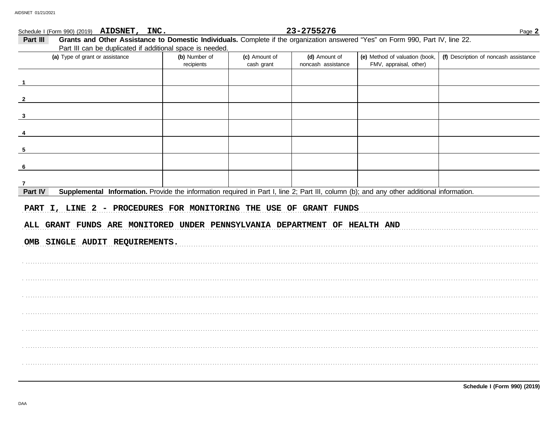|              | Schedule I (Form 990) (2019) AIDSNET, INC.                                                                                                     |                             |                             | 23-2755276                          |                                                          | Page 2                                |
|--------------|------------------------------------------------------------------------------------------------------------------------------------------------|-----------------------------|-----------------------------|-------------------------------------|----------------------------------------------------------|---------------------------------------|
| Part III     | Grants and Other Assistance to Domestic Individuals. Complete if the organization answered "Yes" on Form 990, Part IV, line 22.                |                             |                             |                                     |                                                          |                                       |
|              | Part III can be duplicated if additional space is needed.                                                                                      |                             |                             |                                     |                                                          |                                       |
|              | (a) Type of grant or assistance                                                                                                                | (b) Number of<br>recipients | (c) Amount of<br>cash grant | (d) Amount of<br>noncash assistance | (e) Method of valuation (book,<br>FMV, appraisal, other) | (f) Description of noncash assistance |
|              |                                                                                                                                                |                             |                             |                                     |                                                          |                                       |
|              |                                                                                                                                                |                             |                             |                                     |                                                          |                                       |
| $\mathbf{3}$ |                                                                                                                                                |                             |                             |                                     |                                                          |                                       |
|              |                                                                                                                                                |                             |                             |                                     |                                                          |                                       |
| 5            |                                                                                                                                                |                             |                             |                                     |                                                          |                                       |
| 6            |                                                                                                                                                |                             |                             |                                     |                                                          |                                       |
| $\mathbf{7}$ |                                                                                                                                                |                             |                             |                                     |                                                          |                                       |
| Part IV      | Supplemental Information. Provide the information required in Part I, line 2; Part III, column (b); and any other additional information.      |                             |                             |                                     |                                                          |                                       |
|              | PART I, LINE 2 - PROCEDURES FOR MONITORING THE USE OF GRANT FUNDS<br>ALL GRANT FUNDS ARE MONITORED UNDER PENNSYLVANIA DEPARTMENT OF HEALTH AND |                             |                             |                                     |                                                          |                                       |
|              | OMB SINGLE AUDIT REQUIREMENTS.                                                                                                                 |                             |                             |                                     |                                                          |                                       |
|              |                                                                                                                                                |                             |                             |                                     |                                                          |                                       |
|              |                                                                                                                                                |                             |                             |                                     |                                                          |                                       |
|              |                                                                                                                                                |                             |                             |                                     |                                                          |                                       |
|              |                                                                                                                                                |                             |                             |                                     |                                                          |                                       |
|              |                                                                                                                                                |                             |                             |                                     |                                                          |                                       |
|              |                                                                                                                                                |                             |                             |                                     |                                                          |                                       |
|              |                                                                                                                                                |                             |                             |                                     |                                                          |                                       |
|              |                                                                                                                                                |                             |                             |                                     |                                                          |                                       |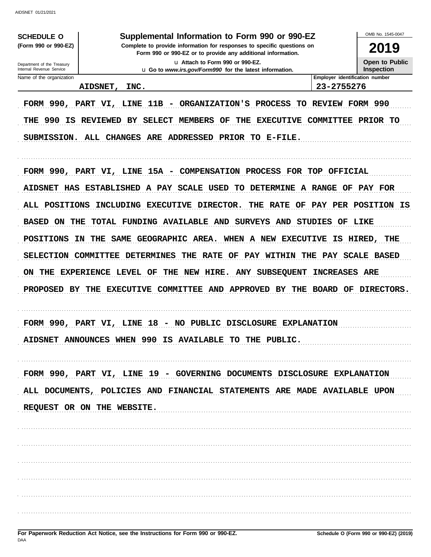| (Form 990 or 990-EZ)                                   | Supplemental Information to Form 990 or 990-EZ<br>Complete to provide information for responses to specific questions on<br>Form 990 or 990-EZ or to provide any additional information. |                      |                                | 2019                  |
|--------------------------------------------------------|------------------------------------------------------------------------------------------------------------------------------------------------------------------------------------------|----------------------|--------------------------------|-----------------------|
| Department of the Treasury<br>Internal Revenue Service | La Attach to Form 990 or 990-EZ.                                                                                                                                                         |                      |                                | <b>Open to Public</b> |
| Name of the organization                               | u Go to www.irs.gov/Form990 for the latest information.                                                                                                                                  |                      | Employer identification number | <b>Inspection</b>     |
| <b>AIDSNET,</b>                                        | INC.                                                                                                                                                                                     |                      | 23-2755276                     |                       |
|                                                        | FORM 990, PART VI, LINE 11B -<br><b>ORGANIZATION'S</b>                                                                                                                                   | <b>PROCESS</b><br>TО | REVIEW FORM 990                |                       |
| 990<br>IS<br>THE                                       | <b>REVIEWED BY</b><br><b>SELECT</b><br><b>MEMBERS</b><br>THE<br>OF                                                                                                                       | <b>EXECUTIVE</b>     |                                | COMMITTEE PRIOR TO    |
|                                                        |                                                                                                                                                                                          |                      |                                |                       |
| SUBMISSION.                                            | ADDRESSED PRIOR TO E-FILE.<br><b>ALL CHANGES</b><br>ARE                                                                                                                                  |                      |                                |                       |
|                                                        |                                                                                                                                                                                          |                      |                                |                       |
|                                                        | FORM 990, PART VI, LINE 15A - COMPENSATION PROCESS FOR TOP OFFICIAL                                                                                                                      |                      |                                |                       |
| AIDSNET HAS ESTABLISHED                                | A PAY SCALE USED<br>TO.                                                                                                                                                                  | <b>DETERMINE</b>     | A RANGE OF                     | <b>PAY FOR</b>        |
| ALL POSITIONS                                          | EXECUTIVE DIRECTOR.<br>INCLUDING                                                                                                                                                         | THE RATE<br>OF       | PAY PER POSITION               | ΙS                    |
| <b>BASED</b><br>ON<br>THE                              | TOTAL FUNDING AVAILABLE AND SURVEYS AND                                                                                                                                                  |                      | <b>STUDIES</b><br>OF LIKE      |                       |
|                                                        |                                                                                                                                                                                          |                      |                                |                       |
| <b>POSITIONS</b><br><b>THE</b><br>IN                   | SAME GEOGRAPHIC AREA. WHEN A NEW EXECUTIVE                                                                                                                                               |                      | IS HIRED,                      | THE                   |
| SELECTION COMMITTEE                                    | <b>DETERMINES</b><br><b>THE</b><br><b>RATE</b><br>OF                                                                                                                                     | <b>PAY WITHIN</b>    | THE PAY SCALE BASED            |                       |
|                                                        |                                                                                                                                                                                          |                      |                                |                       |
| ON.<br>THE<br><b>EXPERIENCE</b>                        | <b>LEVEL OF</b><br><b>THE</b><br>NEW HIRE. ANY SUBSEQUENT                                                                                                                                |                      | <b>INCREASES ARE</b>           |                       |
| PROPOSED BY<br>THE                                     | <b>EXECUTIVE</b><br>COMMITTEE AND APPROVED BY                                                                                                                                            | THE                  | BOARD OF                       |                       |
|                                                        |                                                                                                                                                                                          |                      |                                | <b>DIRECTORS.</b>     |
|                                                        |                                                                                                                                                                                          |                      |                                |                       |
|                                                        | FORM 990, PART VI, LINE 18 - NO PUBLIC DISCLOSURE EXPLANATION                                                                                                                            |                      |                                |                       |
|                                                        | AIDSNET ANNOUNCES WHEN 990 IS AVAILABLE TO THE PUBLIC.                                                                                                                                   |                      |                                |                       |
|                                                        |                                                                                                                                                                                          |                      |                                |                       |
|                                                        | FORM 990, PART VI, LINE 19 - GOVERNING DOCUMENTS DISCLOSURE EXPLANATION                                                                                                                  |                      |                                |                       |
|                                                        | ALL DOCUMENTS, POLICIES AND FINANCIAL STATEMENTS ARE MADE AVAILABLE UPON                                                                                                                 |                      |                                |                       |
|                                                        |                                                                                                                                                                                          |                      |                                |                       |
| REQUEST OR ON THE WEBSITE.                             |                                                                                                                                                                                          |                      |                                |                       |
|                                                        |                                                                                                                                                                                          |                      |                                |                       |
|                                                        |                                                                                                                                                                                          |                      |                                |                       |
|                                                        |                                                                                                                                                                                          |                      |                                |                       |
|                                                        |                                                                                                                                                                                          |                      |                                |                       |
|                                                        |                                                                                                                                                                                          |                      |                                |                       |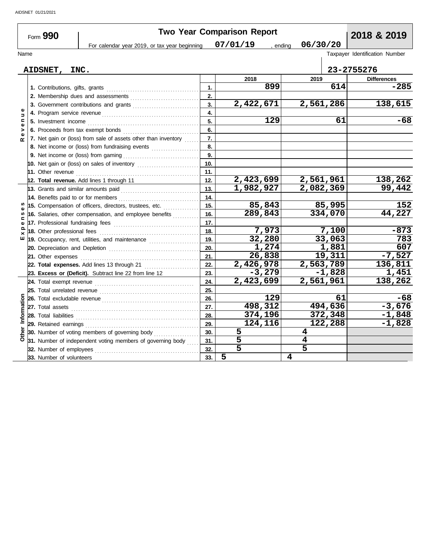|                   | Form 990<br>For calendar year 2019, or tax year beginning                                                                                                                                                                           |     | <b>Two Year Comparison Report</b><br>07/01/19 | 06/30/20<br>, ending | 2018 & 2019                    |
|-------------------|-------------------------------------------------------------------------------------------------------------------------------------------------------------------------------------------------------------------------------------|-----|-----------------------------------------------|----------------------|--------------------------------|
| Name              |                                                                                                                                                                                                                                     |     |                                               |                      | Taxpayer Identification Number |
|                   | AIDSNET, INC.                                                                                                                                                                                                                       |     |                                               | 23-2755276           |                                |
|                   |                                                                                                                                                                                                                                     |     | 2018                                          | 2019                 | <b>Differences</b>             |
|                   |                                                                                                                                                                                                                                     | 1.  | 899                                           | 614                  | $-285$                         |
|                   |                                                                                                                                                                                                                                     | 2.  |                                               |                      |                                |
|                   | 3. Government contributions and grants                                                                                                                                                                                              | 3.  | 2,422,671                                     | 2,561,286            | 138,615                        |
| Φ<br>Ξ            |                                                                                                                                                                                                                                     | 4.  |                                               |                      |                                |
| $\mathbf{r}$<br>Ф | 5. Investment income                                                                                                                                                                                                                | 5.  | 129                                           | 61                   | $-68$                          |
| >                 | 6. Proceeds from tax exempt bonds                                                                                                                                                                                                   | 6.  |                                               |                      |                                |
|                   | 7. Net gain or (loss) from sale of assets other than inventory                                                                                                                                                                      | 7.  |                                               |                      |                                |
|                   | 8. Net income or (loss) from fundraising events                                                                                                                                                                                     | 8.  |                                               |                      |                                |
|                   |                                                                                                                                                                                                                                     | 9.  |                                               |                      |                                |
|                   |                                                                                                                                                                                                                                     | 10. |                                               |                      |                                |
|                   | 11. Other revenue <i>communication</i> and the revenue of the contract of the contract of the contract of the contract of the contract of the contract of the contract of the contract of the contract of the contract of the contr | 11. |                                               |                      |                                |
|                   | 12. Total revenue. Add lines 1 through 11                                                                                                                                                                                           | 12. | 2,423,699                                     | 2,561,961            | 138,262                        |
|                   |                                                                                                                                                                                                                                     | 13. | 1,982,927                                     | 2,082,369            | 99,442                         |
|                   |                                                                                                                                                                                                                                     | 14. |                                               |                      |                                |
|                   | 15. Compensation of officers, directors, trustees, etc.                                                                                                                                                                             | 15. | 85,843                                        | 85,995               | 152                            |
|                   | 16. Salaries, other compensation, and employee benefits                                                                                                                                                                             | 16. | 289,843                                       | 334,070              | 44,227                         |
| ⊆<br>$\mathbf{Q}$ | 17. Professional fundraising fees <b>constants</b> and a measure of the set of the set of the set of the set of the s                                                                                                               | 17. |                                               |                      |                                |
| $\times$          | 18. Other professional fees                                                                                                                                                                                                         | 18. | 7,973                                         | 7,100                | $-873$                         |
| ш                 | 19. Occupancy, rent, utilities, and maintenance                                                                                                                                                                                     | 19. | 32,280                                        | 33,063               | 783                            |
|                   |                                                                                                                                                                                                                                     | 20. | 1,274                                         | 1,881                | 607                            |
|                   | 21. Other expenses                                                                                                                                                                                                                  | 21. | 26,838                                        | 19,311               | $-7,527$                       |
|                   | 22. Total expenses. Add lines 13 through 21                                                                                                                                                                                         | 22. | 2,426,978                                     | 2,563,789            | 136,811                        |
|                   | 23. Excess or (Deficit). Subtract line 22 from line 12                                                                                                                                                                              | 23. | $-3,279$                                      | $-1,828$             | 1,451                          |
|                   |                                                                                                                                                                                                                                     | 24. | 2,423,699                                     | 2,561,961            | 138,262                        |
|                   |                                                                                                                                                                                                                                     | 25. |                                               |                      |                                |
|                   |                                                                                                                                                                                                                                     | 26. | 129                                           | 61                   | -68                            |
|                   |                                                                                                                                                                                                                                     | 27. | 498,312                                       | 494,636              | $-3,676$                       |
| Information       | 28. Total liabilities                                                                                                                                                                                                               | 28. | 374,196                                       | 372,348              | $-1,848$                       |
|                   |                                                                                                                                                                                                                                     | 29. | 124,116                                       | 122,288              | $-1,828$                       |
|                   | <b>30.</b> Number of voting members of governing body                                                                                                                                                                               | 30. | 5                                             | 4                    |                                |
|                   | 31. Number of independent voting members of governing body                                                                                                                                                                          | 31. | 5                                             | 4                    |                                |
|                   | 32. Number of employees                                                                                                                                                                                                             | 32. | $\overline{5}$                                | 5                    |                                |
|                   | 33. Number of volunteers                                                                                                                                                                                                            | 33. | 5                                             | 4                    |                                |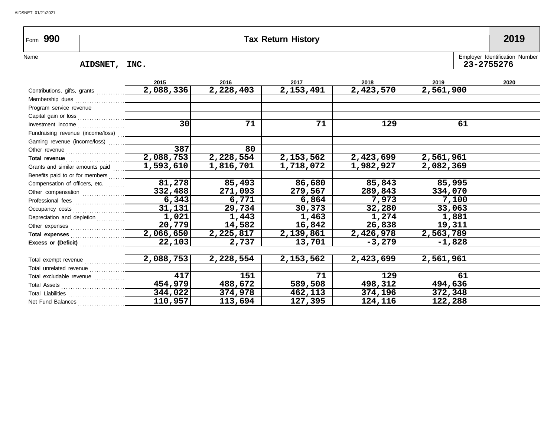| Form 990                                         |                     |           | <b>Tax Return History</b> |           |           | 2019                                         |
|--------------------------------------------------|---------------------|-----------|---------------------------|-----------|-----------|----------------------------------------------|
| Name<br><b>AIDSNET,</b>                          | INC.                |           |                           |           |           | Employer Identification Number<br>23-2755276 |
|                                                  | 2015                | 2016      | 2017                      | 2018      | 2019      | 2020                                         |
| Contributions, gifts, grants                     | 2,088,336           | 2,228,403 | $\overline{2,153,491}$    | 2,423,570 | 2,561,900 |                                              |
|                                                  |                     |           |                           |           |           |                                              |
| Program service revenue                          |                     |           |                           |           |           |                                              |
|                                                  |                     |           |                           |           |           |                                              |
|                                                  | $\overline{30}$     | 71        | 71                        | 129       | 61        |                                              |
| Fundraising revenue (income/loss)                |                     |           |                           |           |           |                                              |
|                                                  |                     |           |                           |           |           |                                              |
|                                                  | $\frac{1}{387}$     | 80        |                           |           |           |                                              |
| Total revenue 2,088,753                          |                     | 2,228,554 | 2,153,562                 | 2,423,699 | 2,561,961 |                                              |
| Grants and similar amounts paid                  | 1,593,610           | 1,816,701 | 1,718,072                 | 1,982,927 | 2,082,369 |                                              |
| Benefits paid to or for members [11, 11, 11, 11] |                     |           |                           |           |           |                                              |
|                                                  | 81,278              | 85,493    | 86,680                    | 85,843    | 85,995    |                                              |
|                                                  | 332,488             | 271,093   | 279,567                   | 289,843   | 334,070   |                                              |
|                                                  | 6,343               | 6,771     | 6,864                     | 7,973     | 7,100     |                                              |
|                                                  | 31,131              | 29,734    | 30,373                    | 32,280    | 33,063    |                                              |
|                                                  | $\overline{1,021}$  | 1,443     | 1,463                     | 1,274     | 1,881     |                                              |
|                                                  | 20,779              | 14,582    | 16,842                    | 26,838    | 19,311    |                                              |
|                                                  | $\boxed{2,066,650}$ | 2,225,817 | 2,139,861                 | 2,426,978 | 2,563,789 |                                              |
|                                                  | $\overline{22,103}$ | 2,737     | 13,701                    | $-3,279$  | $-1,828$  |                                              |
|                                                  |                     |           |                           |           |           |                                              |
|                                                  | 2,088,753           | 2,228,554 | 2,153,562                 | 2,423,699 | 2,561,961 |                                              |
|                                                  |                     |           |                           |           |           |                                              |
|                                                  | 417                 | 151       | 71                        | 129       | 61        |                                              |
|                                                  | 454,979             | 488,672   | 589,508                   | 498,312   | 494,636   |                                              |
|                                                  | 344,022             | 374,978   | 462,113                   | 374,196   | 372,348   |                                              |
| Net Fund Balances                                | 110,957             | 113,694   | 127,395                   | 124,116   | 122,288   |                                              |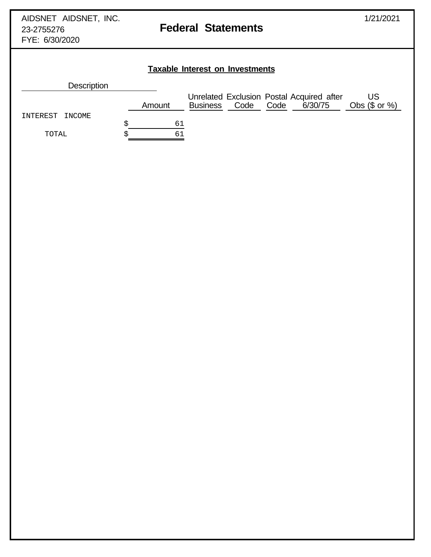## **Taxable Interest on Investments**

| <b>Description</b> |        |                 |      |      |                                                      |                  |
|--------------------|--------|-----------------|------|------|------------------------------------------------------|------------------|
|                    | Amount | <b>Business</b> | Code | Code | Unrelated Exclusion Postal Acquired after<br>6/30/75 | Obs $(\$$ or $%$ |
| INTEREST INCOME    |        |                 |      |      |                                                      |                  |
|                    | 61     |                 |      |      |                                                      |                  |
| TOTAL              | 61     |                 |      |      |                                                      |                  |